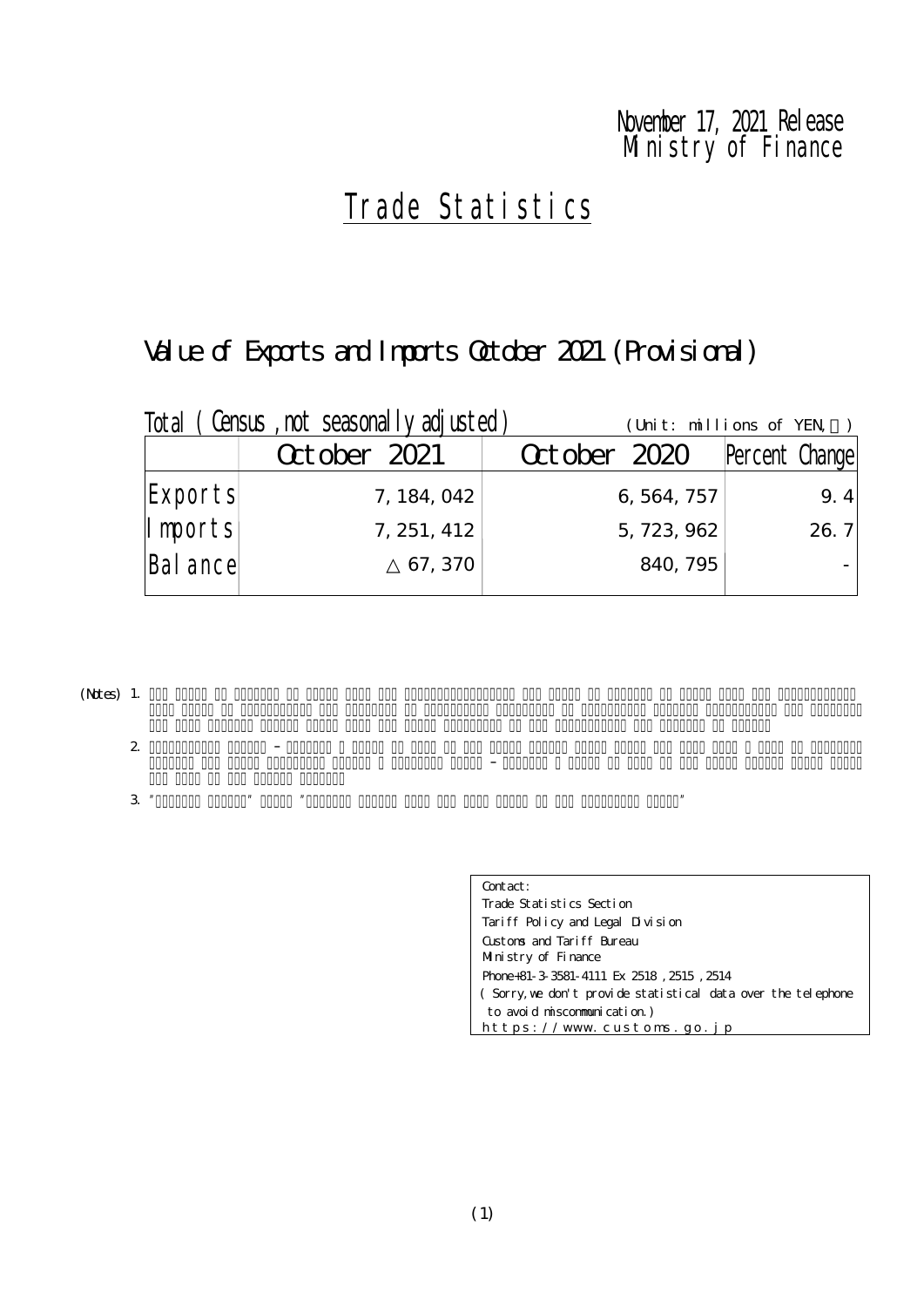# Ministry of Finance November 17, 2021 Release

# Trade Statistics

# Value of Exports and Imports October 2021 (Provisional)

| Total    | (Census, not seasonally adjusted) |              | (Unit: millions of YEN) |
|----------|-----------------------------------|--------------|-------------------------|
|          | October 2021                      | October 2020 | Percent Change          |
| Exports  | 7, 184, 042                       | 6, 564, 757  | 9.4                     |
| Imports  | 7, 251, 412                       | 5, 723, 962  | 26.7                    |
| Bal ance | 67, 370                           | 840, 795     |                         |

(Notes) 1.

2.

 $3$  "Percent Change from the same month in the same month in the preceding year."

| Contact:                                                     |  |
|--------------------------------------------------------------|--|
| Trade Statistics Section                                     |  |
| Tariff Policy and Legal Division                             |  |
| Gistons and Tariff Bureau                                    |  |
| Ministry of Finance                                          |  |
| Phone+81-3 3581-4111 Ex 2518, 2515, 2514                     |  |
| (Sorry, we don't provide statistical data over the telephone |  |
| to avoid miscommunication)                                   |  |
| https://www.customs.go.jp                                    |  |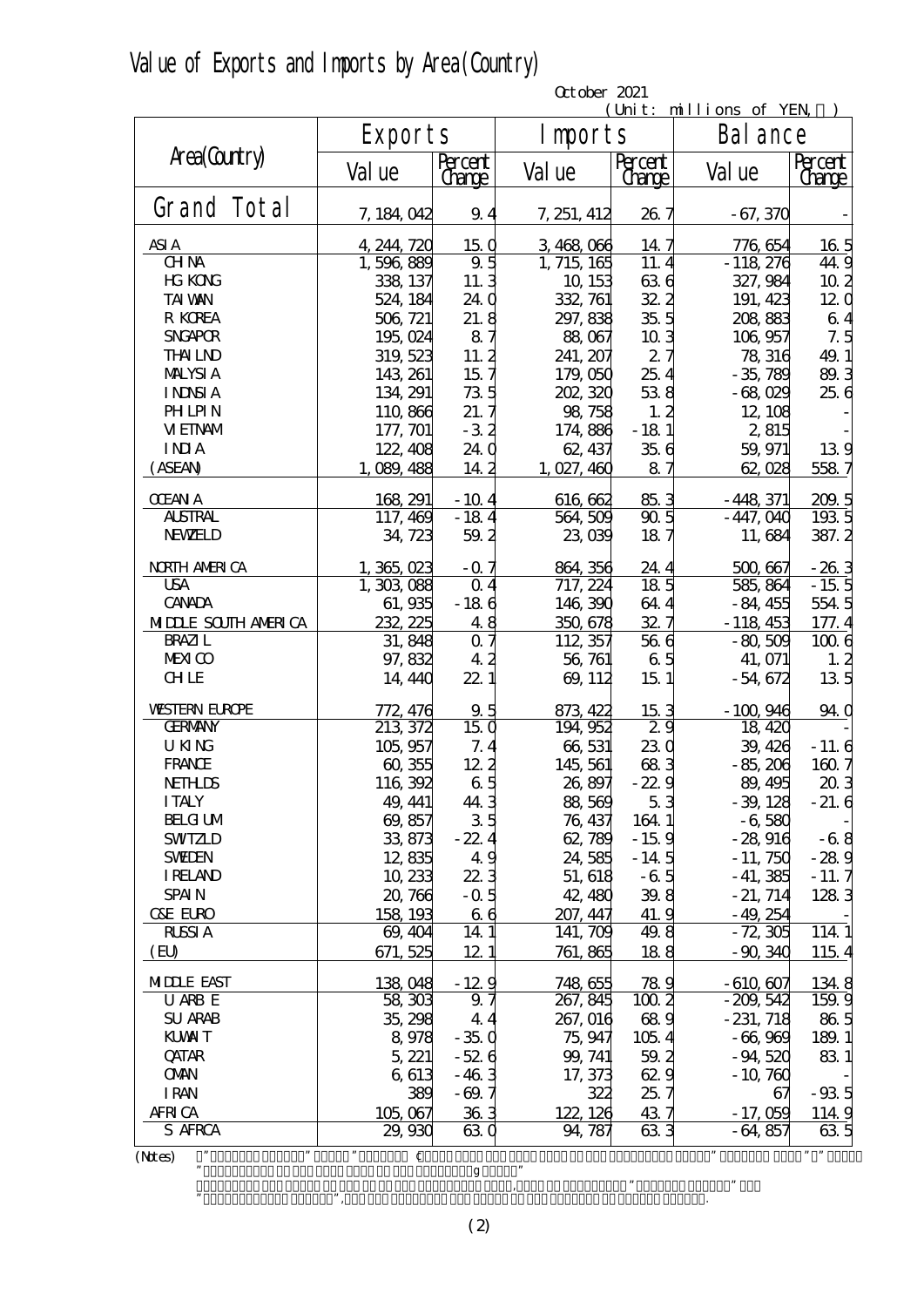|  | Value of Exports and Imports by Area (Country) |  |  |  |  |  |
|--|------------------------------------------------|--|--|--|--|--|
|--|------------------------------------------------|--|--|--|--|--|

|                            |                                    |                          | October 2021 |                          |                      |                          |  |  |  |  |
|----------------------------|------------------------------------|--------------------------|--------------|--------------------------|----------------------|--------------------------|--|--|--|--|
|                            |                                    |                          |              | (Unit: millions of YEN   |                      |                          |  |  |  |  |
|                            | Exports                            |                          | I mports     |                          | Bal ance             |                          |  |  |  |  |
| Area(Country)              | Val ue                             | Percent<br><u>Change</u> | Val ue       | Percent<br><u>Change</u> | Val ue               | Percent<br><u>(Jange</u> |  |  |  |  |
| Grand Total                | 7, 184, 042                        | 9.4                      | 7, 251, 412  | 26.7                     | $-67,370$            |                          |  |  |  |  |
| ASI A                      | 4, 244, 720                        | 150                      | 3,468,066    | 147                      | 776, 654             | 16 <sub>5</sub>          |  |  |  |  |
| <b>CHNA</b>                | 1,596,889                          | 9.5                      | 1, 715, 165  | 11.4                     | $-118,276$           | 44.9                     |  |  |  |  |
| <b>HG KONG</b>             | 338, 137                           | 11.3                     | 10, 153      | 636                      | 327, 984             | 10 <sub>2</sub>          |  |  |  |  |
| <b>TAI VAN</b>             | 524, 184                           | 24.0                     | 332, 761     | 32.2                     | 191, 423             | 120                      |  |  |  |  |
| R KOREA                    | 506, 721                           | 21.8                     | 297, 838     | 35.5                     | 208 883              | 64                       |  |  |  |  |
| <b>SNGAPOR</b>             | 195,024                            | 87                       | 88,067       | 103                      | 106,957              | 7.5                      |  |  |  |  |
| <b>THALND</b>              | 319, 523                           | 11.2                     | 241, 207     | 27                       | 78, 316              | 49.1                     |  |  |  |  |
| <b>MALYSIA</b>             | 143, 261                           | 15 <sub>7</sub>          | 179,050      | 25.4                     | $-35,789$            | 89.3                     |  |  |  |  |
| <b>INNSIA</b>              | 134, 291                           | 735                      | 202, 320     | 538                      | $-68,029$            | 256                      |  |  |  |  |
| <b>PHLPIN</b>              | 110,866                            | 21.7                     | 98, 758      | 1, 2                     | 12, 108              |                          |  |  |  |  |
| <b>VEINAM</b>              | 177, 701                           | $-32$                    | 174,886      | $-181$                   | 2,815                |                          |  |  |  |  |
| <b>INIA</b>                | 122, 408                           | 24.0                     | 62, 437      | 356                      | 59, 971              | 139                      |  |  |  |  |
| (ASEAN)                    | 1,089,488                          | 14.2                     | 1,027,460    | 87                       | 62,028               | 5587                     |  |  |  |  |
|                            |                                    |                          |              |                          |                      |                          |  |  |  |  |
| <b>OEAN A</b>              | 168, 291                           | $-10.4$                  | 616, 662     | 85.3                     | $-448,371$           | 200.5                    |  |  |  |  |
| <b>ALSTRAL</b>             | 117, 469                           | $-184$                   | 564, 509     | 905                      | $-447,040$           | 1935                     |  |  |  |  |
| <b>NEWELD</b>              | 34, 723                            | 59.2                     | 23,039       | 187                      | 11,684               | 387.2                    |  |  |  |  |
| <b>NRIH AMRICA</b>         | 1,365,023                          | $-07$                    | 864, 356     | 24.4                     | 500,667              |                          |  |  |  |  |
| <b>USA</b>                 | 1, 303, 088                        | $\Omega$ 4               | 717, 224     | 185                      | 585, 864             | $\frac{-26.3}{-15.5}$    |  |  |  |  |
| <b>CANADA</b>              | 61,935                             | $-186$                   | 146, 390     | 644                      | $-84,455$            | 554.5                    |  |  |  |  |
| <b>MIDLE SOUTH AMERICA</b> | 232, 225                           | 48                       | 350,678      | 32.7                     | $-118453$            | 177.4                    |  |  |  |  |
| <b>BRAZI</b> L             | 31,848                             | 0.7                      | 112, 357     | 566                      | $-80,509$            | 1006                     |  |  |  |  |
| <b>MEXICO</b>              | 97,832                             | 42                       | 56, 761      | 65                       | 41, 071              | 1, 2                     |  |  |  |  |
| <b>CHLE</b>                | 14, 440                            | 22.1                     | 69, 112      | 15 <sub>1</sub>          | $-54,672$            | 13 <sub>5</sub>          |  |  |  |  |
| <b>WSTERN EUROPE</b>       | 772, 476                           | 9.5                      | 873, 422     | 153                      | $-100,946$           | 94.0                     |  |  |  |  |
| <b>GERMANY</b>             | 213, 372                           | 150                      | 194, 952     | 29                       | 18, 420              |                          |  |  |  |  |
| <b>UKNG</b>                | 105,957                            | 7.4                      | 66,531       | 230                      | 39, 426              | $-11.6$                  |  |  |  |  |
| <b>FRANCE</b>              | 60,355                             | 122                      | 145, 561     | 683                      | $-85,206$            | 160.7                    |  |  |  |  |
| <b>NETHLIS</b>             | 116,392                            | 65                       | 26,897       | $-22.9$                  | 89, 495              | 203                      |  |  |  |  |
| <b>ITALY</b>               | 49, 441                            | 44.3                     | 88,569       | 53                       | $-39,128$            | $-21.6$                  |  |  |  |  |
| <b>BELG UM</b>             | 69,857                             | 35                       | 76, 437      | 164 1                    | $-6,580$             |                          |  |  |  |  |
| <b>SWIZLD</b>              | 33,873                             | $-22.4$                  | 62,789       | $-15.9$                  | $-28916$             | $-68$                    |  |  |  |  |
| <b>SWIEN</b>               | 12,835                             | 49                       | 24,585       | $-14.5$                  | $-11,750$            | $-289$                   |  |  |  |  |
| <b>IRELAND</b>             | 10,233                             | 22.3                     | 51, 618      | $-65$                    | $-41,385$            | $-11.7$                  |  |  |  |  |
| <b>SPAIN</b>               | 20,766                             | $-$ Q 5                  | 42, 480      | 39.8                     | $-21, 714$           | 1283                     |  |  |  |  |
| <b>C&amp;E EURO</b>        | 158, 193                           | 66                       | 207, 447     | 41.9                     | $-49,254$            |                          |  |  |  |  |
| <b>RLSSIA</b>              | 69, 404                            | 14.1                     | 141, 709     | 49.8                     | $-72,305$            | 114 1                    |  |  |  |  |
| (EU)                       | 671, 525                           | 12 1                     | 761, 865     | 188                      | $-90,340$            | 1154                     |  |  |  |  |
| <b>MIDLE EAST</b>          | 138,048                            | $-129$                   | 748, 655     | 789                      | $-610,607$           | 1348                     |  |  |  |  |
| U ARB E                    | 58,303                             | 97                       | 267, 845     | 1002                     | $-209,542$           | 159.9                    |  |  |  |  |
| <b>SU ARAB</b>             | 35, 298                            | 44                       | 267, 016     | 689                      | $-231,718$           | 86.5                     |  |  |  |  |
| <b>KUWIT</b>               | 8,978                              | $-35.0$                  | 75, 947      | 1054                     | $-66,969$            | 189.1                    |  |  |  |  |
| <b>QATAR</b>               | 5, 221                             | $-526$                   | 99, 741      | 59.2                     | $-94,520$            | 831                      |  |  |  |  |
| <b>OMN</b>                 | 6,613                              | $-463$                   | 17, 373      | 629                      | $-10,760$            |                          |  |  |  |  |
| <b>IRAN</b>                | 389                                | $-69.7$                  | 322          | 25.7                     | 67                   | $-93.5$                  |  |  |  |  |
| <b>AFRICA</b>              | 105,067                            | 363                      | 122, 126     | 437                      | $-17,059$            | 114.9                    |  |  |  |  |
| S AFRCA                    | 29,930                             | 630                      | 94, 787      | 633                      | $-64,857$            | 635                      |  |  |  |  |
| ,,<br>(Mtes)               | $\pmb{\mathcal{Y}}$<br>$\mathbf c$ |                          |              |                          | $\pmb{\mathfrak{y}}$ | $, \, \, \cdots$         |  |  |  |  |

 $\mathbf g$  " ・Quantity and value of the EU in the preceding Year, used to calculate "Percent Change" and

 $\mathcal{C}$ , are the quantity and value of the current EU member states.

(2)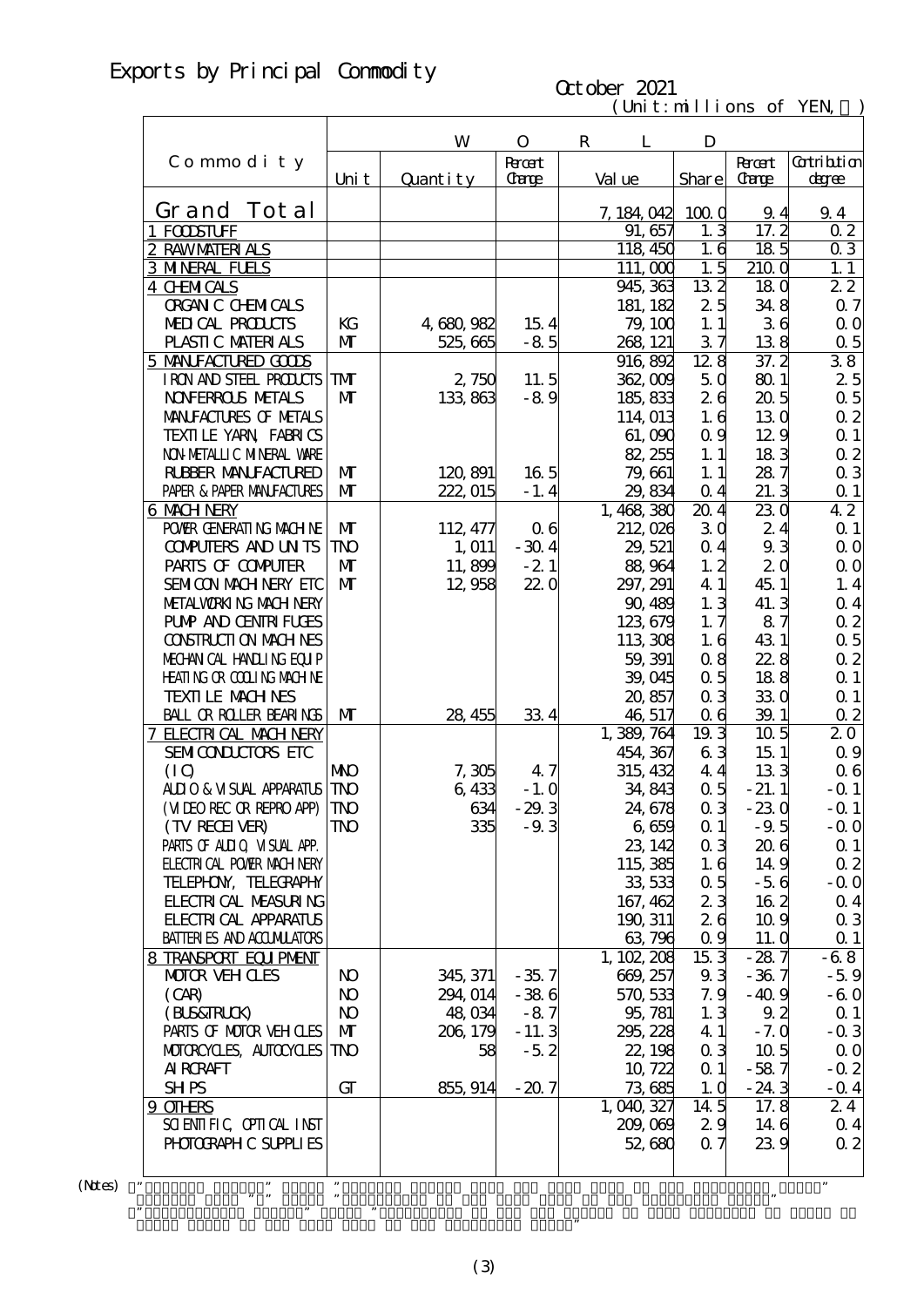# Exports by Principal Commodity

#### $(\text{Uni t}: \text{mi} \text{lli} \text{ons of } \text{YEN})$ October 2021

|                                                            |                | W                 | $\mathbf{O}$                | $\mathbf R$<br>L      | D                |                              |                             |
|------------------------------------------------------------|----------------|-------------------|-----------------------------|-----------------------|------------------|------------------------------|-----------------------------|
| Commodity                                                  | Uni t          | Quantity          | <b>Root</b><br><b>Carge</b> | Val ue                | Share            | <b>R</b> rat<br><b>Carge</b> | <b>Cotribtion</b><br>degree |
| Grand Tot al                                               |                |                   |                             |                       |                  |                              |                             |
| 1 FODSTUFF                                                 |                |                   |                             | 7, 184, 042<br>91,657 | 1000<br>1.3      | 9.4<br>17.2                  | 9.4<br>0 <sub>2</sub>       |
| 2 RAWMATERIALS                                             |                |                   |                             | 118,450               | 1.6              | 185                          | $Q_3$                       |
| <b>3 MNERAL FUELS</b>                                      |                |                   |                             | 111,000               | 1.5              | 2100                         | 1.1                         |
| <b>4 CHMICALS</b>                                          |                |                   |                             | 945, 363              | $13\overline{2}$ | 180                          | 22                          |
| <b>ORGAN C CHEMICALS</b>                                   |                |                   |                             | 181, 182              | 25               | 34.8                         | $\alpha$ 7                  |
| MEDICAL PRODUCTS                                           | KG             | 4,680,982         | 15.4                        | 79, 100               | 1.1              | 36                           | $\Omega$ O                  |
| PLASTIC MATERIALS                                          | $\mathbf{M}$   | 525, 665          | $-85$                       | 268, 121              | 37               | 138                          | $\alpha$ 5                  |
| 5 MANIFACTURED GODS                                        |                |                   |                             | 916, 892              | 128              | 37.2                         | 38                          |
| IRON AND STEEL PRODUCTS                                    | TMT            | 2,750             | 11.5                        | 362,009               | 50               | 80.1                         | 25                          |
| <b>NOFERROLS METALS</b>                                    | $\mathbf{M}$   | 133,863           | $-89$                       | 185, 833              | 26               | 20.5                         | 0.5                         |
| MANIFACTURES OF METALS                                     |                |                   |                             | 114,013               | 1.6              | 130                          | $\alpha$ 2                  |
| TEXILE YARN FABRICS                                        |                |                   |                             | 61,090                | 0.9              | 129                          | $\Omega$ 1                  |
| NON METALLIC MINERAL WARE                                  |                |                   |                             | 82, 255               | 1.1              | 183                          | $\alpha$ 2                  |
| <b>RUBBER MANUFACTURED</b>                                 | $\mathbf{M}$   | 120,891           | 165                         | 79,661                | 1.1              | 287                          | 0 <sub>3</sub>              |
| PAPER & PAPER MANJFACTURES                                 | $\mathbf{M}$   | 222, 015          | $-1.4$                      | 29,834                | $\alpha$ 4       | 21.3                         | $\Omega$ 1                  |
| <b>6 MACH NERY</b>                                         |                |                   |                             | 1,468,380             | 20.4             | 230                          | $4\overline{2}$             |
| POWIR GENERATING MACHINE                                   | $\mathbf{M}$   | 112, 477          | 06                          | 212,026               | 30               | 24                           | $\Omega$ 1                  |
| <b>CONFUTERS AND UNTS</b>                                  | TNO            | 1, 011            | $-304$                      | 29, 521               | 0.4              | 9.3                          | 0 <sub>0</sub>              |
| PARIS OF COMPUTER                                          | $\mathbf{M}$   | 11,899            | $-21$                       | 88,964                | 1, 2             | 2 <sub>0</sub>               | $\Omega$ O                  |
| SEMICON MACH NERY EIC                                      | $\mathbf{M}$   | 12,958            | 220                         | 297, 291              | 4 1              | 45.1                         | 1.4                         |
| METALWORKING MACHINERY                                     |                |                   |                             | 90, 489               | 1.3              | 41.3                         | $\alpha$ 4                  |
| <b>PUMP AND CENTRI FUGES</b>                               |                |                   |                             | 123,679               | 1, 7             | 87                           | $\alpha$ 2                  |
| <b>CONSTRUCTION MACHINES</b>                               |                |                   |                             | 113 308               | 1.6              | 431                          | $\alpha$ 5                  |
| MECHANICAL HANDLING EQUIP                                  |                |                   |                             | 59, 391               | 08               | 22.8                         | $\alpha$ 2                  |
| <b>HEATING OR COLLING MACHINE</b>                          |                |                   |                             | 39,045                | 0.5              | 188                          | $\Omega$ 1                  |
| <b>TEXILE MACHNES</b>                                      |                |                   |                             | 20,857                | 0 <sub>3</sub>   | 330                          | $\Omega$ 1                  |
| <b>BALL OR ROLLER BEARINGS</b>                             | $\mathbf{M}$   | 28, 455           | 334                         | 46, 517               | 0 <sub>6</sub>   | 39.1                         | $\Omega$                    |
| 7 ELECTRICAL MACH NERY                                     |                |                   |                             | 1,389,764             | $19\overline{3}$ | 10 <sub>5</sub>              | 20                          |
| SEMICONDUCTORS ETC                                         |                |                   |                             | 454, 367              | 63               | 15.1                         | 0.9                         |
| (IQ)                                                       | <b>NNO</b>     | 7,305             | 4.7                         | 315, 432              | 44               | 133                          | 06                          |
| ALIO & VISUAL APPARATUS                                    | <b>TNO</b>     | 6,433             | $-1.0$                      | 34,843                | $\alpha$ 5       | $-21.1$                      | $-$ Q 1                     |
| (MIEOREC OR REPROAPP)                                      | <b>TNO</b>     | 634               | $-29.3$                     | 24,678                | 0 <sub>3</sub>   | $-230$                       | $-Q_1$                      |
| (TV RECEIVER)                                              | TNO            | 335               | $-9.3$                      | 6,659                 | $\alpha$ 1       | $-9.5$                       | $-00$                       |
| PARIS OF ALLIQ VISUAL APP.                                 |                |                   |                             | 23, 142               | 0 <sub>3</sub>   | 206                          | $\alpha$ 1                  |
| <b>FLECTRI CAL POWIR MACH NERY</b>                         |                |                   |                             | 115,385               | 1.6              | 149                          | 02                          |
| TELEPHON, TELECRAPHY                                       |                |                   |                             | 33, 533               | $\alpha$ 5       | $-56$                        | $-0.0$                      |
| <b>FLECTRI CAL MEASURING</b>                               |                |                   |                             | 167, 462              | 23               | 162                          | 0 <sub>4</sub>              |
| <b>FLECTRICAL APPARATUS</b>                                |                |                   |                             | 190, 311<br>63796     | 26               | 10.9                         | $\alpha$ 3                  |
| <b>BATTERIES AND ACCUMILATORS</b><br>8 TRANSPORT EQUIPMENT |                |                   |                             | 1, 102, 208           | 0.9<br>153       | 11. Q<br>- 28.7              | $\Omega$ 1<br>$-68$         |
| <b>MOTOR VEHOLES</b>                                       | N <sub>O</sub> | 345, 371          | $-35.7$                     | 669, 257              | 93               | $-367$                       | $-5.9$                      |
| (CAB)                                                      | N <sub>O</sub> | 294, 014          | $-386$                      | 570, 533              | 7.9              | $-40.9$                      | $-60$                       |
| (BLS&TRLCK)                                                | N <sub>O</sub> | 48 <sub>034</sub> | $-87$                       | 95, 781               | 1.3              | 9.2                          | $\Omega$ 1                  |
| PARIS OF MOTOR VEH CLES                                    | $\mathbf{M}$   | 206, 179          | $-11.3$                     | 295, 228              | 4 1              | $-7.0$                       | $-0.3$                      |
| MOTOROYCLES, AUTOCYCLES                                    | <b>TNO</b>     | 58                | $-5.2$                      | 22, 198               | 0 <sub>3</sub>   | 10 <sub>5</sub>              | $\Omega$ O                  |
| <b>AI RCRAFT</b>                                           |                |                   |                             | 10, 722               | $\Omega$ 1       | $-587$                       | $-0.2$                      |
| <b>SHPS</b>                                                | GT             | 855, 914          | $-207$                      | 73,685                | 1.0              | $-24.3$                      | $-$ Q 4                     |
| 9 OTHRS                                                    |                |                   |                             | 1,040,327             | 14.5             | 17.8                         | 24                          |
| SCIENTIFIC CPIICAL INST                                    |                |                   |                             | 209,069               | 29               | 14 6                         | $\Omega$ 4                  |
| PHOTOGRAPH C SUPPLIES                                      |                |                   |                             | 52,680                | 07               | 239                          | 02                          |
|                                                            |                |                   |                             |                       |                  |                              |                             |
| ,,                                                         | $\pmb{\cdot}$  |                   |                             |                       |                  |                              | $\pmb{\mathfrak{y}}$        |

 $(N$ tes $)$ 

Grand Total of the same term in the preceding year."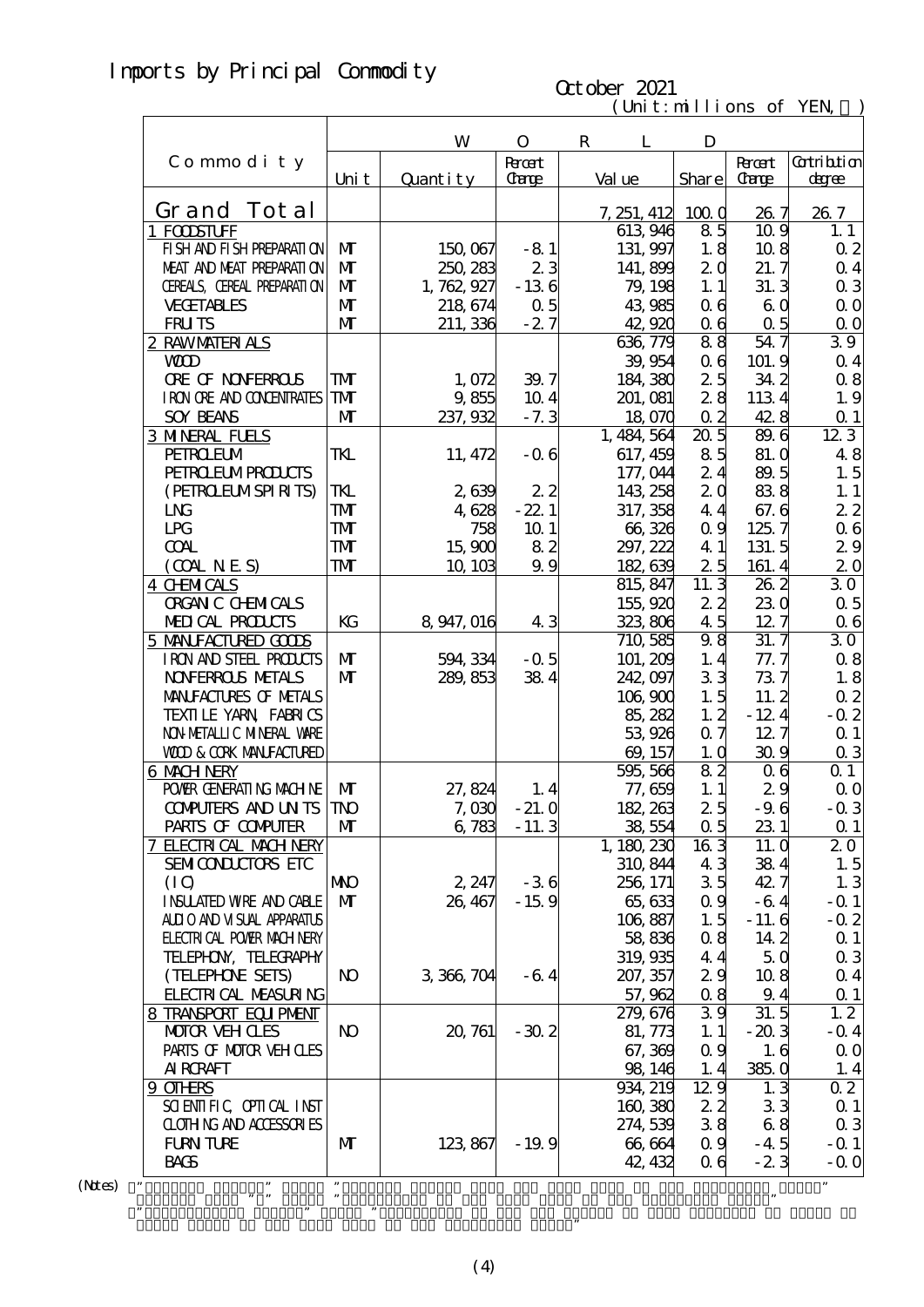# Imports by Principal Commodity

#### $(\text{Uni t}: \text{mi} \text{lli} \text{ons of } \text{YEN})$ October 2021

|                                                  |                            | W                   | $\mathbf{O}$        | $\mathbf R$<br>L      | D              |                |                          |
|--------------------------------------------------|----------------------------|---------------------|---------------------|-----------------------|----------------|----------------|--------------------------|
| Commodity                                        |                            |                     | <b>Root</b>         |                       |                | <b>Recent</b>  | Cotribtion               |
|                                                  | Uni t                      | Quantity            | <b>Carge</b>        | Val ue                | Share          | <b>Carge</b>   | degree                   |
|                                                  |                            |                     |                     |                       |                |                |                          |
| Grand Tot al                                     |                            |                     |                     | 7, 251, 412           | 1000           | 26.7           | 26.7                     |
| 1 FODSTUFF<br>FI SH AND FI SH PREPARATI ON       | $\mathbf{M}$               |                     | $-81$               | 613 946<br>131, 997   | 85<br>1.8      | 10.9<br>108    | 1.1                      |
| MEAT AND MEAT PREPARATION                        | $\mathbf{M}$               | 150,067<br>250, 283 | 23                  |                       | 2 <sub>0</sub> | 21.7           | $\alpha$ 2               |
| CEREALS, CEREAL PREPARATION                      | $\mathbf{M}$               |                     | $-136$              | 141,899               | 1.1            |                | $\alpha$ 4<br>$\alpha$ 3 |
|                                                  | $\mathbf{M}$               | 1, 762, 927         |                     | 79, 198               |                | 31.3           |                          |
| <b>VECETABLES</b><br><b>FRUTS</b>                | $\mathbf{M}$               | 218, 674            | $\alpha$ 5<br>$-27$ | 43 985<br>42,920      | 06             | 60<br>0.5      | $\Omega$ O               |
|                                                  |                            | 211, 336            |                     | 636,779               | 06<br>88       | 54.7           | $\Omega$ O<br>39         |
| 2 RAWMATERIALS<br><b>WD</b>                      |                            |                     |                     | 39,954                | 0 <sub>6</sub> | 101.9          | $Q_4$                    |
| <b>ORE OF NONFERROLS</b>                         | ${\bf T}$                  |                     | 39.7                | 184, 380              | 25             | 34.2           | 0.8                      |
| I RON ORE AND CONDENTRATES                       | TM                         | 1,072               | 10.4                | 201, 081              | 28             |                | 1.9                      |
| <b>SOY BEANS</b>                                 | M                          | 9,855<br>237,932    | $-7.3$              |                       | $\alpha$ 2     | 1134<br>42.8   |                          |
| <b>3 MNERAL FUELS</b>                            |                            |                     |                     | 18,070<br>1, 484, 564 | 205            | 89.6           | $\Omega$ 1<br>123        |
| <b>PEIROEUM</b>                                  | TKL                        | 11, 472             |                     |                       | 85             | 81.0           | 48                       |
| <b>PEIRO ELMPROLCIS</b>                          |                            |                     | $-06$               | 617, 459              | 24             |                |                          |
| (PEIROELMSPIRITS)                                |                            |                     | 22                  | 177,044<br>143 258    | 20             | 89.5<br>838    | 1.5                      |
| L <sub>N</sub>                                   | TKL<br>${\bf T}$           | 2639                | $-22.1$             |                       | 44             | 67.6           | 1.1                      |
|                                                  |                            | 4,628               |                     | 317, 358              |                |                | 22                       |
| LPG                                              | ${\bf T}$                  | 758                 | 10 <sub>1</sub>     | 66,326                | $\alpha$ 9     | 125.7          | 06                       |
| <b>COAL</b>                                      | <b>TM</b>                  | 15,900              | 82                  | 297, 222              | 4 1            | 131.5          | 29                       |
| (OMINES)                                         | ${\bf T}$                  | 10, 103             | 99                  | 182,639               | 25<br>11.3     | 161.4          | 20                       |
| <b>4 CHMICALS</b>                                |                            |                     |                     | 815, 847              |                | 262            | 30                       |
| <b>ORGAN C CHEMICALS</b>                         |                            |                     |                     | 155,920               | 22             | 230            | $\alpha$ 5               |
| MEDICAL PRODUCTS                                 | KG                         | 8 947, 016          | 43                  | 323,806               | 45             | 12.7           | 06                       |
| 5 MANIFACTURED GOODS                             |                            |                     |                     | 710, 585              | 98             | 31.7           | 30                       |
| IRON AND STEEL PRODUCTS                          | $\mathbf{M}$               | 594, 334            | $-0.5$              | 101, 209              | 1.4            | 77. 7          | 0.8                      |
| <b>NOVERROLS NETALS</b>                          | $\mathbf{M}$               | 289, 853            | 384                 | 242,097               | 33             | 737            | 1.8                      |
| MANIFACTURES OF METALS                           |                            |                     |                     | 106, 900              | 1.5            | 11.2           | $\alpha$ 2               |
| TEXILLE YARN FABRICS                             |                            |                     |                     | 85, 282               | 1, 2           | $-12.4$        | $-0.2$                   |
| NON METALLIC MINERAL VARE                        |                            |                     |                     | 53,926                | 0.7            | 12.7           | $\alpha$ 1               |
| <b>WOD &amp; CORK MANIFACTURED</b>               |                            |                     |                     | 69, 157               | 1.0            | 309            | $\alpha$ 3               |
| 6 MACH NERY                                      |                            |                     |                     | 595, 566              | 82             | 0 <sub>6</sub> | $Q_1$                    |
| POWER GENERATING MACHINE                         | M                          | 27,824              | 1.4                 | 77,659                | 1.1            | 29             | $\Omega$ O<br>$-0.3$     |
| <b>CONFUTERS AND UNTS</b>                        | <b>TNO</b>                 | 7,030               | $-21.0$             | 182, 263              | 25             | $-9.6$         |                          |
| PARIS OF COMPUTER                                | M                          | 6,783               | $-11.3$             | 38,554                | $\alpha$ 5     | 23 1           | $\Omega$ 1               |
| 7 ELECTRICAL MACH NERY                           |                            |                     |                     | 1,180,230             | $16\bar{3}$    | 11. Q          | 20                       |
| SEMICONDUCTORS ETC                               |                            |                     |                     | 310, 844              | 43             | 384            | 1.5                      |
| (IQ)                                             | <b>NNO</b><br>$\mathbf{M}$ | 2, 247              | $-36$               | 256, 171              | 35             | 42.7           | 1.3                      |
| <b>INSUATED WRE AND CABLE</b>                    |                            | 26, 467             | $-159$              | 65,633                | $\alpha$ 9     | $-64$          | $-0.1$                   |
| ALII O AND VI SUAL APPARATUS                     |                            |                     |                     | 106,887               | 1.5            | $-11.6$        | $-0.2$                   |
| <b>ELECTRICAL POWIR MACH NERY</b>                |                            |                     |                     | 58,836                | 0.8            | 14 2           | $Q_1$                    |
| TELEPHON, TELECRAPHY                             |                            |                     |                     | 319,935               | 44<br>29       | 50             | $\alpha$ 3               |
| (TELEPHONE SETS)<br><b>FLECTRI CAL MEASURING</b> | N <sub>O</sub>             | 3 366 704           | $-64$               | 207, 357<br>57,962    | 0.8            | 108<br>9.4     | $\alpha$ 4               |
|                                                  |                            |                     |                     | 279,676               | 39             | 31.5           | $\Omega$ 1<br>1, 2       |
| 8 TRANSPORT EQUIPMENT<br><b>MOTOR VEHOLES</b>    | <b>N</b>                   | 20, 761             | $-30.2$             | 81, 773               | 1.1            | $-203$         | $-$ Q 4                  |
| PARIS OF MOTOR VEH CLES                          |                            |                     |                     | 67,369                | 0.9            | 1.6            | $\Omega$ O               |
| <b>AI RCRAFT</b>                                 |                            |                     |                     | 98, 146               | 1.4            | 385.0          | 1.4                      |
| 9 OTHRS                                          |                            |                     |                     | 934, 219              | 129            | 1.3            | 02                       |
| SCIENTIFIC CPITCAL INST                          |                            |                     |                     | 160,380               | 22             | 33             | $\Omega$ 1               |
| CLOTHING AND ACCESSORIES                         |                            |                     |                     | 274,539               | 38             | 68             | $\alpha$ 3               |
| <b>FURN TURE</b>                                 | M                          | 123,867             | $-19.9$             | 66,664                | 0.9            | $-4.5$         | $-Q_1$                   |
| <b>BACS</b>                                      |                            |                     |                     | 42, 432               | 06             | $-23$          | $-0.0$                   |
|                                                  |                            |                     |                     |                       |                |                |                          |
| ,,                                               | ,,                         |                     |                     |                       |                |                |                          |

 $(N$ tes $)$ 

Grand Total of the same term in the preceding year."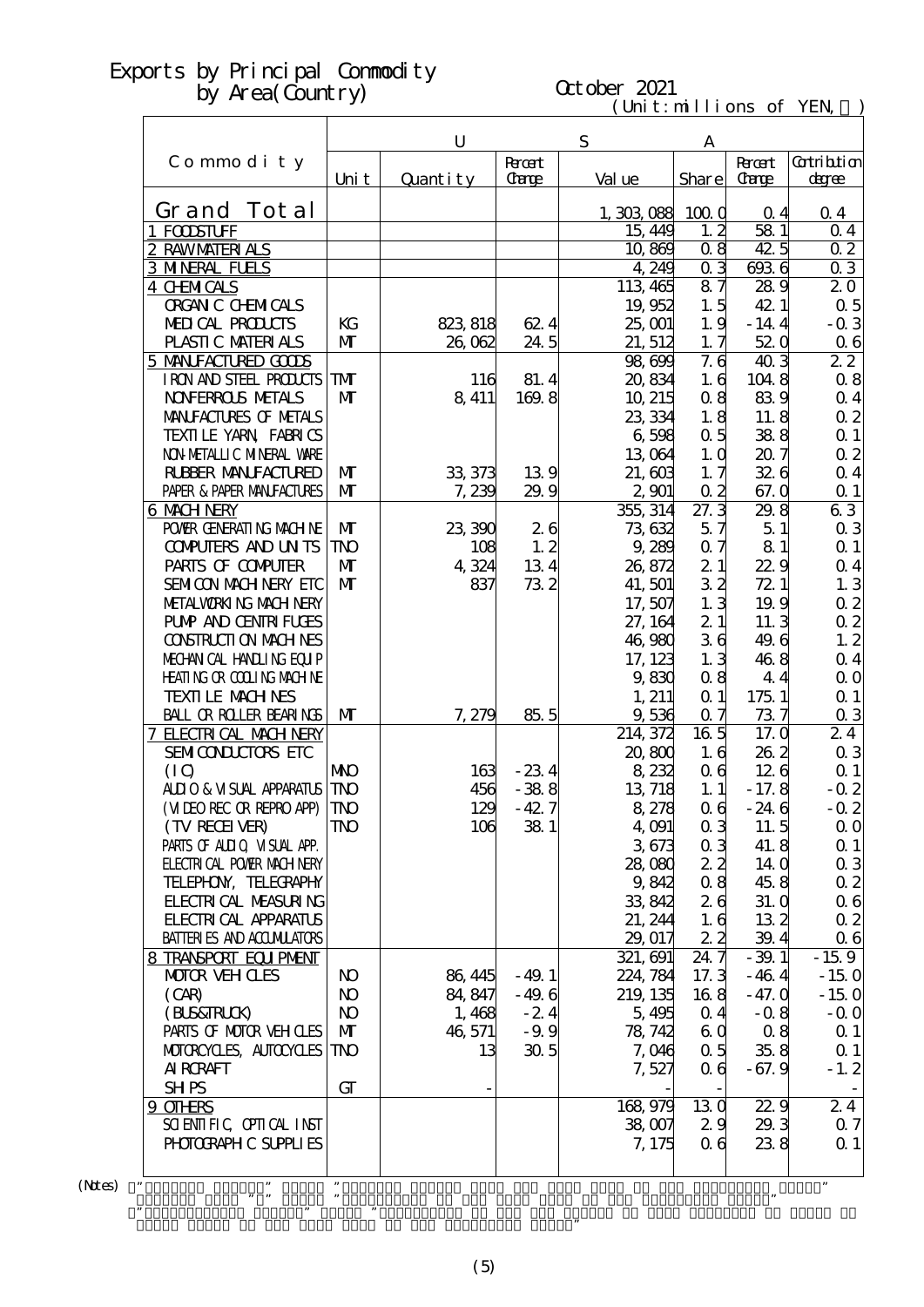# October 2021

 $(\text{Uni t}: \text{mi} \text{lli} \text{ons of } \text{YEN})$ 

|                                                |                            | $\mathbf U$  |                             | S                    | Α                 |                               |                              |
|------------------------------------------------|----------------------------|--------------|-----------------------------|----------------------|-------------------|-------------------------------|------------------------------|
| Commodity                                      | Uni t                      | Quantity     | <b>Root</b><br><b>Carge</b> | Val ue               | Share             | <b>Recent</b><br><b>Carge</b> | <b>Cotribtion</b><br>degree  |
| Grand Tot al                                   |                            |              |                             |                      |                   |                               |                              |
| 1 FOODSTUFF                                    |                            |              |                             | 1,303,088<br>15, 449 | 1000<br>1, 2      | 0 <sub>4</sub><br>58 1        | 0 <sub>4</sub><br>$\Omega$ 4 |
| 2 RAWMATERIALS                                 |                            |              |                             | 10,869               | 0.8               | 42.5                          | 0 <sub>2</sub>               |
| <b>3 MNERAL FUELS</b>                          |                            |              |                             | 4,249                | $\alpha$ 3        | 6936                          | 03                           |
| <b>4 CHMICALS</b>                              |                            |              |                             | 113, 465             | 87                | 289                           | 20                           |
| <b>ORGAN C CHEMICALS</b>                       |                            |              |                             | 19,952               | 1.5               | 42 1                          | $\alpha$ 5                   |
| MEDICAL PRODUCTS                               | KG                         | 823, 818     | 624                         | 25,001               | 1.9               | $-14.4$                       | $-0.3$                       |
| PLASTIC MATERIALS                              | $\mathbf{M}$               | 26,062       | 24.5                        | 21, 512              | 1.7               | 520                           | $\alpha$ 6                   |
| 5 MANIFACTURED GOODS                           |                            |              |                             | 98,699               | 7.6               | 403                           | 22                           |
| IRON AND STEEL PRODUCTS                        | TM                         | 116          | 81.4                        | 20,834               | 1.6               | 1048                          | $\alpha$ 8                   |
| <b>NOVERROLS METALS</b>                        | $\mathbf{M}$               | 8,411        | 169.8                       | 10, 215              | 08                | 839                           | $\alpha$ 4                   |
| MANIFACTURES OF METALS                         |                            |              |                             | 23, 334              | 1.8               | 11.8                          | $\alpha$ 2                   |
| TEXILLE YARN FABRICS                           |                            |              |                             | 6,598                | 0.5               | 388                           | $Q_1$                        |
| NON METALLIC MINERAL WARE                      |                            |              |                             | 13,064               | 1.0               | 207                           | $\alpha$ 2                   |
| <b>RUBBER MANUFACTURED</b>                     | $\mathbf{M}$               | 33, 373      | 139                         | 21,603               | 1.7               | 326                           | $\alpha$ 4                   |
| PAPER & PAPER MANFACTURES                      | M                          | 7,239        | 29.9                        | 2,901                | $\alpha$ 2        | 67.0                          | $\Omega$ 1                   |
| <b>6 MACH NERY</b>                             |                            |              |                             | 355, 314             | 27.3              | 29.8                          | 63                           |
| POWER GENERATING MACHINE                       | M                          | 23,390       | 26                          | 73,632               | 57                | 51                            | $\alpha$ 3                   |
| <b>CONPUTERS AND UNTS</b><br>PARIS OF COMPUTER | <b>TNO</b><br>$\mathbf{M}$ | 108          | 1, 2                        | 9,289                | $\alpha$ 7        | 81                            | $\Omega$ 1                   |
| SEMICON MACH NERY ETC                          | $\mathbf{M}$               | 4,324<br>837 | 134<br>732                  | 26,872<br>41,501     | 21<br>32          | 22.9<br>72 1                  | $\alpha$ 4<br>1.3            |
| METALWORKING MACHINERY                         |                            |              |                             | 17,507               | 1.3               | 19.9                          | $\alpha$ 2                   |
| <b>PUMP AND CENTRI FUGES</b>                   |                            |              |                             | 27, 164              | 21                | 11.3                          | $\alpha$ 2                   |
| <b>CONSTRUCTION MACHINES</b>                   |                            |              |                             | 46,980               | 36                | 49.6                          | 1.2                          |
| MECHANICAL HANDLING EQUIP                      |                            |              |                             | 17, 123              | 1.3               | 468                           | $\alpha$ 4                   |
| <b>HEATING OR COLLING MACHINE</b>              |                            |              |                             | 9,830                | 0.8               | 44                            | $\alpha$ o                   |
| <b>TEXTILE MACHNES</b>                         |                            |              |                             | 1, 211               | $\Omega$ 1        | 175 1                         | $\Omega$ 1                   |
| BALL OR ROLLER BEARINGS                        | $\mathbf{M}$               | 7,279        | 85.5                        | 9,536                | $\alpha$ 7        | 737                           | $\alpha$ 3                   |
| 7 ELECTRICAL MACH NERY                         |                            |              |                             | 214, 372             | 16 <sub>5</sub>   | 17. Q                         | 24                           |
| SEMICONDUCTORS ETC                             |                            |              |                             | 20,800               | 1.6               | 262                           | $\alpha$ 3                   |
| (IQ)                                           | <b>NIO</b>                 | 163          | $-234$                      | 8,232                | 06                | 126                           | $\Omega$ 1                   |
| <b>ALLIO &amp; VISUAL APPARATUS</b>            | <b>TNO</b>                 | 456          | $-388$                      | 13, 718              | 1.1               | $-17.8$                       | $-0.2$                       |
| (MIEO REC OR REPRO APP)                        | <b>TNO</b>                 | 129          | $-42.7$                     | 8,278                | 06                | $-246$                        | $-0.2$                       |
| (TV RECEIVER)                                  | $\mathbf{T} \mathbf{N}$    | 106          | 381                         | 4,091                | 0 <sub>3</sub>    | 11.5                          | $\Omega$ O                   |
| PARIS OF ALLIQ VISUAL APP.                     |                            |              |                             | 3673                 | 0 <sub>3</sub>    | 41.8                          | $\alpha$ 1                   |
| <b>ELECTRICAL POWIR MACH NERY</b>              |                            |              |                             | 28,080               | 22                | 14 <sub>0</sub>               | $\alpha$ 3                   |
| TELEPHON, TELECRAPHY                           |                            |              |                             | 9,842                | 0.8               | 45.8                          | $\alpha$ 2                   |
| <b>FLECTRICAL MEASURING</b>                    |                            |              |                             | 33,842               | 26                | 31. Q                         | $\alpha$ 6                   |
| <b>FLECTRICAL APPARATUS</b>                    |                            |              |                             | 21, 244              | 1.6               | 132                           | $\alpha$ 2                   |
| <b>BATTERIES AND ACCUMILATORS</b>              |                            |              |                             | 29, 017              | 22<br>$24\bar{7}$ | 39.4                          | 06                           |
| 8 TRANSPORT EQUIPMENT<br><b>MOTOR VEH CLES</b> | N <sub>O</sub>             | 86, 445      | $-49.1$                     | 321, 691<br>224, 784 | 17.3              | $-39.1$<br>$-464$             | $-15.9$<br>$-150$            |
| (CAB)                                          | <b>N</b>                   | 84, 847      | $-49.6$                     | 219, 135             | 168               | $-47.0$                       | $-150$                       |
| (BLS&RRLCK)                                    | <b>N</b>                   | 1,468        | $-24$                       | 5,495                | 0.4               | $-0.8$                        | $-$ Q O                      |
| PARIS OF MOTOR VEH OLES                        | $\mathbf{M}$               | 46,571       | $-9.9$                      | 78, 742              | 6 <sub>0</sub>    | 08                            | $\alpha$ 1                   |
| MOTOROYCLES, AUTOCYCLES                        | TNO                        | 13           | 30 <sub>5</sub>             | 7,046                | 0.5               | 35.8                          | $\alpha$ 1                   |
| <b>AI RCRAFT</b>                               |                            |              |                             | 7,527                | 06                | $-67.9$                       | $-1.2$                       |
| <b>SHPS</b>                                    | GT                         |              |                             |                      |                   |                               |                              |
| 9 OTHRS                                        |                            |              |                             | 168,979              | 13 <sub>Q</sub>   | 229                           | 24                           |
| SCIENTIFIC CPITCAL INST                        |                            |              |                             | 38,007               | 29                | 29.3                          | $\alpha$ 7                   |
| PHOTOGRAPH C SUPPLIES                          |                            |              |                             | 7, 175               | 06                | 238                           | $\alpha$ 1                   |
|                                                |                            |              |                             |                      |                   |                               |                              |
|                                                | 99                         |              |                             |                      |                   |                               | 99                           |

 $(N$ tes $)$ 

Grand Total of the same term in the preceding year."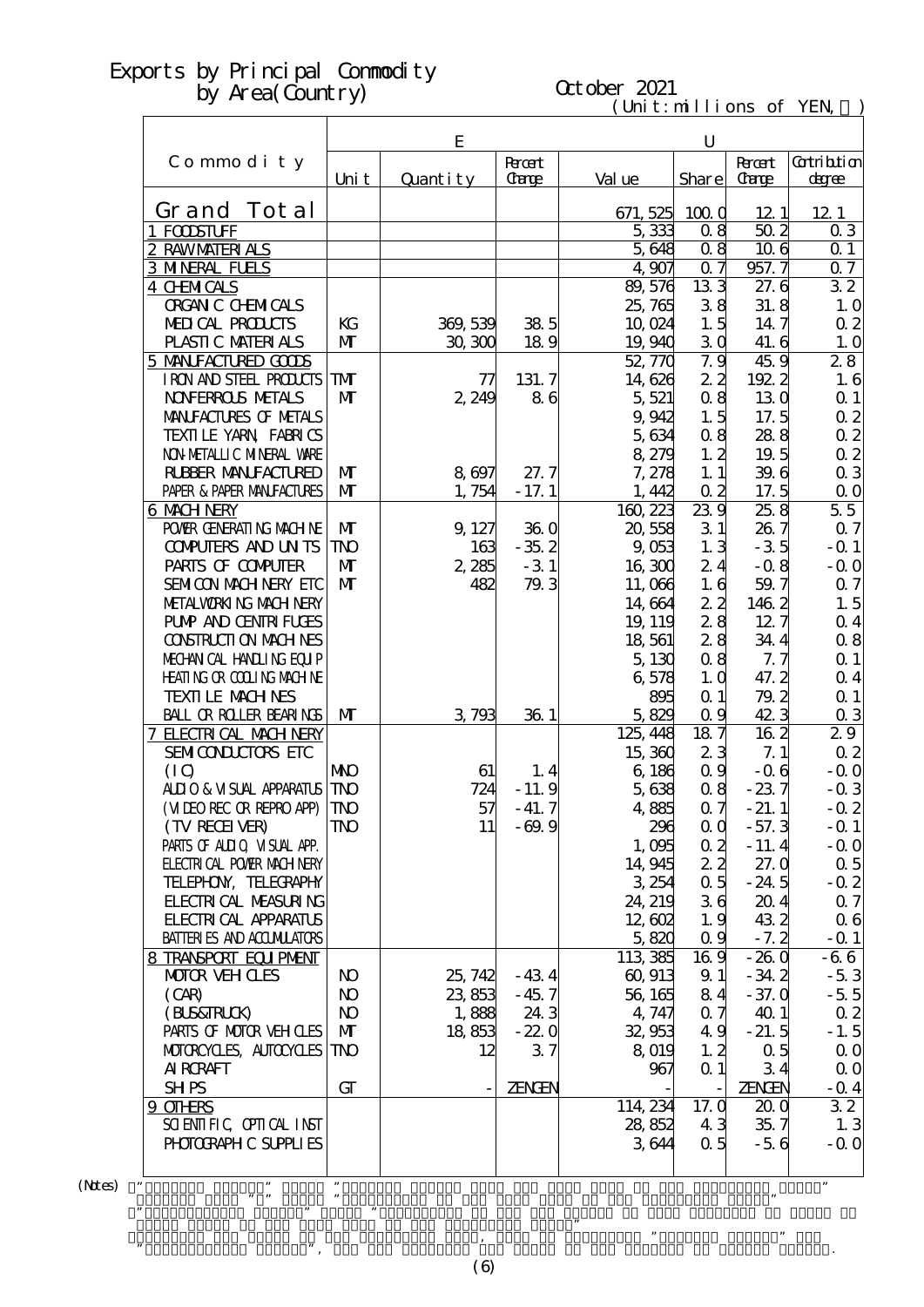# October 2021

 $(\text{Uni t}: \text{mi} \text{lli} \text{ons of } \text{YEN})$ 

|                                                  |                          | E         |                |                      | $\mathbf U$       |                         |                   |
|--------------------------------------------------|--------------------------|-----------|----------------|----------------------|-------------------|-------------------------|-------------------|
| Commodity                                        |                          |           | <b>Recent</b>  |                      |                   | <b>Recent</b>           | <b>Cotribtion</b> |
|                                                  | Uni t                    | Quantity  | <b>Carge</b>   | Val ue               | Share             | <b>Carge</b>            | degree            |
| Grand Tot al                                     |                          |           |                | 671, 525             | 1000              | 121                     | 12 1              |
| 1 FODSTUFF                                       |                          |           |                | 5,333                | 0.8               | $50\overline{2}$        | 03                |
| 2 RAWMATERIALS                                   |                          |           |                | 5,648                | 0.8               | 106                     | 0 <sub>1</sub>    |
| <b>3 MNERAL FUELS</b>                            |                          |           |                | 4,907                | 07                | 957.7                   | 07                |
| 4 CHMICALS                                       |                          |           |                | 89,576               | 133               | 27.6                    | $\overline{32}$   |
| <b>ORGAN C CHEMICALS</b>                         |                          |           |                | 25,765               | 38                | 31.8                    | 1.0               |
| MEDICAL PRODUCTS                                 | KG                       | 369, 539  | 38.5           | 10,024               | 1.5               | 14.7                    | 0 <sub>2</sub>    |
| PLASTIC MATERIALS                                | $\mathbf{M}$             | 30,300    | 189            | 19,940               | 30                | 41.6                    | 1.0               |
| 5 MANIFACTURED GOODS<br>I RON AND STEEL PRODUCTS | <b>TM</b>                | 77        | 131.7          | 52,770<br>14,626     | 7.9<br>22         | 45.9<br>1922            | 28                |
| <b>NOVERROLS METALS</b>                          | $\mathbf{M}$             | 2,249     | 86             | 5,521                | 0.8               | 130                     | 1.6<br>$\Omega$ 1 |
| MANIFACTURES OF METALS                           |                          |           |                | 9,942                | 1.5               | 17.5                    | 0 <sub>2</sub>    |
| TEXILLE YARN FABRICS                             |                          |           |                | 5,634                | 0.8               | 288                     | $\alpha$ 2        |
| NON METALLIC MINERAL WARE                        |                          |           |                | 8,279                | 1.2               | 19.5                    | 0 <sub>2</sub>    |
| <b>RUBBER MANUFACTURED</b>                       | $\mathbf{M}$             | 8 697     | 27.7           | 7,278                | 1.1               | 39.6                    | $\alpha$ 3        |
| PAPER & PAPER MANFACTURES                        | $\mathbf{M}$             | 1,754     | $-17.1$        | 1,442                | $\alpha$ 2        | 17.5                    | $\Omega$ O        |
| 6 MACH NERY                                      |                          |           |                | $160 \overline{223}$ | 239               | 25.8                    | 55                |
| POWER GENERATING MACHINE                         | $\mathbf{M}$             | 9, 127    | 360            | 20,558               | 31                | 26.7                    | 0.7               |
| <b>CONPUTERS AND UNTS</b>                        | <b>TNO</b>               | 163       | $-35.2$        | 9,053                | 1.3               | $-35$                   | $-Q$ 1            |
| PARIS OF COMPUTER                                | $\mathbf{M}$             | 2,285     | $-31$          | 16,300               | 24                | $-0.8$                  | $-0.0$            |
| SEMICON MACH NERY ETC                            | $\mathbf{M}$             | 482       | 79.3           | 11,066               | 1.6               | 59.7                    | $\alpha$ 7        |
| METALWORKING MACH NERY                           |                          |           |                | 14,664               | 22                | 1462                    | 1.5               |
| <b>PUMP AND CENTRI FUGES</b>                     |                          |           |                | 19, 119              | 28                | 127                     | 0.4               |
| <b>CONSTRUCTION MACHINES</b>                     |                          |           |                | 18,561               | 28                | 34.4                    | $\alpha$ 8        |
| MECHANICAL HANDLING EQUIP                        |                          |           |                | 5,130                | 0.8               | 7.7                     | $\Omega$ 1        |
| <b>HEATING OR COLLING MACHINE</b>                |                          |           |                | 6,578                | 1.0               | 47.2                    | 0.4               |
| <b>TEXTI LE MACH NES</b>                         |                          |           |                | 895                  | Q <sub>1</sub>    | 79.2                    | $\Omega$ 1        |
| BALL OR ROLLER BEARINGS                          | $\mathbf{M}$             | 3,793     | 36 1           | 5,829                | 0.9               | 42.3                    | 03                |
| 7 ELECTRICAL MACH NERY                           |                          |           |                | 125, 448             | 187               | 162                     | 29                |
| SEMICONDUCTORS ETC                               |                          |           |                | 15,360               | 23                | 7.1                     | $\alpha$ 2        |
| (IQ)<br><b>ALLIO &amp; VISUAL APPARATUS</b>      | <b>NIO</b><br><b>TNO</b> | 61<br>724 | 1.4<br>$-11.9$ | 6,186<br>5,638       | $\alpha$ 9<br>0.8 | $-06$<br>$-237$         | $-0.0$<br>$-0.3$  |
| (MIEO REC OR REPRO APP)                          | <b>TNO</b>               | 57        | $-41.7$        | 4,885                | $\alpha$ 7        | $-21.1$                 | $-0.2$            |
| (TV RECEIVER)                                    | ${\rm I\!N\!O}$          | 11        | $-69.9$        | 296                  | $\alpha$ $\alpha$ | $-57.3$                 | $-Q_1$            |
| PARIS OF ALLIQ VISUAL APP.                       |                          |           |                | 1,005                | $\alpha$ 2        | $-11.4$                 | $-0.0$            |
| <b>FLECTRICAL POWER MACH NERY</b>                |                          |           |                | 14,945               | 22                | 27.0                    | $\alpha$ 5        |
| TELEPHON, TELECRAPHY                             |                          |           |                | 3 254                | $\alpha$ 5        | $-24.5$                 | $-0.2$            |
| <b>FLECTRICAL MEASURING</b>                      |                          |           |                | 24, 219              | 36                | 204                     | $\alpha$ 7        |
| <b>FLECTRICAL APPARATUS</b>                      |                          |           |                | 12,602               | 1.9               | 432                     | 06                |
| <b>BATTERIES AND ACCUMULATORS</b>                |                          |           |                | 5,820                | 0.9               | $-7.2$                  | $-0.1$            |
| 8 TRANSPORT EQUIPMENT                            |                          |           |                | 113,385              | 169               | $-260$                  | $-66$             |
| <b>MOTOR VEHOLES</b>                             | N <sub>O</sub>           | 25, 742   | $-434$         | 60, 913              | 9.1               | $-34.2$                 | $-53$             |
| (CAB)                                            | N <sub>O</sub>           | 23,853    | $-45.7$        | 56, 165              | 84                | $-37.0$                 | $-5.5$            |
| (BLS&FRLCK)                                      | N <sub>O</sub>           | 1,888     | 24.3           | 4, 747               | 0.7               | 401                     | $\alpha$ 2        |
| PARIS OF MOTOR VEH OLES                          | $\mathbf{M}$             | 18,853    | $-22.0$        | 32,953               | 49                | $-21.5$                 | $-1.5$            |
| MOTOROYCLES, AUTOCYCLES                          | TNO                      | 12        | 37             | 8 019                | 1, 2              | 0.5                     | $\Omega$ O        |
| <b>AI RCRAFT</b>                                 |                          |           |                | 967                  | $\alpha$ 1        | 34                      | $\Omega$ O        |
| <b>SHPS</b>                                      | GT                       |           | <b>ZENGEN</b>  |                      |                   | <b>ZENGEN</b>           | $-$ Q 4           |
| 9 OTHRS<br>SCIENTIFIC CPITCAL INST               |                          |           |                | 114, 234<br>28,852   | 17. Q<br>43       | 20 <sub>0</sub><br>35.7 | 32                |
| PHOTOGRAPH C SUPPLIES                            |                          |           |                | 3644                 | 0.5               | $-56$                   | 1.3<br>$-0.0$     |
|                                                  |                          |           |                |                      |                   |                         |                   |
|                                                  |                          |           |                |                      |                   |                         | 99                |

 $(N$ tes) "

 Figures with "\*" means "Multiplier to the same term in the preceding year." ・"Contribution degree" means "Percentage of the Yen Change of that category of goods to Grand Total of the same term in the preceding year." , we are the preceding year, used to calculate  $\mathcal{P}$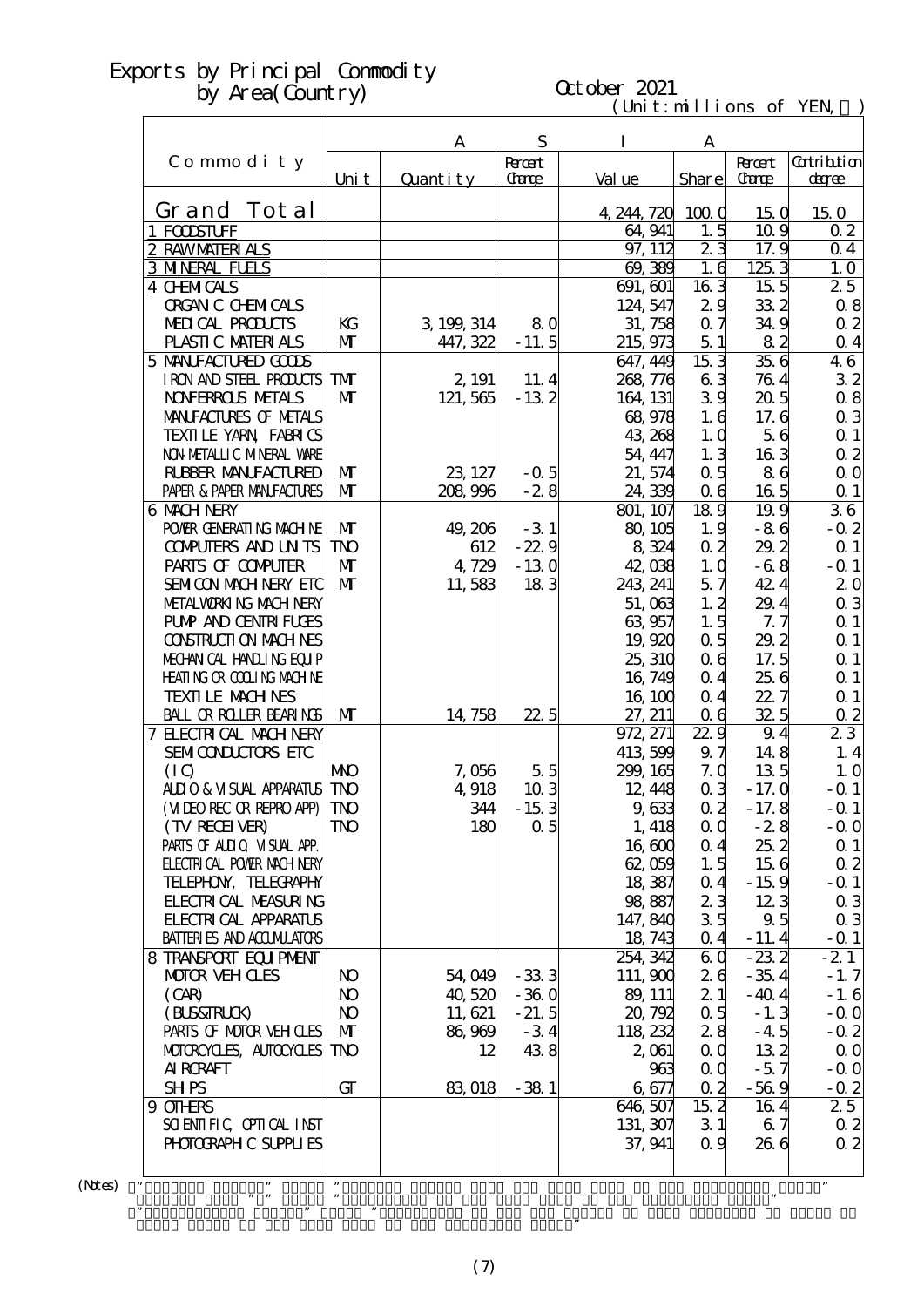# October 2021

 $(\text{Uni t}: \text{mi} \text{lli} \text{ons of } \text{YEN})$ 

|                                                        |                      | A           | S                       | I                | A                                  |                               |                          |
|--------------------------------------------------------|----------------------|-------------|-------------------------|------------------|------------------------------------|-------------------------------|--------------------------|
| Commodity                                              | Uni t                | Quantity    | <b>R</b> rcent<br>Carge | Val ue           | Share                              | <b>Recent</b><br><b>Carge</b> | Gatribition<br>degree    |
| Grand Tot al                                           |                      |             |                         | 4, 244, 720      | 1000                               | 150                           | 150                      |
| 1 FODSTUFF                                             |                      |             |                         | 64, 941          | 1.5                                | 10.9                          | 0 <sub>2</sub>           |
| 2 RAWMATERIALS                                         |                      |             |                         | 97, 112          | $\overline{2}3$                    | 17.9                          | $\Omega$ 4               |
| <b>3 MNERAL FUELS</b>                                  |                      |             |                         | 69,389           | 1.6                                | $125\overline{3}$             | 1.0                      |
| <b>4 CHMICALS</b>                                      |                      |             |                         | 691, 601         | $16\overline{3}$                   | 15 <sub>5</sub>               | 25                       |
| <b>ORGAN C CHEMICALS</b>                               |                      |             |                         | 124, 547         | 29                                 | 332                           | 0.8                      |
| MEDICAL PRODUCTS                                       | KG                   | 3, 199, 314 | 80                      | 31, 758          | 0.7                                | 34.9                          | $\alpha$ 2               |
| PLASTIC MATERIALS                                      | $\mathbf{M}$         | 447, 322    | $-11.5$                 | 215, 973         | 51                                 | 82                            | $\Omega$ 4               |
| 5 MANIFACTURED GOODS                                   |                      |             |                         | 647, 449         | 153                                | 35.6                          | 46                       |
| I RON AND STEEL PRODUCTS                               | ${\bf T}$            | 2, 191      | 11.4                    | 268, 776         | 63                                 | 764                           | 32                       |
| <b>NOVERROLS NETALS</b>                                | $\mathbf{M}$         | 121,565     | $-132$                  | 164 131          | 39                                 | 205                           | 0.8                      |
| MANIFACTURES OF METALS                                 |                      |             |                         | 68 978           | 1.6                                | 17.6                          | $\alpha$ 3               |
| TEXILE YARN FABRICS                                    |                      |             |                         | 43 268           | 1.0                                | 56                            | $\Omega$ 1               |
| NON METALLIC MINERAL VARE                              |                      |             |                         | 54, 447          | 1.3                                | 163                           | $\alpha$ 2               |
| <b>RUBBER MANUFACTURED</b>                             | $\mathbf{M}$         | 23, 127     | $-0.5$                  | 21, 574          | 0.5                                | 86                            | $\Omega$ O               |
| PAPER & PAPER MANJFACTURES                             | $\mathbf{M}$         | 208,996     | $-28$                   | 24,339           | 0 <sub>6</sub>                     | 165                           | $\alpha$ 1               |
| 6 MACH NERY                                            |                      |             |                         | 801, 107         | $18\overline{9}$                   | 19.9                          | 36                       |
| POWIR GENERATING MACHINE                               | $\mathbf{M}$         | 49, 206     | $-31$                   | 80, 105          | 1.9                                | $-86$                         | $-0.2$                   |
| <b>CONFUTERS AND UNTS</b>                              | <b>TNO</b>           | 612         | $-22.9$                 | 8 3 24           | $\alpha$ 2                         | 29.2                          | $\alpha$ 1               |
| PARIS OF COMPUTER                                      | $\mathbf{M}$         | 4,729       | $-130$                  | 42,038           | 1.0                                | $-6.8$                        | $-Q_1$                   |
| SEMICON MACH NERY ETC                                  | $\mathbf{M}$         | 11,583      | 183                     | 243, 241         | 57                                 | 42.4                          | 20                       |
| METALWORKING MACH NERY<br><b>PUMP AND CENTRI FUGES</b> |                      |             |                         | 51,063           | 1, 2<br>1.5                        | 29.4<br>7.7                   | $\alpha$ 3               |
| <b>CONSTRUCTION MACHINES</b>                           |                      |             |                         | 63,957<br>19,920 | $\alpha$ 5                         | 29.2                          | $\Omega$ 1<br>$\Omega$ 1 |
| MECHANICAL HANDLING EQUIP                              |                      |             |                         | 25, 310          | 06                                 | 17.5                          | $\Omega$ 1               |
| <b>HEATING OR COLLING MACHINE</b>                      |                      |             |                         | 16, 749          | 0.4                                | 25 6                          | $\Omega$ 1               |
| <b>TEXTILE MACHNES</b>                                 |                      |             |                         | 16, 100          | 0.4                                | 22.7                          | Q <sub>1</sub>           |
| <b>BALL OR ROLLER BEARINGS</b>                         | $\mathbf{M}$         | 14, 758     | 22.5                    | 27, 211          | 0 <sub>6</sub>                     | 32.5                          | $\Omega$                 |
| 7 ELECTRICAL MACH NERY                                 |                      |             |                         | 972, 271         | $22\overline{9}$                   | 9.4                           | $2\overline{3}$          |
| SEMICONDUCTORS ETC                                     |                      |             |                         | 413 599          | 97                                 | 148                           | 1.4                      |
| (IO)                                                   | <b>NNO</b>           | 7,056       | 55                      | 299, 165         | 7.0                                | 135                           | 1.0                      |
| ALIO & VISUAL APPARATUS                                | <b>TNO</b>           | 4,918       | 103                     | 12, 448          | 0 <sub>3</sub>                     | $-17.0$                       | $-Q_1$                   |
| (MIEO REC OR REPRO APP)                                | <b>TNO</b>           | 344         | $-153$                  | 9,633            | 0 <sub>2</sub>                     | $-17.8$                       | $-$ Q 1                  |
| (TV RECEIVER)                                          | TNO                  | 180         | 0.5                     | 1, 418           | $\alpha$ $\alpha$                  | $-28$                         | $-0.0$                   |
| PARIS OF ALLIQ VISUAL APP.                             |                      |             |                         | 16,600           | 0.4                                | 25.2                          | $\alpha$ 1               |
| <b>FLECTRI CAL POWIR MACH NERY</b>                     |                      |             |                         | 62,059           | 1.5                                | 156                           | $\alpha$ 2               |
| TELEPHON, TELECRAPHY                                   |                      |             |                         | 18,387           | $\alpha$ 4                         | $-15.9$                       | $-$ Q 1                  |
| <b>FLECTRI CAL MEASURING</b>                           |                      |             |                         | 98,887           | 23                                 | 123                           | $\alpha$ 3               |
| <b>FLECTRICAL APPARATUS</b>                            |                      |             |                         | 147, 840         | 35                                 | 9.5                           | $\alpha$ 3               |
| <b>BATTERIES AND ACCUMILATORS</b>                      |                      |             |                         | 18, 743          | 0.4                                | $-11.4$                       | $-$ Q 1                  |
| 8 TRANSPORT EQUIPMENT                                  |                      |             |                         | 254, 342         | 6Q                                 | $-232$                        | $-21$                    |
| <b>MOTOR VEHOLES</b>                                   | N <sub>O</sub>       | 54,049      | $-333$                  | 111,900          | 26                                 | $-35.4$                       | $-1.7$                   |
| (CAR)                                                  | N <sub>O</sub>       | 40,520      | $-360$                  | 89, 111          | 21                                 | $-40.4$                       | $-1.6$                   |
| (BLS&TRLCK)                                            | <b>N</b>             | 11, 621     | $-21.5$                 | 20, 792          | $\alpha$ 5                         | $-1.3$                        | $-0.0$                   |
| PARIS OF MOTOR VEH CLES                                | $\mathbf{M}$         | 86,969      | $-34$                   | 118, 232         | 28                                 | $-4.5$                        | $-0.2$                   |
| MOTOROYCLES, AUTOCYCLES                                | TNO                  | 12          | 438                     | 2,061            | 0 <sub>0</sub>                     | 132                           | $\Omega$ O               |
| AI RORAFT                                              | GT                   |             |                         |                  | 963<br>$\alpha$ $\alpha$           | $-57$                         | $-00$                    |
| <b>SHPS</b><br>9 OTHRS                                 |                      | 83,018      | $-381$                  | 6677<br>646, 507 | 0 <sub>2</sub><br>$15\overline{2}$ | $-569$<br>164                 | $-0.2$<br>25             |
| SCIENTIFIC CPITCAL INST                                |                      |             |                         | 131, 307         | 31                                 | 67                            | $\alpha$ 2               |
| PHOTOGRAPH C SUPPLIES                                  |                      |             |                         | 37, 941          | 0.9                                | 266                           | $\alpha$ 2               |
|                                                        |                      |             |                         |                  |                                    |                               |                          |
| ,,                                                     | $\pmb{\mathfrak{y}}$ |             |                         |                  |                                    |                               | ,,                       |

 $(N$ tes) "

Grand Total of the same term in the preceding year."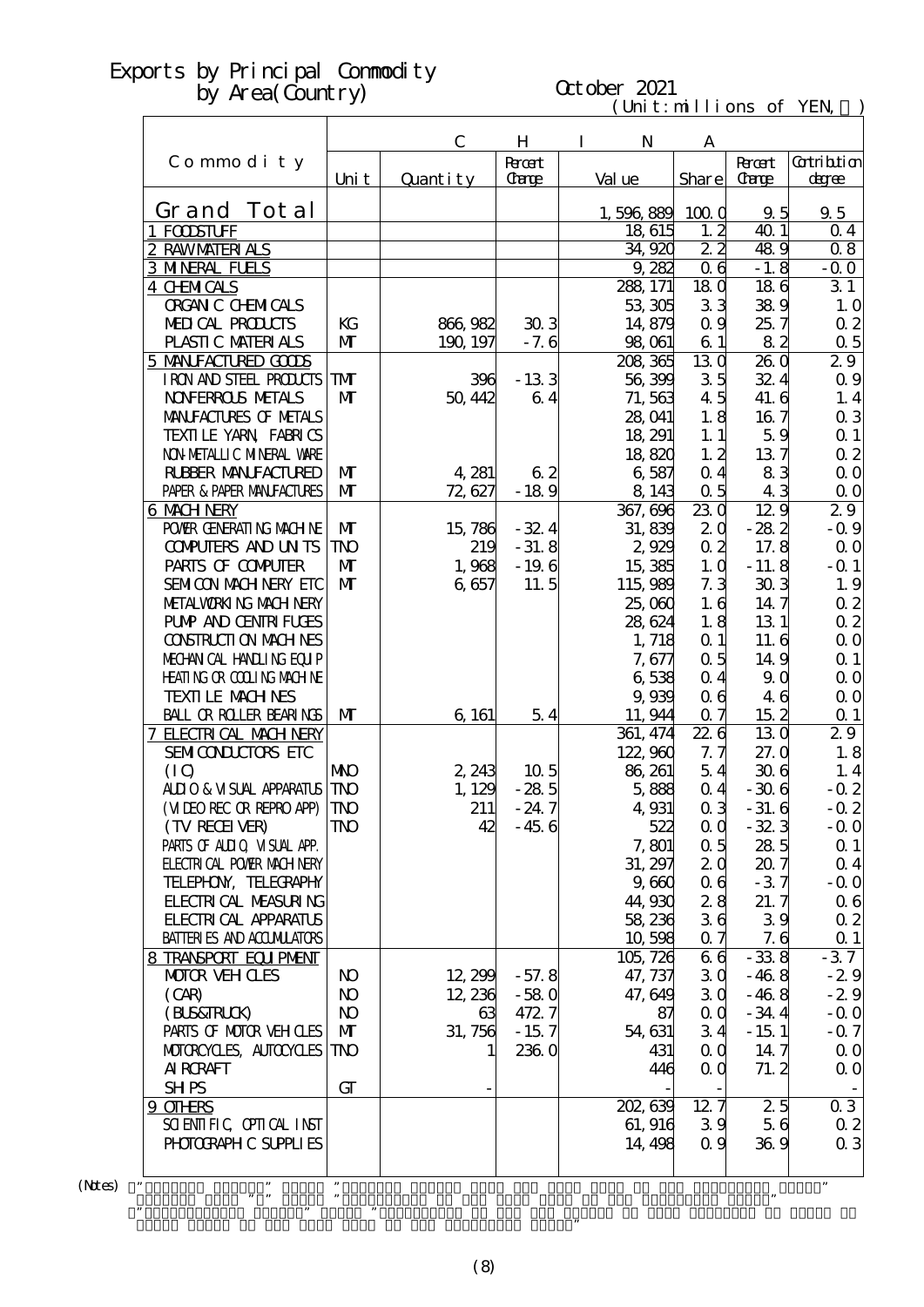# October 2021

| $t:$ m $\sqcup$ $\sqcup$ ons<br>ιm |  |
|------------------------------------|--|
|------------------------------------|--|

|                                                |                | $\mathbf C$ | $H_{\rm}$                   | I<br>N             | A                     |                             |                              |
|------------------------------------------------|----------------|-------------|-----------------------------|--------------------|-----------------------|-----------------------------|------------------------------|
| Commodity                                      | Uni t          | Quantity    | <b>Root</b><br><b>Carge</b> | Val ue             | Share                 | <b>Root</b><br><b>Carge</b> | <b>Cotribition</b><br>degree |
| Grand Tot al                                   |                |             |                             | 1,596,889          | 1000                  | 9.5                         | $9\,5$                       |
| 1 FODSTUFF                                     |                |             |                             | 18 615             | 1, 2                  | 40 1                        | 0 <sub>4</sub>               |
| 2 RAWMATERIALS                                 |                |             |                             | 34,920             | 22                    | 489                         | 08                           |
| <b>3 MNERAL FUELS</b>                          |                |             |                             | 9,282              | 0 <sub>6</sub>        | $-1.8$                      | $-0.0$                       |
| 4 CHMICALS                                     |                |             |                             | 288, 171           | 18 <sub>0</sub>       | 186                         | 31                           |
| <b>ORGAN C CHEMICALS</b>                       |                |             |                             | 53,305             | 33                    | 389                         | 1.0                          |
| MEDICAL PRODUCTS                               | KG             | 866, 982    | 303                         | 14,879             | 0.9                   | 25.7                        | $\alpha$ 2                   |
| PLASTIC MATERIALS                              | $\mathbf{M}$   | 190, 197    | $-7.6$                      | 98,061             | 61                    | 82                          | $\alpha$ 5                   |
| 5 MANIFACTURED GODS                            |                |             |                             | 208, 365           | 130                   | 260                         | 29                           |
| I RON AND STEEL PRODUCTS                       | <b>TM</b>      | 396         | $-133$                      | 56,399             | 35                    | 32.4                        | $\alpha$ 9                   |
| <b>NOVERROLS METALS</b>                        | $\mathbf{M}$   | 50, 442     | 64                          | 71,563             | 45                    | 41.6                        | 1.4                          |
| MANIFACTURES OF METALS                         |                |             |                             | 28,041             | 1.8                   | 167                         | $\alpha$ 3                   |
| TEXILLE YARN FABRICS                           |                |             |                             | 18, 291            | 1.1                   | 59                          | $\Omega$ 1                   |
| NON METALLIC MINERAL WARE                      |                |             |                             | 18,820             | 1, 2                  | 137                         | $\alpha$ 2                   |
| <b>RUBBER MANUFACTURED</b>                     | $\mathbf{M}$   | 4,281       | 62                          | 6,587              | 0.4                   | 83                          | $\Omega$ O                   |
| PAPER & PAPER MANJFACTURES                     | $\mathbf{M}$   | 72,627      | $-189$                      | 8,143              | $\alpha$ 5            | 43<br>129                   | $\Omega$ O                   |
| <b>6 MACH NERY</b><br>POWIR GENERATING MACHINE | $\mathbf{M}$   | 15,786      | $-32.4$                     | 367, 696<br>31,839 | 230<br>2 <sub>0</sub> | $-282$                      | 29<br>$-0.9$                 |
| <b>CONFUTERS AND UNTS</b>                      | <b>TNO</b>     | 219         | $-31.8$                     | 2,929              | $\alpha$ 2            | 17.8                        | $\Omega$ O                   |
| PARIS OF COMPUTER                              | $\mathbf{M}$   | 1,968       | $-196$                      | 15,385             | 1.0                   | $-11.8$                     | $-Q_1$                       |
| SEMICON MACH NERY ETC                          | $\mathbf{M}$   | 6,657       | 11.5                        | 115,989            | 7.3                   | 303                         | 1.9                          |
| METALWORKING MACHINERY                         |                |             |                             | 25,060             | 1.6                   | 14.7                        | $\alpha$ 2                   |
| <b>PUMP AND CENTRIFUGES</b>                    |                |             |                             | 28,624             | 1.8                   | 13 1                        | $\alpha$ 2                   |
| <b>CONSTRUCTION MACHINES</b>                   |                |             |                             | 1, 718             | Q <sub>1</sub>        | 11.6                        | $\Omega$ O                   |
| MECHANICAL HANDLING EQUIP                      |                |             |                             | 7,677              | 0.5                   | 14.9                        | $\Omega$ 1                   |
| <b>HEATING OR COLLING MACHINE</b>              |                |             |                             | 6538               | $\Omega$ 4            | 90                          | $\Omega$ O                   |
| <b>TEXTI LE MACH NES</b>                       |                |             |                             | 9,939              | 06                    | 46                          | $\Omega$ O                   |
| <b>BALL OR ROLLER BEARINGS</b>                 | $\mathbf{M}$   | 6, 161      | 54                          | 11, 944            | 0.7                   | 152                         | $\Omega$ 1                   |
| 7 ELECTRICAL MACH NERY                         |                |             |                             | 361, 474           | 226                   | 130                         | 29                           |
| SEMICONDUCTORS ETC                             |                |             |                             | 122,960            | 7. 7                  | 27.0                        | 1.8                          |
| (IQ)                                           | <b>NKO</b>     | 2,243       | 10 <sub>5</sub>             | 86, 261            | 54                    | 306                         | 1.4                          |
| <b>ALLIO &amp; VISUAL APPARATUS</b>            | <b>TNO</b>     | 1, 129      | $-285$                      | 5,888              | 0 <sub>4</sub>        | $-306$                      | $-0.2$                       |
| (MIEO REC OR REPRO APP)                        | <b>TNO</b>     | 211         | $-24.7$                     | 4,931              | 0 <sub>3</sub>        | $-31.6$                     | $-0.2$                       |
| (TV RECEIVER)                                  | TNO            | 42          | $-456$                      | 522                | $\alpha$ $\alpha$     | $-32.3$                     | $-0.0$                       |
| PARIS OF ALIIO VISUAL APP.                     |                |             |                             | 7,801              | 0.5                   | 285                         | $\alpha$ 1                   |
| <b>ELECTRICAL POWIR MACH NERY</b>              |                |             |                             | 31, 297            | 2 <sub>0</sub>        | 207                         | $\Omega$ 4                   |
| TELEPHON, TELECRAPHY                           |                |             |                             | 9,660              | 06                    | $-37$                       | $-0.0$                       |
| <b>FLECTRICAL MEASURING</b>                    |                |             |                             | 44,930             | 28                    | 21.7                        | 06                           |
| <b>FLECTRICAL APPARATUS</b>                    |                |             |                             | 58,236             | 36                    | 39                          | $\alpha$ 2                   |
| <b>BATTERIES AND ACCUMULATORS</b>              |                |             |                             | 10,598<br>105, 726 | 0.7<br>66             | 7.6<br>$-338$               | $\Omega$ 1<br>$-37$          |
| 8 TRANSPORT EQUIPMENT<br><b>MOTOR VEHOLES</b>  | N <sub>O</sub> | 12,299      | $-57.8$                     | 47, 737            | 30                    | $-468$                      | $-29$                        |
| (CAB)                                          | N <sub>O</sub> | 12, 236     | $-580$                      | 47,649             | 30                    | $-468$                      | $-29$                        |
| (BLS&FRLCK)                                    | N <sub>O</sub> | 63          | 472.7                       | 87                 | $\alpha$ $\alpha$     | $-34.4$                     | $-0.0$                       |
| PARIS OF MOTOR VEH OLES                        | $\mathbf{M}$   | 31,756      | $-15.7$                     | 54, 631            | 34                    | $-15.1$                     | $-0.7$                       |
| MOTORCYCLES, AUTOCYCLES                        | <b>TNO</b>     |             | 2360                        | 431                | 0 <sub>0</sub>        | 14.7                        | $\Omega$ O                   |
| <b>AI RCRAFT</b>                               |                |             |                             | 446                | 0 <sub>0</sub>        | 71.2                        | $\Omega$ O                   |
| <b>SHPS</b>                                    | GT             |             |                             |                    |                       |                             |                              |
| 9 OTHRS                                        |                |             |                             | 202, 639           | 12.7                  | 25                          | 03                           |
| SCIENTIFIC CPIICAL INST                        |                |             |                             | 61, 916            | 39                    | 56                          | 0 <sub>2</sub>               |
| PHOTOGRAPH C SUPPLIES                          |                |             |                             | 14, 498            | 0.9                   | 369                         | 0 <sub>3</sub>               |
|                                                |                |             |                             |                    |                       |                             |                              |
|                                                |                |             |                             |                    |                       |                             | $\pmb{\mathfrak{y}}$         |

 $(N$ tes $)$ 

Grand Total of the same term in the preceding year."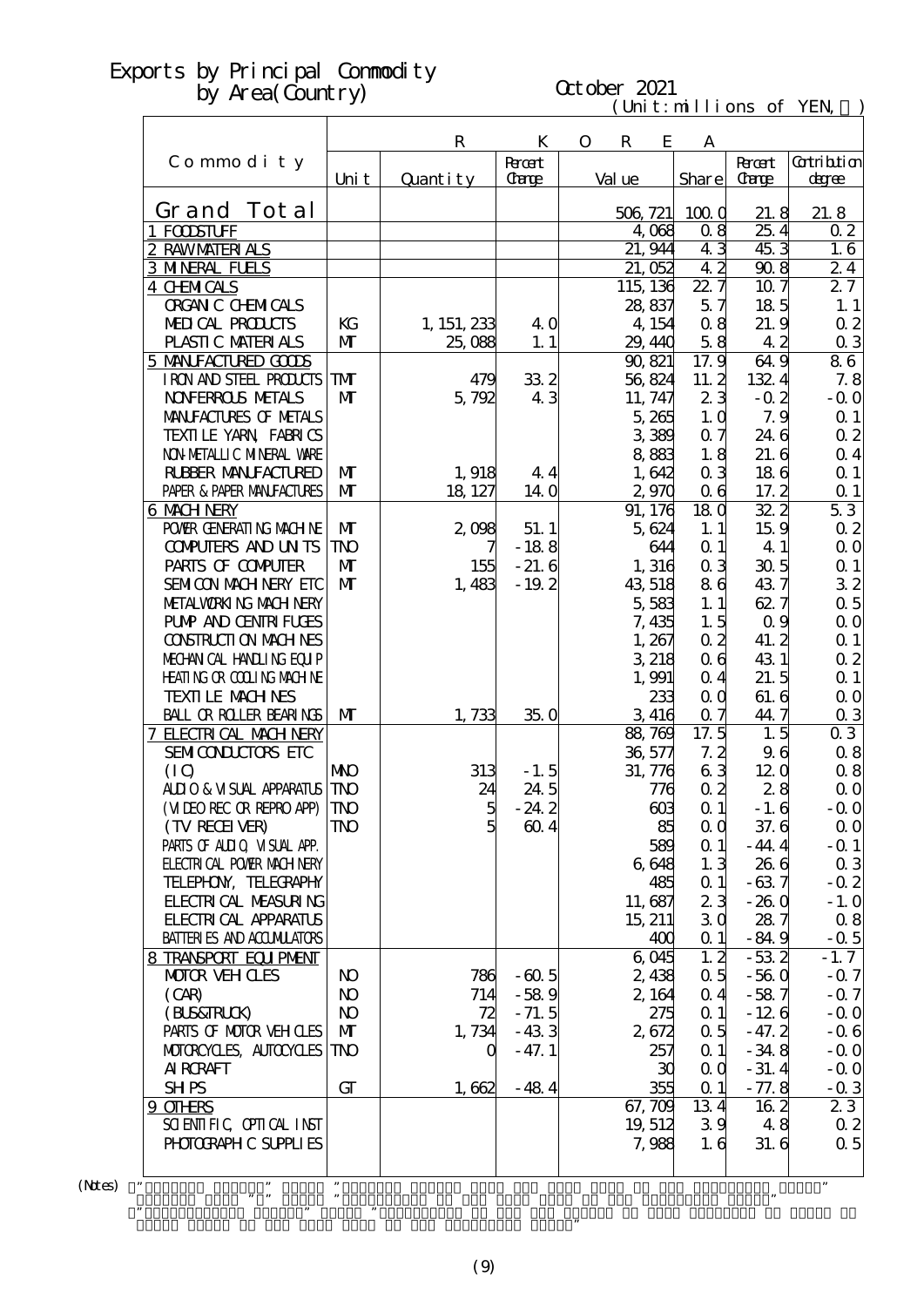#### (Unit: millions of YEN) October 2021

|                                   |                |                |                |              |             |           | Gut, million    |                   |                  |
|-----------------------------------|----------------|----------------|----------------|--------------|-------------|-----------|-----------------|-------------------|------------------|
|                                   |                | $\mathbf R$    | K              | $\mathbf{O}$ | $\mathbf R$ | E         | A               |                   |                  |
| Commodity                         |                |                | <b>R</b> rcent |              |             |           |                 | <b>Recent</b>     | Gatribition      |
|                                   | Uni t          | Quantity       | Carge          |              | Val ue      |           | Share           | Carge             | degree           |
| Grand Total                       |                |                |                |              | 506, 721    |           | 1000            | 21.8              | 21.8             |
| 1 FODSTUFF                        |                |                |                |              |             | 4,068     | 08              | 25.4              | 0 <sub>2</sub>   |
| 2 RAWMATERIALS                    |                |                |                |              |             | 21, 944   | 43              | 45.3              | 1, 6             |
| <b>3 MNERAL FUELS</b>             |                |                |                |              |             | 21,052    | 42              | 908               | 24               |
| 4 CHMICALS                        |                |                |                |              | 115, 136    |           | 22.7            | 10.7              | 27               |
| <b>ORGAN C CHEMICALS</b>          |                |                |                |              |             | 28,837    | 5.7             | 185               | 1.1              |
| MEDICAL PRODUCTS                  | KG             | 1, 151, 233    | 40             |              |             | 4, 154    | 08              | 21.9              | 0 <sub>2</sub>   |
| PLASTIC MATERIALS                 | $\mathbf{M}$   | 25,088         | 1.1            |              |             | 29, 440   | 58              | 42                | $\alpha$ 3       |
| 5 MANIFACTURED GOODS              |                |                |                |              |             | 90, 821   | 17.9            | 64.9              | 86               |
| IRON AND STEEL PRODUCTS           | <b>TM</b>      | 479            | 332            |              |             | 56,824    | 11.2            | 132.4             | 7.8              |
| <b>NOVERROLS METALS</b>           | M              | 5,792          | 43             |              |             | 11, 747   | 23              | $-0.2$            | $-0.0$           |
| MANIFACTURES OF METALS            |                |                |                |              |             | 5,265     | 1.0             | 7.9               | Q <sub>1</sub>   |
| TEXILLE YARN FABRICS              |                |                |                |              |             | 3 389     | 0.7             | 24.6              | 0 <sub>2</sub>   |
| NON METALLIC MINERAL VARE         |                |                |                |              |             | 883       | 1.8             | 21.6              | $\alpha$ 4       |
| <b>RUBBER MANUFACTURED</b>        | $\mathbf{M}$   | 1,918          | 44             |              |             | 1,642     | 0 <sub>3</sub>  | 186               | Q <sub>1</sub>   |
| PAPER & PAPER MANJFACTURES        | M              | 18, 127        | 14.0           |              |             | 2,970     | 06              | 17.2              | Q <sub>1</sub>   |
| 6 MACH NERY                       |                |                |                |              |             | 91, 176   | 18 <sub>0</sub> | $\overline{322}$  | 53               |
| POWER GENERATING MACHINE          | M              | 2,098          | 51.1           |              |             | 5,624     | 1.1             | 159               | 0 <sub>2</sub>   |
| <b>CONFUTERS AND UNTS</b>         | <b>TNO</b>     |                | $-188$         |              |             | 644       | Q <sub>1</sub>  | 4 1               | 0 <sub>0</sub>   |
| PARIS OF COMPUTER                 | $\mathbf{M}$   | 155            | $-21.6$        |              |             | 1,316     | 0 <sub>3</sub>  | 30 <sub>5</sub>   | Q <sub>1</sub>   |
| SEMICON MACH NERY ETC             | $\mathbf{M}$   | 1,483          | $-19.2$        |              |             | 43,518    | 86              | 437               | 32               |
| METALWORKING MACH NERY            |                |                |                |              |             | 5,583     | 1.1             | 627               | 0.5              |
| <b>PUMP AND CENTRI FUGES</b>      |                |                |                |              |             | 7,435     | 1.5             | 0 <sub>9</sub>    | $\Omega$ O       |
| <b>CONSTRUCTION MACHINES</b>      |                |                |                |              |             | 1,267     | $\Omega$        | 41.2              | Q <sub>1</sub>   |
| MECHANICAL HANDLING EQUIP         |                |                |                |              |             | 3 218     | 06              | 431               | 0 <sub>2</sub>   |
| <b>HEATING OR COLLING MACHINE</b> |                |                |                |              |             | 1,991     | 0 <sub>4</sub>  | 21.5              | $\Omega$ 1       |
| <b>TEXILE MACHNES</b>             |                |                |                |              |             | 233       | $\alpha$        | 61.6              | 0 <sub>0</sub>   |
| BALL OR ROLLER BEARINGS           | $\mathbf{M}$   | 1,733          | 35.0           |              |             | 3 416     | 07              | 44.7              | 0 <sub>3</sub>   |
| <b>7 ELECTRICAL MACH NERY</b>     |                |                |                |              |             | 88,769    | $17.\bar{5}$    | 1.5               | 03               |
| SEMICONDUCTORS ETC                |                |                |                |              |             | 36,577    | 7.2             | 96                | 0.8              |
| (IQ)                              | <b>NNO</b>     | 313            | $-1.5$         |              |             | 31, 776   | 63              | 120               | 0.8              |
| ALLIO & VISUAL APPARATUS          | <b>TNO</b>     | 24             | 24.5           |              |             | 776       | $\Omega$        | 28                | $\Omega$ O       |
| (MIEO REC OR REPRO APP)           | <b>TNO</b>     | $\overline{5}$ | $-24.2$        |              |             | 603       | $\Omega$ 1      | $-1.6$            | $-$ Q O          |
| (TV RECEIVER)                     | TNO            | $\overline{5}$ | 604            |              |             | 85        | $\alpha$        | 37.6              | $\Omega$ O       |
| PARIS OF ALLIQ VISUAL APP.        |                |                |                |              |             | 589       | $\Omega$ 1      | $-44.4$           | $-Q1$            |
| <b>ELECTRICAL POWER MACH NERY</b> |                |                |                |              |             | 6,648     | 1.3             | 26 6              | 0 <sub>3</sub>   |
| TELEPHON, TELECRAPHY              |                |                |                |              |             | 485       | $\alpha$ 1      | $-637$            | $-0.2$           |
| <b>FLECTRICAL MEASURING</b>       |                |                |                |              |             | 11,687    | 23              | $-260$            | $-1.0$           |
| <b>FLECTRICAL APPARATUS</b>       |                |                |                |              |             | 15, 211   | 30              | 287               | 0.8              |
| <b>BATTER ES AND ACCUMULATORS</b> |                |                |                |              |             | 400       | $\Omega$ 1      | $-84.9$           | $-0.5$           |
| 8 TRANSPORT EQUIPMENT             |                |                |                |              |             | 6045      | 1, 2            | $-532$            | $-1.7$           |
| <b>MOTOR VEH CLES</b>             | N <sub>O</sub> | 786            | $-605$         |              |             | 2,438     | 0.5             | $-560$            | $-0.7$           |
| (CAB)                             | N <sub>O</sub> | 714            | $-589$         |              |             | 2, 164    | $\Omega$ 4      | $-587$            | $-0.7$           |
| (BLS&FRLCK)                       | N <sub>O</sub> | 72             | $-71.5$        |              |             | 275       | $\Omega$ 1      | $-126$            | $-0.0$           |
| PARIS OF MOTOR VEH CLES           | $\mathbf{M}$   | 1,734          | $-433$         |              |             | 2,672     | 0.5             |                   | $-0.6$           |
| MOTOROYCLES, AUTOCYCLES           | <b>TNO</b>     | Q              | $-47.1$        |              |             |           | $\Omega$ 1      | $-47.2$<br>$-348$ | $-0.0$           |
| <b>AI RCRAFT</b>                  |                |                |                |              |             | 257       |                 |                   |                  |
|                                   | $G\Gamma$      |                |                |              |             | 30<br>355 | $\alpha$        | $-31.4$           | $-0.0$<br>$-0.3$ |
| <b>SHPS</b>                       |                | 1,662          | $-484$         |              |             |           | $\Omega$ 1      | $-77.8$           |                  |
| 9 OTHERS                          |                |                |                |              |             | 67,709    | 134             | 162               | 23               |
| SCIENTIFIC CPITCAL INST           |                |                |                |              |             | 19, 512   | 39              | 48                | $\Omega$ 2       |

 $(N$ tes $)$ 

・"Percent Change" means "Percent Change from the same term in the preceding year."  $\mathbf{m}$  means "Multiplier to the same term in the preceding year. The preceding year. The preceding year. The preceding year.

Grand Total of the same term in the preceding year."

 $\mathcal{C}$  means  $\mathcal{C}$  means  $\mathcal{C}$  that category of the Yen Change of the Yen Change of that category of goods to good structure of the Yen Change of the Yen Change of goods to good structure of the Yen Change of the

PHOTOGRAPHIC SUPPLIES | 7,988 1.6 31.6 0.5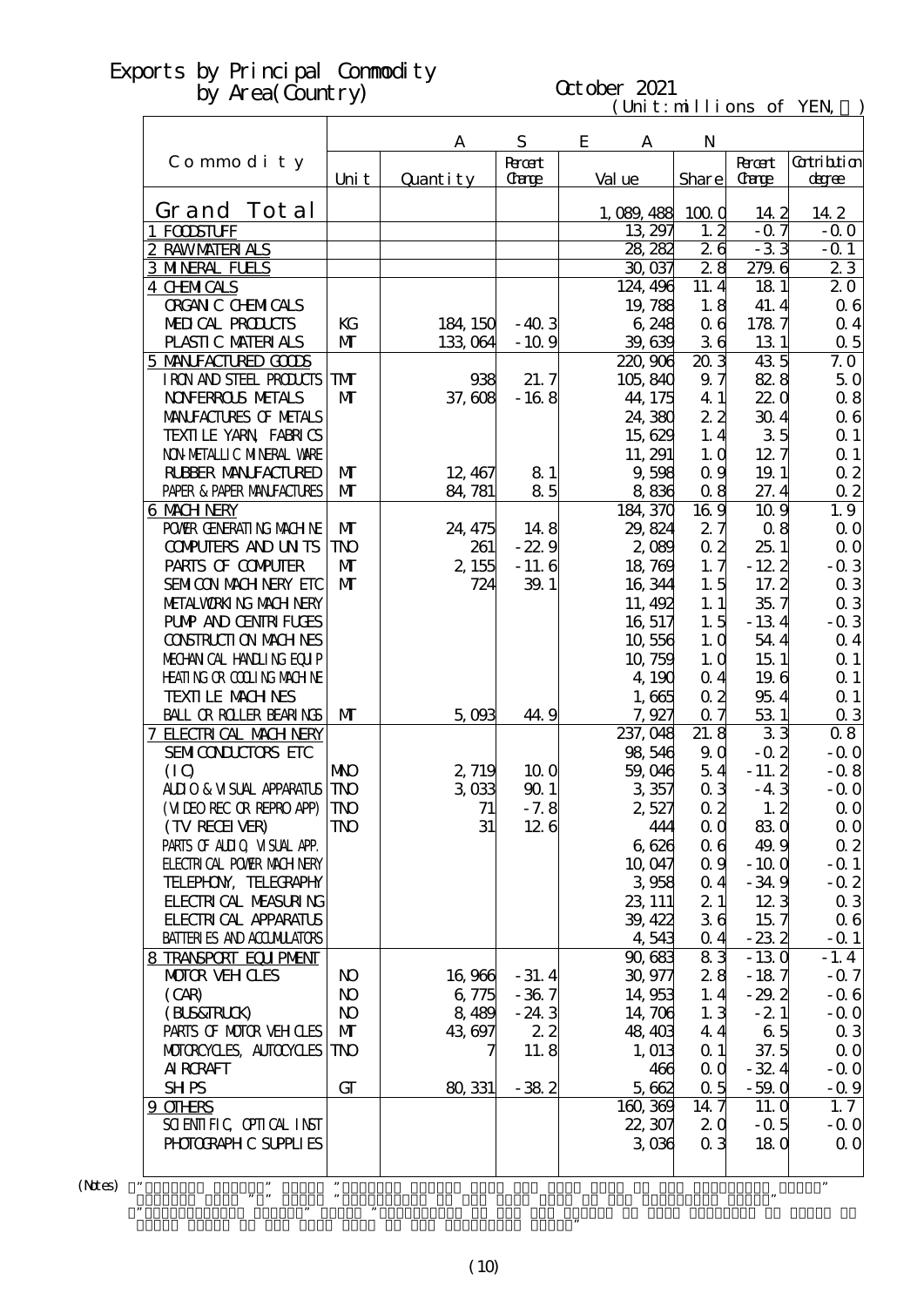#### $(\text{Uni t}: \text{mi} \text{lli} \text{ons of } \text{YEN})$ October 2021

|                                               |                | A              | S           | E<br>A      |         | N                 |              |                |
|-----------------------------------------------|----------------|----------------|-------------|-------------|---------|-------------------|--------------|----------------|
| Commodity                                     |                |                | <b>Root</b> |             |         |                   | <b>Root</b>  | Gatribition    |
|                                               | Uni t          | Quantity       | Carge       | Val ue      |         |                   | Share Carge  | degree         |
|                                               |                |                |             |             |         |                   |              |                |
| Grand Tot al                                  |                |                |             | 1, 089, 488 |         | 1000              | 14 2         | 14.2           |
| 1 FODSTUFF                                    |                |                |             |             | 13, 297 | 1, 2              | $-0.7$       | $-0.0$         |
| 2 RAWMATERIALS                                |                |                |             |             | 28, 282 | 26                | $-33$        | $-0.1$         |
| <b>3 MNERAL FUELS</b>                         |                |                |             |             | 30,037  | 28                | 279.6        | 23             |
| <b>4 CHMICALS</b><br><b>ORGAN C CHEMICALS</b> |                |                |             | 124, 496    | 19,788  | 11.4<br>1.8       | 181          | 20<br>06       |
| <b>MELICAL PRODUCTS</b>                       | KG             | 184, 150       | $-40.3$     |             | 6 248   | 0 <sub>6</sub>    | 41.4<br>1787 | $\alpha$ 4     |
| PLASTIC MATERIALS                             | $\mathbf{M}$   | 133,064        | $-10.9$     |             | 39,639  | 36                | 131          | $\alpha$ 5     |
| 5 MANIFACTURED GOODS                          |                |                |             | 220,906     |         | 203               | 435          | 7.0            |
| I RON AND STEEL PRODUCTS                      | TMT            | 938            | 21.7        | 105,840     |         | 9.7               | 82.8         | 50             |
| <b>NOVERROLS METALS</b>                       | $\mathbf{M}$   | 37,608         | $-168$      | 44, 175     |         | 4 1               | 220          | 0.8            |
| MANIFACTURES OF METALS                        |                |                |             |             | 24, 380 | 22                | 304          | 06             |
| TEXILE YARN FABRICS                           |                |                |             |             | 15,629  | 1.4               | 35           | $\alpha$ 1     |
| NON METALLIC MINERAL VARE                     |                |                |             | 11, 291     |         | 1, 0              | 12.7         | $\Omega$ 1     |
| <b>RUBBER MANUFACTURED</b>                    | $\mathbf{M}$   | 12, 467        | 81          |             | 9,598   | 0.9               | 19.1         | $\alpha$ 2     |
| PAPER & PAPER MANJFACTURES                    | $\mathbf{M}$   | 84, 781        | 85          |             | 8836    | 08                | 27.4         | $\alpha$ 2     |
| 6 MACH NERY                                   |                |                |             | 184, 370    |         | 169               | 10.9         | 1.9            |
| POWER GENERATING MACHINE                      | $\mathbf{M}$   | 24, 475        | 148         | 29, 824     |         | 27                | 08           | $\Omega$ O     |
| <b>CONPUTERS AND UNTS</b>                     | TNO            | 261            | $-22.9$     |             | 2,089   | 0 <sub>2</sub>    | 251          | $\alpha$ o     |
| PARIS OF COMPUTER                             | $\mathbf{M}$   | 2,155          | $-11.6$     |             | 18,769  | 1, 7              | $-122$       | $-0.3$         |
| SEMICON MACH NERY ETC                         | $\mathbf{M}$   | 724            | 39.1        |             | 16, 344 | 1.5               | 17.2         | 03             |
| METALWORKING MACH NERY                        |                |                |             |             | 11, 492 | 1.1               | 35.7         | 0 <sub>3</sub> |
| <b>PUMP AND CENTRI FUGES</b>                  |                |                |             |             | 16, 517 | 1.5               | $-134$       | $-0.3$         |
| <b>CONSTRUCTION MACHINES</b>                  |                |                |             |             | 10,556  | 1.0               | 54.4         | $\alpha$ 4     |
| MECHANICAL HANDLING EQUIP                     |                |                |             |             | 10, 759 | 1.0               | 151          | $\alpha$ 1     |
| <b>HEATING OR COLLING MACHINE</b>             |                |                |             |             | 4, 190  | 0.4               | 19.6         | $\Omega$ 1     |
| <b>TEXTI LE MACH NES</b>                      |                |                |             |             | 1,665   | 0.2               | 954          | Q <sub>1</sub> |
| <b>BALL OR ROLLER BEARINGS</b>                | $\mathbf{M}$   | 5,003          | 44.9        |             | 7,927   | 07                | 531          | 0 <sub>3</sub> |
| 7 ELECTRICAL MACH NERY                        |                |                |             | 237, 048    |         | $21.\overline{8}$ | 33           | 08             |
| <b>SEMICONLUITES ETC</b>                      |                |                |             |             | 98,546  | 90                | $-0.2$       | $-0.0$         |
| (IQ)                                          | <b>NKO</b>     | 2,719          | 100         |             | 59,046  | 54                | $-11.2$      | $-0.8$         |
| ALIO & VISUAL APPARATUS                       | <b>TNO</b>     | 3 <sub>0</sub> | 901         |             | 3357    | 0 <sub>3</sub>    | $-43$        | $-0.0$         |
| (VIDEO RECOR REPROAPP)                        | <b>TNO</b>     | 71             | $-7.8$      |             | 2,527   | $\alpha$ 2        | 1, 2         | $\alpha$ O     |
| (TV RECEIVER)                                 | <b>TNO</b>     | 31             | 126         |             | 444     | 0 <sub>0</sub>    | 830          | $\Omega$ O     |
| PARIS OF ALLIO VISUAL APP.                    |                |                |             |             | 6,626   | 06                | 49.9         | 02             |
| <b>FLECTRICAL POWIR MACH NERY</b>             |                |                |             |             | 10,047  | 0.9               | $-100$       | $-Q_1$         |
| TELEPHON, TELECRAPHY                          |                |                |             |             | 3958    | 0 <sub>4</sub>    | $-34.9$      | $-0.2$         |
| <b>FLECTRICAL MEASURING</b>                   |                |                |             | 23, 111     |         | 21                | 123          | 0 <sub>3</sub> |
| <b>FLECTRICAL APPARATUS</b>                   |                |                |             |             | 39, 422 | 36                | 15.7         | 06             |
| <b>BATTERIES AND ACCUMILATORS</b>             |                |                |             |             | 4,543   | $\alpha$ 4        | $-232$       | $-$ Q 1        |
| 8 TRANSPORT EQUIPMENT                         |                |                |             | 90,683      |         | 83                | $-130$       | $-1.4$         |
| MOTOR VEHICLES                                | N <sub>O</sub> | 16,966         | $-31.4$     |             | 30,977  | 28                | $-187$       | $-0.7$         |
| (CAB)                                         | N <sub>O</sub> | 6,775          | $-367$      |             | 14,953  | 1, 4              | $-29.2$      | $-0.6$         |
| (BUS&FRUK)                                    | N <sub>O</sub> | 8,489          | $-24.3$     |             | 14,706  | 1.3               | $-21$        | $-0.0$         |
| PARIS OF MOTOR VEH OLES                       | $\mathbf{M}$   | 43,697         | 22          |             | 48, 403 | 44                | 65           | 0 <sub>3</sub> |
| MOTOROYCLES, AUTOCYCLES                       | TNO            | 7              | 11.8        |             | 1, 013  | $\alpha$ 1        | 37.5         | 0 <sub>0</sub> |
| <b>AI RCRAFT</b>                              |                |                |             |             | 466     | $\alpha$ $\alpha$ | $-32.4$      | $-0.0$         |
| <b>SHPS</b>                                   | GT             | 80, 331        | $-382$      |             | 5,662   | 0.5               | $-59.0$      | $-0.9$         |
| $9$ OTHRS                                     |                |                |             | 160, 369    |         | 14.7              | 11. Q        | 1.7            |
| SCIENTIFIC CPIICAL INST                       |                |                |             | 22, 307     |         | 2 <sub>0</sub>    | $-0.5$       | $-0.0$         |
| PHOTOGRAPH C SUPPLIES                         |                |                |             |             | 3006    | 0 <sub>3</sub>    | 180          | $\Omega$ O     |
|                                               |                |                |             |             |         |                   |              |                |
|                                               |                |                |             |             |         |                   |              |                |

 $(N$ tes) "

Grand Total of the same term in the preceding year."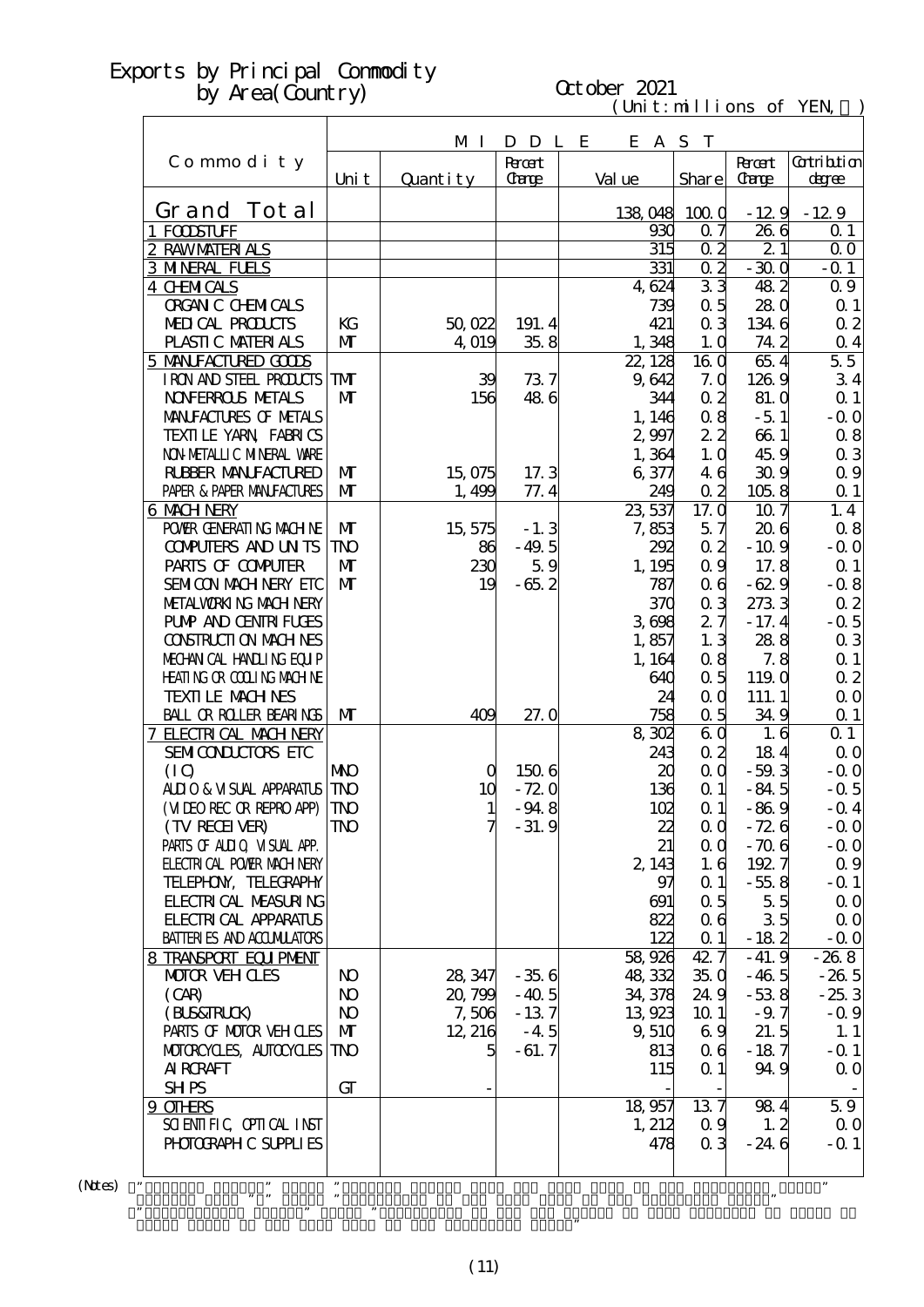# October 2021

| $(\text{Unit}: \text{mi} \cup \text{ions} \text{ofi})$ |  |  |  |
|--------------------------------------------------------|--|--|--|
|--------------------------------------------------------|--|--|--|

|                                                                  |                         | M I      | D D L E     | E A S T          |                              |               |                       |
|------------------------------------------------------------------|-------------------------|----------|-------------|------------------|------------------------------|---------------|-----------------------|
| Commodity                                                        |                         |          | <b>Root</b> |                  |                              | <b>Recent</b> | <b>Cotribtion</b>     |
|                                                                  | Uni t                   | Quantity | Carge       | Val ue           | Share                        | <b>Carge</b>  | degree                |
| Grand Tot al                                                     |                         |          |             | 138,048          | 1000                         |               | $-129 - 129$          |
| 1 FOODSTUFF                                                      |                         |          |             | 930              | 0.7                          | 266           | $\Omega$ 1            |
| 2 RAWMATERIALS                                                   |                         |          |             | 315              | $\alpha$ 2                   | 21            | 0 <sub>0</sub>        |
| <b>3 MNERAL FUELS</b>                                            |                         |          |             | 331              | $\alpha$ 2                   | $-300$        | $-Q 1$                |
| <b>4 CHMICALS</b>                                                |                         |          |             | 4,624            | 33                           | 482           | 0.9                   |
| <b>ORGAN C CHEMICALS</b>                                         |                         |          |             | 739              | 0.5                          | 280           | Q <sub>1</sub>        |
| MEDICAL PRODUCTS                                                 | KG                      | 50,022   | 191.4       | 421              | 0 <sub>3</sub>               | 1346          | $\alpha$ 2            |
| PLASTIC MATERIALS                                                | $\mathbf{M}$            | 4,019    | 358         | 1,348            | 1.0                          | 74 2          | $\alpha$ 4            |
| 5 MANIFACTURED GOODS<br>I RON AND STEEL PRODUCTS                 | <b>TM</b>               | 39       | 737         | 22, 128<br>9,642 | 16 0<br>7.0                  | 654<br>1269   | 55<br>34              |
| <b>NOVERROLS METALS</b>                                          | $\mathbf{M}$            | 156      | 486         | 344              | 0 <sub>2</sub>               | 81. O         | $\Omega$ 1            |
| MANIFACTURES OF METALS                                           |                         |          |             | 1, 146           | 08                           | $-5.1$        | $-$ Q O               |
| TEXILLE YARN FABRICS                                             |                         |          |             | 2,997            | 22                           | 661           | $\alpha$ 8            |
| NON METALLI C MINERAL VARE                                       |                         |          |             | 1,364            | 1.0                          | 45.9          | $\alpha$ 3            |
| <b>RUBBER MANUFACTURED</b>                                       | $\mathbf{M}$            | 15,075   | 17.3        | 6,377            | 46                           | 309           | $\Omega$ 9            |
| PAPER & PAPER MANFACTURES                                        | $\mathbf{M}$            | 1,499    | 77.4        | 249              | $\alpha$ 2                   | 1058          | $\Omega$ 1            |
| <b>6 MACH NERY</b>                                               |                         |          |             | 23,537           | 17.0                         | 10.7          | 1.4                   |
| POWIR GENERATING MACHINE                                         | M                       | 15, 575  | $-1.3$      | 7,853            | 5.7                          | 206           | 0.8                   |
| <b>CONPUTERS AND UNTS</b>                                        | <b>TNO</b>              | 86       | $-49.5$     | 292              | $\alpha$ 2                   | $-10.9$       | $-$ Q O               |
| PARIS OF COMPUTER                                                | $\mathbf{M}$            | 230      | 59          | 1, 195           | $\alpha$ 9                   | 17.8          | $\Omega$ 1            |
| SEMICON MACH NERY ETC                                            | $\mathbf{M}$            | 19       | $-65.2$     | 787              | 06                           | $-629$        | $-0.8$                |
| METALWORKING MACHINERY                                           |                         |          |             | 370              | 0 <sub>3</sub>               | 2733          | $\alpha$ 2            |
| <b>PUMP AND CENTRI FUGES</b>                                     |                         |          |             | 3608             | 27                           | $-17.4$       | $-0.5$                |
| <b>CONSTRUCTION MACHINES</b><br>MECHANICAL HANDLING EQUIP        |                         |          |             | 1,857<br>1, 164  | 1.3<br>0.8                   | 288<br>7.8    | $\alpha$ 3<br>$Q_1$   |
| <b>HEATING OR COLLING MACHINE</b>                                |                         |          |             | 640              | 0.5                          | 119.0         | $\alpha$ 2            |
| <b>TEXTILE MACHNES</b>                                           |                         |          |             | 24               | 0 <sub>0</sub>               | 111.1         | 0 <sub>0</sub>        |
| BALL OR ROLLER BEARINGS                                          | $\mathbf{M}$            | 409      | 27.0        | 758              | $\alpha$ 5                   | 349           | $\Omega$ 1            |
| 7 ELECTRICAL MACH NERY                                           |                         |          |             | 8302             | 60                           | 1.6           | $\Omega$ 1            |
| SEMICONDUCTORS ETC                                               |                         |          |             | 243              | $\alpha$ 2                   | 184           | $\alpha$ o            |
| (IQ)                                                             | <b>NKO</b>              | O        | 1506        | 20               | $\alpha$                     | $-59.3$       | $-0.0$                |
| <b>ALLIO &amp; VISUAL APPARATUS</b>                              | <b>TNO</b>              | 10       | $-720$      | 136              | $\Omega$ 1                   | $-84.5$       | $-0.5$                |
| (MIEO REC OR REPRO APP)                                          | <b>TNO</b>              | 1        | $-94.8$     | 102              | $\Omega$ 1                   | $-869$        | $-$ Q 4               |
| (TV RECEIVER)                                                    | $\mathbf{T} \mathbf{N}$ | 7        | $-31.9$     | 22,              | $\alpha$ $\alpha$            | $-726$        | $-$ Q O               |
| PARIS OF ALLIQ VISUAL APP.                                       |                         |          |             | 21               | $\alpha$ $\alpha$            | $-706$        | $-0.0$                |
| <b>ELECTRICAL POWER MACH NERY</b>                                |                         |          |             | 2, 143           | 1.6                          | 1927          | $\Omega$ 9            |
| TELEPHON, TELECRAPHY                                             |                         |          |             | 97               | Q <sub>1</sub>               | $-558$        | $-Q_1$                |
| <b>FLECTRICAL MEASURING</b>                                      |                         |          |             | 691              | 0.5                          | 55            | $\alpha$ o            |
| <b>FLECTRICAL APPARATUS</b><br><b>BATTERIES AND ACCUMILATORS</b> |                         |          |             | 822<br>122       | 0 <sub>6</sub><br>$\alpha$ 1 | 35<br>$-182$  | $\Omega$ O<br>$-$ Q O |
| 8 TRANSPORT EQUIPMENT                                            |                         |          |             | 58,926           | 42.7                         | $-41.9$       | $-268$                |
| <b>MOTOR VEH CLES</b>                                            | N <sub>O</sub>          | 28, 347  | $-356$      | 48,332           | 350                          | $-46.5$       | $-265$                |
| (CAB)                                                            | N <sub>O</sub>          | 20,799   | $-40.5$     | 34,378           | 24.9                         | $-538$        | $-253$                |
| (BLS&FRLCK)                                                      | N <sub>O</sub>          | 7,506    | $-137$      | 13,923           | 10 <sub>1</sub>              | $-9.7$        | $-0.9$                |
| PARIS OF MOTOR VEH OLES                                          | $\mathbf{M}$            | 12, 216  | $-4.5$      | 9,510            | 69                           | 21.5          | 1.1                   |
| MOTOROYCLES, AUTOCYCLES                                          | TNO                     | 5        | $-61.7$     | 813              | 06                           | $-187$        | $-$ Q 1               |
| <b>AI RCRAFT</b>                                                 |                         |          |             | 115              | $\Omega$ 1                   | 94.9          | $\Omega$ O            |
| <b>SHPS</b>                                                      | GT                      |          |             |                  |                              |               |                       |
| 9 OTHRS                                                          |                         |          |             | 18,957           | 137                          | 984           | 59                    |
| SCIENTIFIC CPIICAL INST                                          |                         |          |             | 1,212            | 0.9                          | 1, 2          | $\Omega$ O            |
| PHOTOGRAPH C SUPPLIES                                            |                         |          |             | 478              | 0 <sub>3</sub>               | $-24.6$       | $-0.1$                |
|                                                                  |                         |          |             |                  |                              |               |                       |
|                                                                  |                         |          |             |                  |                              |               | 99                    |

 $(N$ tes $)$ 

Grand Total of the same term in the preceding year."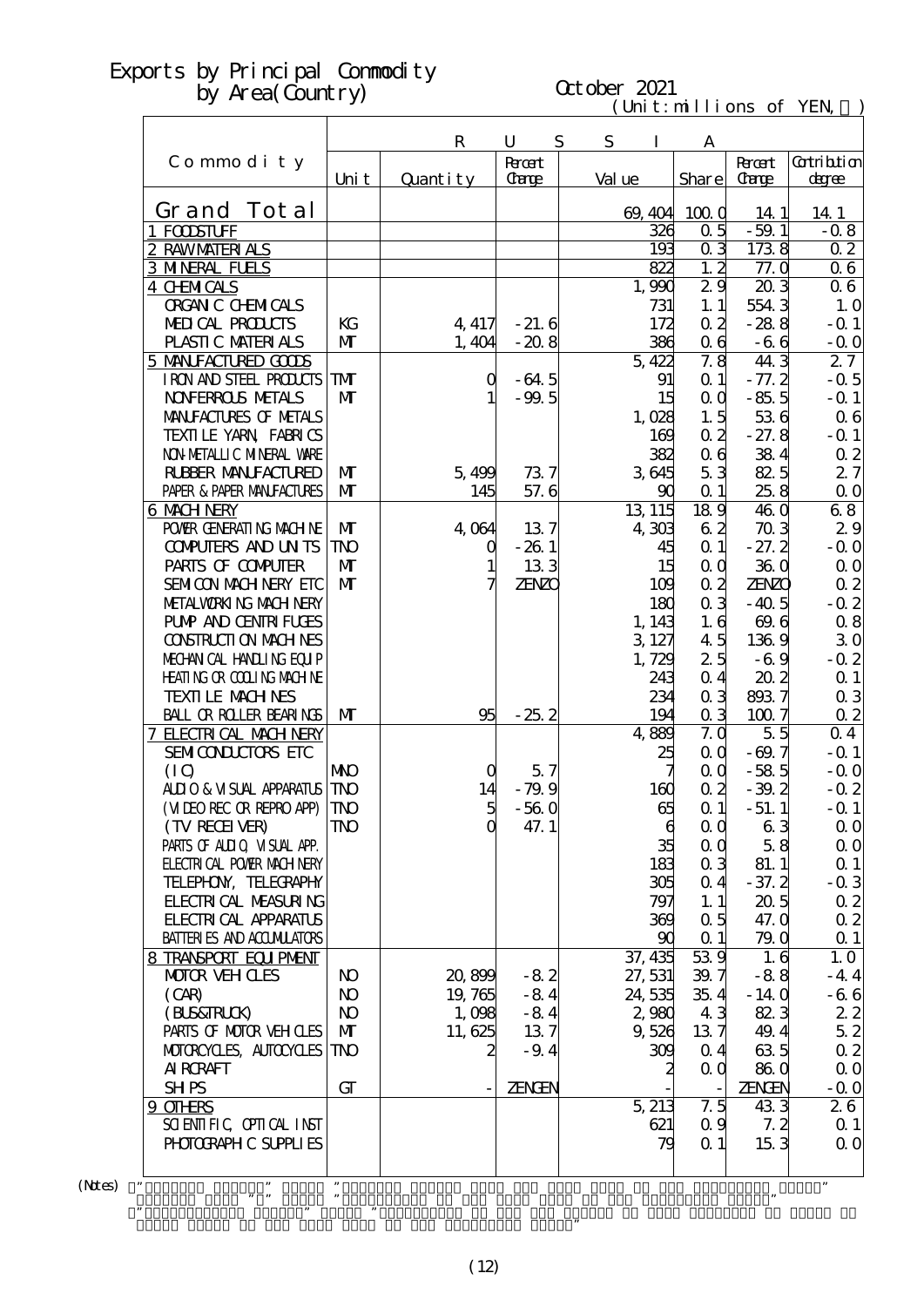# October 2021

 $(\text{Uni t}: \text{mi} \text{lli} \text{ons of } \text{YEN})$ 

|                                                     |                     | $\mathbf R$ | U                  | S | S<br>I  |                       | A                        |                |                   |
|-----------------------------------------------------|---------------------|-------------|--------------------|---|---------|-----------------------|--------------------------|----------------|-------------------|
| Commodity                                           |                     |             | <b>Rroot</b>       |   |         |                       |                          | <b>Recent</b>  | <b>Cotribtion</b> |
|                                                     | Uni t               | Quantity    | Carge              |   | Val ue  |                       | Share                    | <b>Carge</b>   | degree            |
|                                                     |                     |             |                    |   |         |                       |                          |                |                   |
| Grand Tot al                                        |                     |             |                    |   | 69, 404 |                       | 1000                     | 14 1           | 14.1              |
| 1 FODSTUFF                                          |                     |             |                    |   |         | 326                   | 0.5                      | $-59.1$        | $-0.8$            |
| 2 RAWMATERIALS                                      |                     |             |                    |   |         | 193                   | 03                       | 1738           | 0 <sub>2</sub>    |
| <b>3 MNRAL FUELS</b>                                |                     |             |                    |   |         | 822                   | 1, 2                     | 77.0           | $\overline{0}$ 6  |
| <b>4 CHMICALS</b>                                   |                     |             |                    |   | 1,990   |                       | 29                       | 203            | 06                |
| <b>ORGAN C CHEMICALS</b>                            |                     |             |                    |   |         | 731                   | 1.1                      | 5543           | 1.0               |
| <b>MEDICAL PRODUCTS</b>                             | KG                  | 4, 417      | $-21.6$            |   |         | 172                   | 0 <sub>2</sub>           | $-288$         | $-Q$ 1            |
| PLASTIC MATERIALS                                   | $\mathbf{M}$        | 1,404       | $-20.8$            |   |         | 386                   | 0 <sub>6</sub>           | $-66$          | $-$ Q O           |
| 5 MANIFACTURED GOODS                                |                     |             |                    |   | 5,422   |                       | 7.8                      | 44.3           | 27                |
| I RON AND STEEL PRODUCTS<br><b>NOVERROLS NETALS</b> | TMT<br>$\mathbf{M}$ | $\mathbf 0$ | $-64.5$<br>$-99.5$ |   |         | 91                    | $\alpha$ 1               | $-77.2$        | $-0.5$            |
| MANIFACTURES OF METALS                              |                     |             |                    |   |         | 15                    | $\alpha$ $\alpha$<br>1.5 | $-85.5$<br>536 | $-$ Q 1<br>06     |
| TEXILLE YARN FABRICS                                |                     |             |                    |   | 1,028   | 169                   | 0.2                      | $-27.8$        | $-$ Q 1           |
| NON METALLIC MINERAL WARE                           |                     |             |                    |   |         | 382                   | 0 <sub>6</sub>           | 384            | $\alpha$ 2        |
| <b>RUBBER MANUFACTURED</b>                          | $\mathbf{M}$        | 5,499       | 737                |   | 3645    |                       | 53                       | 825            | 27                |
| PAPER & PAPER MANFACTURES                           | $\mathbf{M}$        | 145         | 57.6               |   |         | 90                    | $\alpha$ 1               | 25.8           | $\Omega$ O        |
| 6 MACH NERY                                         |                     |             |                    |   | 13, 115 |                       | $18\overline{9}$         | 460            | 68                |
| POWER GENERATING MACHINE                            | $\mathbf{M}$        | 4.064       | 137                |   | 4,303   |                       | 62                       | 703            | 29                |
| <b>COMPUTERS AND UN TS</b>                          | <b>TNO</b>          | Q           | $-261$             |   |         | 45                    | $\alpha$ 1               | $-27.2$        | $-0.0$            |
| PARIS OF COMPUTER                                   | $\mathbf{M}$        |             | 133                |   |         | 15                    | QQ                       | 360            | $\Omega$ O        |
| SEMICON MACH NERY ETC                               | $\mathbf{M}$        | 7           | <b>ZENZO</b>       |   |         | 109                   | $\alpha$ 2               | <b>ZENZO</b>   | $\alpha$ 2        |
| METALWORKING MACH NERY                              |                     |             |                    |   |         | 180                   | 0 <sub>3</sub>           | $-40.5$        | $-0.2$            |
| <b>PUMP AND CENTRI FUGES</b>                        |                     |             |                    |   | 1, 143  |                       | 1.6                      | 69.6           | $\alpha$ 8        |
| <b>CONSTRUCTION MACHINES</b>                        |                     |             |                    |   | 3 127   |                       | 45                       | 1369           | 30                |
| MECHANICAL HANDLING EQUIP                           |                     |             |                    |   | 1,729   |                       | 25                       | $-6.9$         | $-0.2$            |
| HEATING OR COLLING MACHINE                          |                     |             |                    |   |         | 243                   | 0.4                      | 202            | $\Omega$ 1        |
| <b>TEXTILE MACHNES</b>                              |                     |             |                    |   |         | 234                   | 0 <sub>3</sub>           | 8937           | 0 <sub>3</sub>    |
| <b>BALL OR ROLLER BEARINGS</b>                      | $\mathbf{M}$        | 95          | $-25.2$            |   |         | 194                   | 0 <sub>3</sub>           | 1007           | $\alpha$ 2        |
| 7 ELECTRICAL MACH NERY                              |                     |             |                    |   | 4,889   |                       | 7.0                      | 5.5            | 0 <sub>4</sub>    |
| SEMICONDUCTORS ETC                                  |                     |             |                    |   |         | 25                    | QQ                       | $-69.7$        | $-$ Q 1           |
| (IO)                                                | <b>NNO</b>          | O           | 5.7                |   |         |                       | QQ                       | $-585$         | $-Q$ O            |
| ALIO & VISUAL APPARATUS                             | <b>TNO</b>          | 14          | - 79.9             |   |         | 160                   | $\alpha$ 2               | $-39.2$        | $-0.2$            |
| (VIDEO REC OR REPRO APP)                            | <b>TNO</b>          |             | $-560$             |   |         | 65                    | $\alpha$ 1               | $-51.1$        | $-$ Q 1           |
| (TV RECEIVER)                                       | TNO                 | $\mathbf 0$ | 47.1               |   |         | $\boldsymbol{\theta}$ | 0 <sub>0</sub>           | 63             | $\Omega$ O        |
| PARIS OF ALLIQ VISUAL APP.                          |                     |             |                    |   |         | 35                    | $\alpha$ $\alpha$        | 58             | $\Omega$ O        |
| <b>ELECTRICAL POWER MACH NERY</b>                   |                     |             |                    |   |         | 183                   | 0 <sub>3</sub>           | 81.1           | $\Omega$ 1        |
| TELEPHON, TELECRAPHY                                |                     |             |                    |   |         | 305                   | 0 <sub>4</sub>           | $-37.2$        | $-0.3$            |
| <b>FLECTRICAL MEASURING</b>                         |                     |             |                    |   |         | 797                   | 1.1                      | 205            | $\alpha$ 2        |
| <b>FLECTRICAL APPARATUS</b>                         |                     |             |                    |   |         | 369                   | 0.5                      | 47. Q          | $\alpha$ 2        |
| <b>BATTERIES AND ACCUMILATORS</b>                   |                     |             |                    |   |         | 90                    | $\alpha$ 1               | 79.0           | $\Omega$ 1        |
| 8 TRANSPORT EQUIPMENT                               |                     |             |                    |   | 37, 435 |                       | 539                      | 1.6            | 1.0               |
| <b>MOTOR VEHOLES</b>                                | N <sub>O</sub>      | 20,899      | $-82$              |   | 27, 531 |                       | 39.7                     | $-88$          | $-44$             |
| (CAR)                                               | N <sub>O</sub>      | 19,765      | $-84$              |   | 24,535  |                       | 35.4                     | $-140$         | $-66$             |
| (BLS&TRLCK)                                         | $\bf{N}$            | 1,098       | $-84$              |   | 2,980   |                       | 43                       | 823            | 22                |
| PARIS OF MOTOR VEH CLES                             | $\mathbf{M}$        | 11,625      | 137                |   | 9,526   |                       | 137                      | 49.4           | 52                |
| MOTOROYCLES, AUTOCYCLES                             | TNO                 | 2           | $-9.4$             |   |         | 309                   | 0 <sub>4</sub>           | 635            | $\alpha$ 2        |
| <b>AI RCRAFT</b>                                    |                     |             |                    |   |         | 2                     | QQ                       | 860            | $\Omega$ O        |
| <b>SHPS</b>                                         | GT                  |             | <b>ZENGEN</b>      |   |         |                       |                          | <b>ZENGEN</b>  | $-0.0$            |
| 9 OTHRS                                             |                     |             |                    |   | 5, 213  |                       | 7.5                      | 433            | 26                |
| SCIENTIFIC CPIICAL INST                             |                     |             |                    |   |         | 621                   | 0.9                      | 7.2            | $\alpha$ 1        |
| PHOTOGRAPH C SUPPLIES                               |                     |             |                    |   |         | 79                    | $\alpha$ 1               | 153            | $\alpha$ o        |
|                                                     |                     |             |                    |   |         |                       |                          |                |                   |
| ,,                                                  | $, \,$              |             |                    |   |         |                       |                          |                | ,,                |

 $(N$ tes $)$ 

Grand Total of the same term in the preceding year."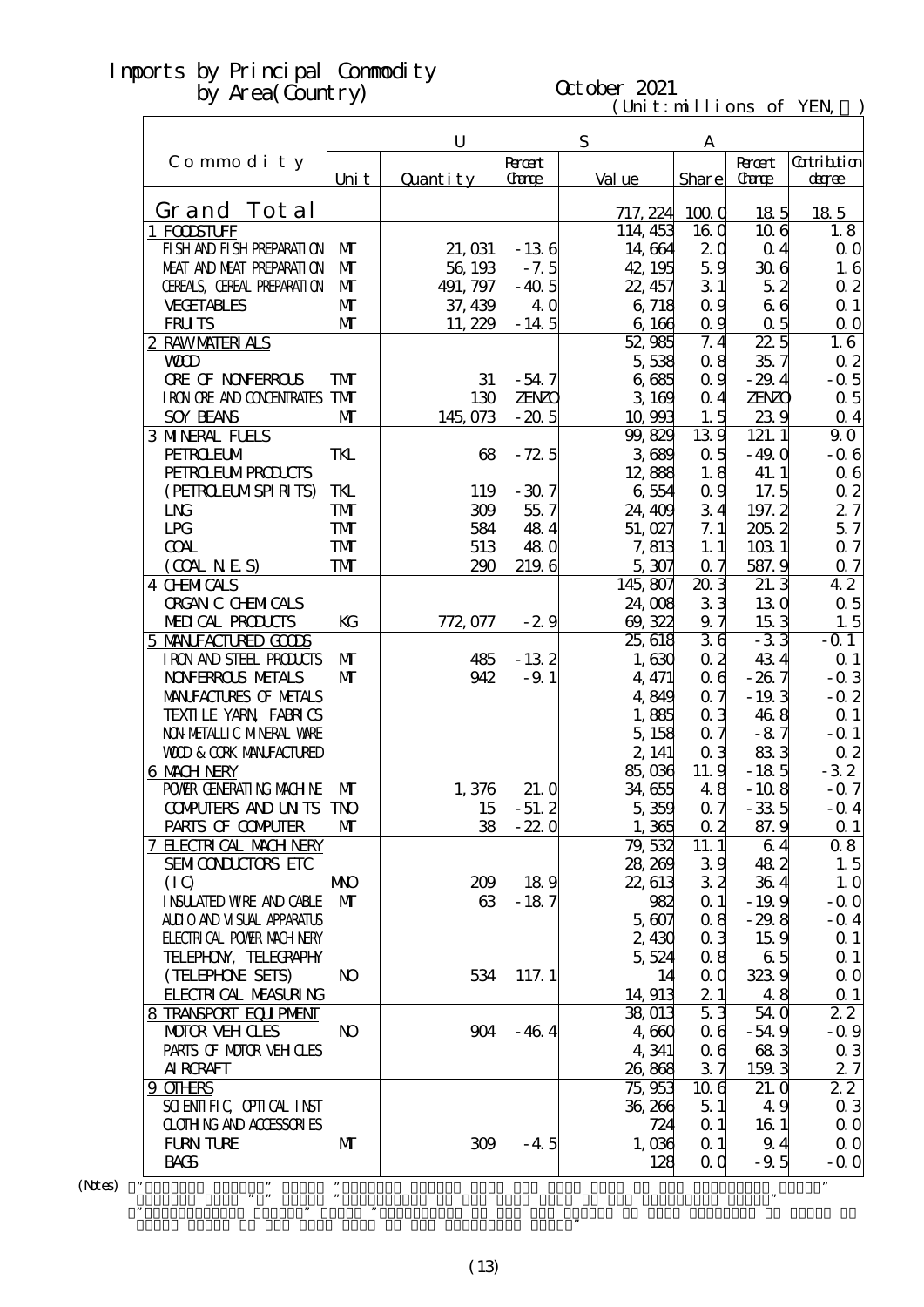# Imports **by Area**(Country)

| orts by Principal Commodity       |                |           |               |                         |                   |                   |                   |
|-----------------------------------|----------------|-----------|---------------|-------------------------|-------------------|-------------------|-------------------|
| by $Area(Gontry)$                 |                |           |               | October 2021            |                   |                   |                   |
|                                   |                |           |               | (Unit: millions of YEN, |                   |                   |                   |
|                                   |                | ${\bf U}$ |               | ${\bf S}$               | A                 |                   |                   |
| Commodity                         |                |           | <b>Recent</b> |                         |                   | <b>R</b> rant     | <b>Cotribtion</b> |
|                                   | Uni t          | Quantity  | <b>Carge</b>  | Val ue                  | Share             | <b>Carge</b>      | degree            |
| Tot al<br>Grand                   |                |           |               | 717, 224                | 1000              | 185               | 185               |
| 1 FOODSTUFF                       |                |           |               | 114, 453                | <b>16 O</b>       | 106               | 1.8               |
| FI SH AND FI SH PREPARATI ON      | M              | 21, 031   | $-136$        | 14,664                  | 2 <sub>0</sub>    | $\Omega$ 4        | $\Omega$ O        |
| MEAT AND MEAT PREPARAII ON        | M              | 56, 193   | $-7.5$        | 42, 195                 | 59                | 306               | 1.6               |
| CEREALS, CEREAL PREPARATION       | M              | 491, 797  | $-40.5$       | 22, 457                 | 31                | 52                | 02                |
| <b>VECETABLES</b>                 | $\mathbf{M}$   | 37, 439   | 40            | 6,718                   | 0.9               | 66                | $\Omega$ 1        |
| <b>FRUTS</b>                      | $\mathbf{M}$   | 11,229    | $-14.5$       | 6,166                   | 0.9               | 0.5               | $\Omega$ O        |
| 2 RAWMATERIALS                    |                |           |               | 52,985                  | 7.4               | $\overline{22.5}$ | 1.6               |
| <b>WD</b>                         |                |           |               | 5,538                   | 08                | 35.7              | 0 <sub>2</sub>    |
| <b>ORE OF NONFERROLS</b>          | ${\bf T}$      | 31        | $-54.7$       | 6685                    | 0.9               | $-29.4$           | $-0.5$            |
| I RON ORE AND CONDENTRATES        | <b>TM</b>      | 130       | ZENZO         | 3,169                   | 0.4               | <b>ZENZO</b>      | 0.5               |
| <b>SOY BEANS</b>                  | $\mathbf{M}$   | 145,073   | $-20.5$       | 10,993                  | 1.5               | 239               | 0.4               |
| <b>3 MINERAL FUELS</b>            |                |           |               | 99,829                  | 139               | 121.1             | 90                |
| <b>PEIROEUM</b>                   | TKL            | 68        | $-72.5$       | 3689                    | 0.5               | $-49.0$           | $-0.6$            |
| <b>PEIRO ELMPROLCTS</b>           |                |           |               | 12,888                  | 1.8               | 41.1              | $\alpha$ 6        |
| (PEIROELMSPIRITS)                 | TKL            | 119       | $-307$        | 6554                    | 0.9               | 17.5              | 02                |
| <b>LNG</b>                        | <b>TM</b>      | 309       | 55.7          | 24, 409                 | 34                | 197.2             | 27                |
| <b>LPG</b>                        | <b>TM</b>      | 584       | 484           | 51, 027                 | 7.1               | 205.2             | 57                |
| <b>COAL</b>                       | <b>TM</b>      | 513       | 480           | 7,813                   | 1.1               | 1031              | 0.7               |
| (OMNES)                           | TMT            | 290       | 2196          | 5,307                   | 0.7               | 587.9             | 07                |
| 4 CHMICALS                        |                |           |               | 145,807                 | 203               | 21.3              | 42                |
| <b>ORGAN C CHEMICALS</b>          |                |           |               | 24,008                  | 33                | 130               | 0.5               |
| MEDICAL PRODUCTS                  | KG             | 772, 077  | $-29$         | 69, 322                 | 9.7               | 153               | 1.5               |
| 5 MANIFACTURED GOODS              |                |           |               | 25, 618                 | 36                | $-33$             | $-0.1$            |
| I RON AND STEEL PRODUCTS          | $\mathbf{M}$   | 485       | $-132$        | 1,630                   | 0.2               | 434               | Q <sub>1</sub>    |
| <b>NOVERROLS METALS</b>           | $\mathbf{M}$   | 942       | $-9.1$        | 4, 471                  | 0 <sub>6</sub>    | $-267$            | $-0.3$            |
| MANIFACTURES OF METALS            |                |           |               | 4,849                   | 0.7               | $-19.3$           | $-0.2$            |
| TEXILLE YARN FABRICS              |                |           |               | 1,885                   | 0 <sub>3</sub>    | 468               | $\Omega$ 1        |
| NON METALLIC MINERAL WARE         |                |           |               | 5,158                   | 0.7               | $-87$             | $-Q$ 1            |
| <b>VOD &amp; CORK MANFACTURED</b> |                |           |               | 2, 141                  | $\alpha$ 3        | 833               | 0 <sub>2</sub>    |
| 6 MACH NERY                       |                |           |               | 85,036                  | 11.9              | $-185$            | $-32$             |
| POWIR GENERATING MACHINE          | M              | 1,376     | 21.0          | 34,655                  | 48                | $-108$            | $-0.7$            |
| <b>COMPUTERS AND UNTS</b>         | <b>TNO</b>     | 15        | $-51.2$       | 5,359                   | 0.7               | $-33.5$           | $-0.4$            |
| PARIS OF COMPUTER                 | M              | 38        | $-220$        | 1,365                   | $\alpha$ 2        | 87.9              | $Q_1$             |
| <b>7 ELECTRICAL MACH NERY</b>     |                |           |               | 79,532                  | 11.1              | 64                | 08                |
| SEMICONDUCTORS ETC                |                |           |               | 28, 269                 | 39                | 482               | 1.5               |
| (IQ)                              | <b>NIO</b>     | 209       | 189           | 22, 613                 | 32                | 364               | 1.0               |
| <b>INSUATED WRE AND CABLE</b>     | $\mathbf{M}$   | 63        | $-187$        | 982                     | $\alpha$ 1        | $-19.9$           | $-0.0$            |
| ALLIO AND VISUAL APPARATUS        |                |           |               | 5.607                   | 08                | $-29.8$           | $-0.4$            |
| <b>ELECTRICAL POWIR MACH NERY</b> |                |           |               | 2,430                   | 0 <sub>3</sub>    | 15.9              | $Q_1$             |
| TELEPHON, TELECRAPHY              |                |           |               | 5,524                   | 08                | 65                | $\Omega$ 1        |
| (TELEPHONE SEIS)                  | N <sub>O</sub> | 534       | 117.1         | 14                      | $\alpha$ $\alpha$ | 3239              | $\Omega$ O        |
| <b>FLECTRI CAL MEASURING</b>      |                |           |               | 14, 913                 | 21                | 48                | $\Omega$ 1        |
| 8 TRANSPORT EQUIPMENT             |                |           |               | 38,013                  | 53                | 54 0              | 22                |
| <b>MOTOR VEH CLES</b>             | N <sub>O</sub> | 904       | $-464$        | 4,660                   | 06                | $-54.9$           | $-0.9$            |
| PARIS OF MOTOR VEH CLES           |                |           |               | 4,341                   | 06                | 683               | $\alpha$ 3        |
| <b>AI RCRAFT</b>                  |                |           |               | 26,868                  | 37                | 159.3             | 27                |

(13)

 $\mathcal{C}$  means  $\mathcal{C}$  means  $\mathcal{C}$  that category of the Yen Change of the Yen Change of that category of goods to good structure of the Yen Change of the Yen Change of goods to good structure of the Yen Change of the

・"Percent Change" means "Percent Change from the same term in the preceding year."  $\mathbf{m}$  means "Multiplier to the same term in the preceding year. The preceding year. The preceding year. The preceding year.

Grand Total of the same term in the preceding year."

AIRCRAFT 26,868 3.7 159.3 2.7<br>
26,868 3.7 159.3 2.7  $9 \text{ OIEES}$   $75,953 \quad 10.6 \quad 21.0$  2.2 SCIENTIFIC, OPTICAL INST 36,266 5.1 4.9 0.3 CLOTHING AND ACCESSORIES 724 0.1 16.1 0.0 FURNITURE MT 309 -4.5 1,036 0.1 9.4 0.0 BAGS  $-9.5 -0.0$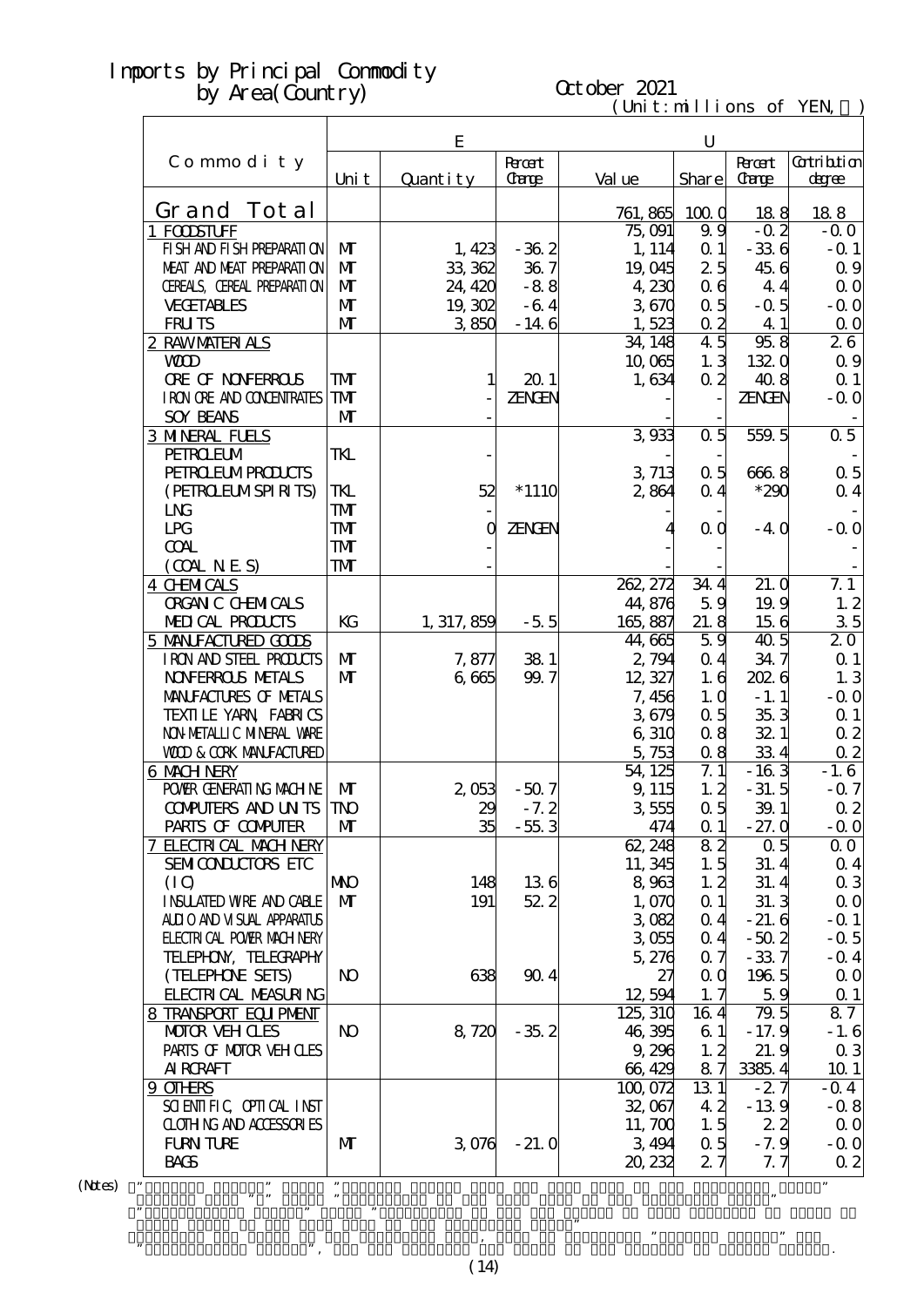# October 2021

 $(\text{Uni t}: \text{mi} \text{lli} \text{ons of } \text{YEN})$ 

|                                            |                | E           |                       |          | U                      |                               |                       |
|--------------------------------------------|----------------|-------------|-----------------------|----------|------------------------|-------------------------------|-----------------------|
| Commodity                                  | Uni t          | Quantity    | <b>Roott</b><br>Carge | Val ue   | <b>Share</b>           | <b>Recent</b><br><b>Carge</b> | Gatribition<br>degree |
| Grand Tot al                               |                |             |                       |          |                        |                               |                       |
|                                            |                |             |                       | 761, 865 | 1000<br>99             | 188<br>$-0.2$                 | 188<br>$-0.0$         |
| 1 FODSTUFF<br>FI SH AND FI SH PREPARATI ON | $\mathbf{M}$   |             | $-362$                | 75,091   | $\alpha$ 1             | $-336$                        |                       |
| MEAT AND MEAT PREPARATION                  | $\mathbf{M}$   | 1,423       |                       | 1, 114   |                        |                               | $-$ Q 1               |
|                                            | $\mathbf{M}$   | 33, 362     | 367                   | 19,045   | 25                     | 45.6                          | 0.9                   |
| CEREALS, CEREAL PREPARATION                |                | 24, 420     | $-88$                 | 4 230    | 0 <sub>6</sub>         | 4.4                           | 0 <sub>0</sub>        |
| <b>VECETABLES</b>                          | $\mathbf{M}$   | 19,302      | $-64$                 | 3670     | 0.5                    | $-0.5$                        | $-0.0$                |
| <b>FRUTS</b>                               | $\mathbf{M}$   | 3850        | $-146$                | 1,523    | 0.2<br>$\overline{45}$ | 4 1                           | $\Omega$ O            |
| 2 RAWMATERIALS                             |                |             |                       | 34, 148  |                        | 958                           | 26                    |
| <b>WD</b>                                  |                |             |                       | 10,065   | 1.3                    | 1320                          | 0.9                   |
| <b>ORE OF NONFERROLS</b>                   | TMT            | 1           | 201                   | 1,634    | $\alpha$ 2             | 408                           | $\Omega$ 1            |
| I RON ORE AND CONDENTRATES                 | TMT            |             | ZENGEN                |          |                        | <b>ZENGEN</b>                 | $-0.0$                |
| <b>SOY BEANS</b>                           | $\mathbf{M}$   |             |                       |          |                        |                               |                       |
| <b>3 MNERAL FUELS</b>                      |                |             |                       | 3933     | 0.5                    | 559.5                         | 0.5                   |
| <b>PEIROEUM</b>                            | TKL            |             |                       |          |                        |                               |                       |
| <b>PEIRO EUMPROLCIS</b>                    |                |             |                       | 3 713    | 0.5                    | 6668                          | 0.5                   |
| (PEIROELMSPIRITS)                          | TKL            | 52          | $*1110$               | 2864     | 0.4                    | $*290$                        | $\alpha$ 4            |
| L <sub>N</sub>                             | TMT            |             |                       |          |                        |                               |                       |
| LPG                                        | TMT            | $\mathbf 0$ | ZENGEN                |          | 0 <sub>0</sub>         | $-4.0$                        | $-0.0$                |
| <b>COAL</b>                                | TMT            |             |                       |          |                        |                               |                       |
| (OMINES)                                   | TMT            |             |                       |          |                        |                               |                       |
| <b>4 CHMICALS</b>                          |                |             |                       | 262, 272 | 34.4                   | 21.0                          | 7.1                   |
| <b>ORGAN C CHEMICALS</b>                   |                |             |                       | 44,876   | 59                     | 19.9                          | 1.2                   |
| MEDICAL PRODUCTS                           | KG             | 1, 317, 859 | $-5.5$                | 165,887  | 21.8                   | 156                           | 35                    |
| 5 MANIFACTURED GOODS                       |                |             |                       | 44,665   | 59                     | 40 <sub>5</sub>               | 20                    |
| IRON AND STEEL PRODUCTS                    | $\mathbf{M}$   | 7,877       | 381                   | 2,794    | 0.4                    | 34.7                          | $\Omega$ 1            |
| <b>NOVERROLS NETALS</b>                    | $\mathbf{M}$   | 6,665       | 99.7                  | 12, 327  | 1.6                    | 2026                          | 1.3                   |
| MANIFACTURES OF METALS                     |                |             |                       | 7,456    | 1,0                    | $-1.1$                        | $-0.0$                |
| TEXILLE YARN FABRICS                       |                |             |                       | 3679     | 0.5                    | 35.3                          | $\Omega$ 1            |
| NON METALLIC MINERAL VARE                  |                |             |                       | 6,310    | 08                     | 32 1                          | 0 <sub>2</sub>        |
| <b>WOD &amp; CORK MANEACTURED</b>          |                |             |                       | 5,753    | 0.8                    | 334                           | 02                    |
| 6 MACH NERY                                |                |             |                       | 54 125   | 7.1                    | $-163$                        | $-1.6$                |
| POWER GENERATING MACHINE                   | $\mathbf{M}$   | 2053        | $-507$                | 9, 115   | 1, 2                   | $-31.5$                       | $-0.7$                |
| <b>COMPUTERS AND UN TS TNO</b>             |                | 29          | $-7.2$                | 3555     | $\alpha$ 5             | 391                           | $\alpha$ 2            |
| PARIS OF COMPUTER                          | M              | 35          | $-553$                | 474      | $\alpha$ 1             | $-27.0$                       | $-0.0$                |
| 7 ELECTRICAL MACH NERY                     |                |             |                       | 62, 248  | 82                     | $\Omega$ 5                    | $\Omega$ O            |
| SEMICONDUCTORS ETC                         |                |             |                       | 11, 345  | 1.5                    | 31.4                          | 0 <sub>4</sub>        |
| (IQ)                                       | <b>NNO</b>     | 148         | 136                   | 8,963    | 1, 2                   | 31.4                          | $\alpha$ 3            |
| <b>INSUATED WRE AND CABLE</b>              | $\mathbf{M}$   | 191         | 522                   | 1,070    | $\alpha$ 1             | 31.3                          | 0 <sub>0</sub>        |
| ALII O AND VI SUAL APPARATUS               |                |             |                       | 3082     | 0 <sub>4</sub>         | $-21.6$                       | $-$ Q 1               |
| <b>ELECTRICAL POWIR MACH NERY</b>          |                |             |                       | 3055     | 0 <sub>4</sub>         | $-50.2$                       | $-0.5$                |
| TELEPHON, TELECRAPHY                       |                |             |                       | 5,276    | 0.7                    | $-337$                        | $-$ Q 4               |
| (TELEPHONE SETS)                           | N <sub>O</sub> | 638         | 904                   | 27       | 0 <sub>0</sub>         | 1965                          | $\alpha$ o            |
| FLECTRICAL MEASURING                       |                |             |                       | 12,594   | 1, 7                   | 59                            | $\Omega$ 1            |
| 8 TRANSPORT EQUIPMENT                      |                |             |                       | 125, 310 | 164                    | 79.5                          | 87                    |
| <b>MOTOR VEH CLES</b>                      | N <sub>O</sub> | 8,720       | $-35.2$               | 46,395   | 61                     | $-17.9$                       | $-1.6$                |
| PARIS OF MOTOR VEH OLES                    |                |             |                       | 9,296    | 1, 2                   | 21.9                          | $\alpha$ 3            |
| <b>AI RCRAFT</b>                           |                |             |                       | 66,429   | 87                     | 3385.4                        | 101                   |
| 9 OTHRS                                    |                |             |                       | 100,072  | 13 1                   | $-27$                         | $-0.4$                |
| SCIENTIFIC CPIICAL INST                    |                |             |                       | 32,067   | 42                     | $-139$                        | $-0.8$                |
| <b>CLOTHING AND ACCESSORIES</b>            |                |             |                       | 11, 700  | 1.5                    | 22                            | $\Omega$ O            |
| <b>FURN TURE</b>                           | M              | 3076        | $-21.0$               | 3,494    | 0.5                    | $-7.9$                        | $-0.0$                |
| <b>BACS</b>                                |                |             |                       | 20, 232  | 27                     | 7. 7                          | $\Omega$ 2            |
| ,,                                         | $, \,$         |             |                       |          |                        |                               |                       |
|                                            |                |             |                       |          |                        |                               |                       |

 $(N$ tes $)$ 

 Figures with "\*" means "Multiplier to the same term in the preceding year." ・"Contribution degree" means "Percentage of the Yen Change of that category of goods to Grand Total of the same term in the preceding year." , we are the preceding year, used to calculate  $\mathcal{P}$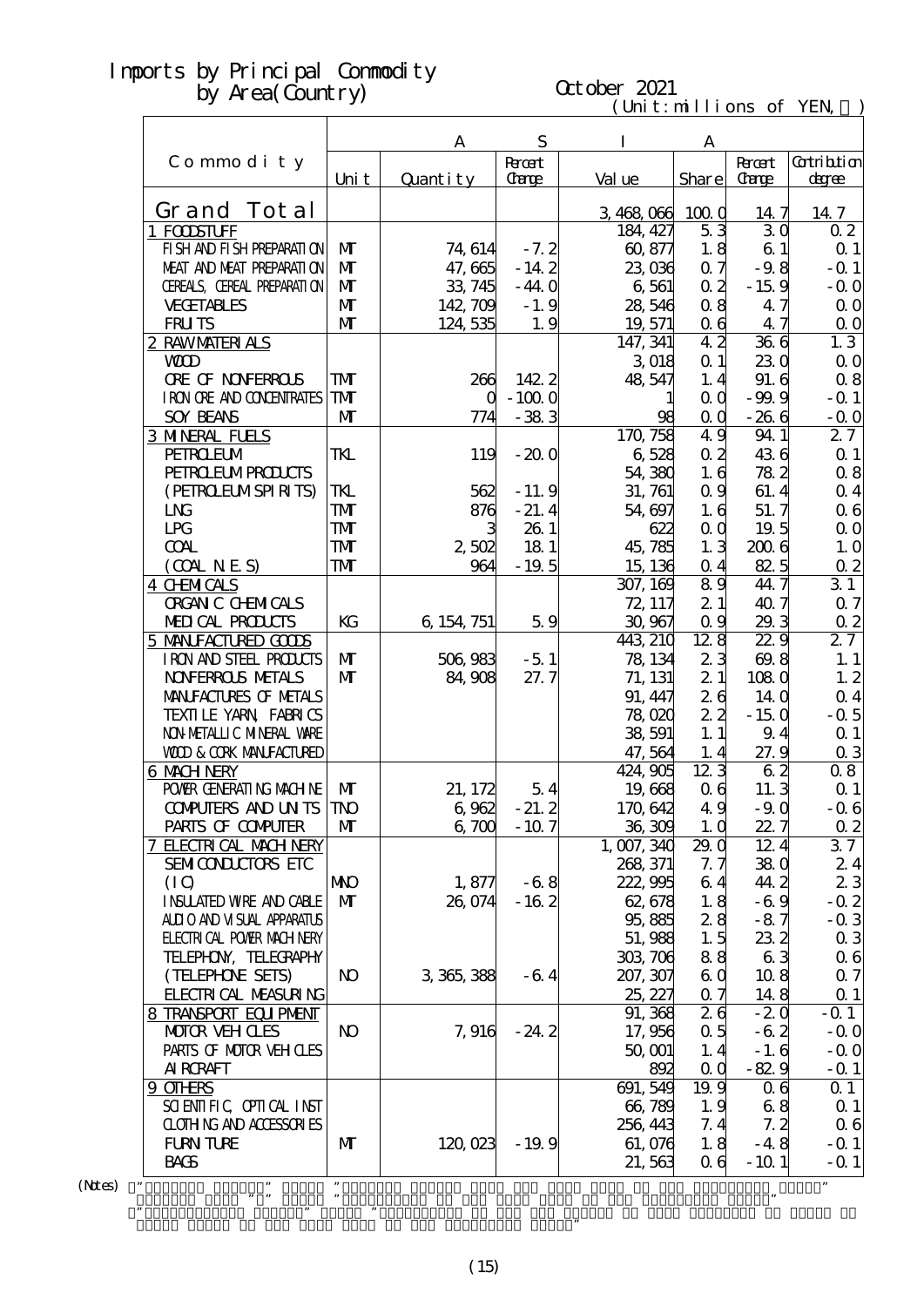# October 2021

| $\mathbf{r}$ and $\mathbf{w}$ and $\mathbf{r}$ |                |             |               | (Unit: millions of YEN, |                   |                 |                              |
|------------------------------------------------|----------------|-------------|---------------|-------------------------|-------------------|-----------------|------------------------------|
|                                                |                | A           | S             | $\bf{I}$                | A                 |                 |                              |
|                                                |                |             | <b>Recent</b> |                         |                   | <b>Root</b>     | Gatribition                  |
| Commodity                                      | Uni t          | Quantity    | <b>Carge</b>  | Val ue                  | Share             | <b>Carge</b>    | degree                       |
| Grand Tot al                                   |                |             |               | 3,468,066               | 1000              | 14.7            | 14.7                         |
| 1 FOODSTUFF                                    |                |             |               | 184, 427                | 53                | 30              | 02                           |
| FISH AND FISH PREPARATION                      | M              | 74, 614     | $-7.2$        | 60,877                  | 1.8               | 61              | Q <sub>1</sub>               |
| MEAT AND MEAT PREPARAII ON                     | $\mathbf{M}$   | 47,665      | $-14.2$       | 23,036                  | 0.7               | $-9.8$          | $-$ Q 1                      |
| CEREALS, CEREAL PREPARATION                    | $\mathbf{M}$   | 33, 745     | $-44.0$       | 6,561                   | 0 <sub>2</sub>    | $-159$          | $-$ Q O                      |
| <b>VECETABLES</b>                              | $\mathbf{M}$   | 142, 709    | $-1.9$        | 28,546                  | 0.8               | 47              | $\Omega$ O                   |
| <b>FRUTS</b>                                   | $\mathbf{M}$   | 124,535     | 1.9           | 19, 571                 | $\alpha$ 6        | 47              | 0 <sub>0</sub>               |
| 2 RAWMATERIALS                                 |                |             |               | 147, 341                | 42                | 366             | 1.3                          |
| <b>WD</b>                                      |                |             |               | 3 018                   | $\Omega$ 1        | 230             | $\Omega$ O                   |
| <b>ORE OF NONFERROLS</b>                       | ${\bf T}$      | 266         | 1422          | 48,547                  | 1.4               | 91.6            | $\alpha$ 8                   |
| I RON ORE AND CONDINIRATES                     | <b>TM</b>      | $\Gamma$    | $-1000$       |                         | $\alpha$ $\alpha$ | $-99.9$         | $-$ Q 1                      |
| <b>SOY BEANS</b>                               | $\mathbf{M}$   | 774         | $-383$        | 98                      | $\alpha$ $\alpha$ | $-266$          | $-0.0$                       |
| <b>3 MNERAL FUELS</b>                          |                |             |               | 170,758                 | 49                | 94 1            | 27                           |
| <b>PEIROEUM</b>                                | TKL            | 119         | $-200$        | 6528                    | 0 <sub>2</sub>    | 436             | Q <sub>1</sub>               |
| <b>PEIRO EUMPROLCIS</b>                        |                |             |               | 54,380                  | 1.6               | 782             | $\alpha$ 8                   |
| (PEIROELMSPIRITS)                              | <b>TKL</b>     | 562         | $-11.9$       | 31, 761                 | 0.9               | 61.4            |                              |
|                                                |                |             |               |                         |                   |                 | 0 <sub>4</sub><br>$\alpha$ 6 |
| <b>LNG</b>                                     | <b>TM</b>      | 876         | $-21.4$       | 54,697                  | 1.6               | 51.7            |                              |
| <b>LPG</b>                                     | <b>TMT</b>     |             | 26 1          | 622                     | 0 <sub>0</sub>    | 19.5            | $\Omega$ O                   |
| <b>COAL</b>                                    | <b>TMT</b>     | 2,502       | 18 1          | 45,785                  | 1.3               | 2006            | 1.0                          |
| (OMINES)                                       | <b>TM</b>      | 964         | $-19.5$       | 15, 136                 | $\alpha$ 4        | 825             | $\overline{0.2}$             |
| 4 CHNMICALS                                    |                |             |               | 307, 169                | 89                | 44.7            | $\overline{31}$              |
| <b>ORGAN C CHEMICALS</b>                       |                |             |               | 72, 117                 | 21                | 407             | $\alpha$ 7                   |
| MEDICAL PRODUCTS                               | KG             | 6, 154, 751 | 59            | 30,967                  | 0.9               | 29.3            | $\overline{0}2$              |
| 5 MANIFACTURED GOODS                           |                |             |               | 443, 210                | 128               | 22.9            | 27                           |
| IRON AND STEEL PRODUCTS                        | M              | 506,983     | $-51$         | 78, 134                 | 23                | 69.8            | 1.1                          |
| <b>NOVERROLS METALS</b>                        | $\mathbf{M}$   | 84,908      | 27.7          | 71, 131                 | 2 1               | 1080            | 1.2                          |
| MANIFACTURES OF METALS                         |                |             |               | 91, 447                 | 26                | 14 <sub>0</sub> | $\alpha$ 4                   |
| TEXILLE YARN FABRICS                           |                |             |               | 78,020                  | 22                | $-150$          | $-0.5$                       |
| NON METALLIC MINERAL WARE                      |                |             |               | 38,591                  | 1.1               | 9.4             | $\Omega$ 1                   |
| <b>VOD &amp; CORK MANFACTURED</b>              |                |             |               | 47,564                  | 1.4               | 27.9            | $\alpha$ 3                   |
| <b>6 MACH NERY</b>                             |                |             |               | 424,905                 | 123               | 62              | 08                           |
| POWER GENERATING MACHINE                       | $\mathbf{M}$   | 21, 172     | 54            | 19,668                  | $\alpha$ 6        | 11.3            | $Q_1$                        |
| <b>CONFUTERS AND UNTS</b>                      | <b>TNO</b>     | 6,962       | $-21.2$       | 170,642                 | 49                | $-90$           | $-0.6$                       |
| PARIS OF COMPUTER                              | $\mathbf{M}$   | 6700        | $-10.7$       | 36,309                  | 1.0               | 22.7            | $\Omega$ 2                   |
| <b>7 ELECTRICAL MACH NERY</b>                  |                |             |               | 1, 007, 340             | 29. Q             | 12.4            | 37                           |
| SEMICONDUCTORS ETC                             |                |             |               | 268, 371                | 7. 7              | 380             | 24                           |
| (10)                                           | МЮ             | 1,877       | $-68$         | 222,995                 | 64                | 44.2            | 23                           |
| <b>INSUATED WRE AND CABLE</b>                  | $\mathbf{M}$   | 26,074      | $-162$        | 62,678                  | 1.8               | $-6.9$          | $-0.2$                       |
| ALLIO AND VISUAL APPARATUS                     |                |             |               | 95,885                  | 28                | $-87$           | $-0.3$                       |
| <b>ELECTRICAL POWER MACH NERY</b>              |                |             |               | 51,988                  | 1.5               | 23 <sub>2</sub> | 03                           |
| TELEPHON, TELECRAPHY                           |                |             |               | 303,706                 | 88                | 63              | 06                           |
| (TELEPHONE SEIS)                               | N <sub>O</sub> | 3 365, 388  | $-64$         | 207, 307                | 6 Q               | 108             | $\alpha$ 7                   |
| <b>FLECTRICAL MEASURING</b>                    |                |             |               | 25, 227                 | $\alpha$ 7        | 148             | $\Omega$ 1                   |
| 8 TRANSPORT EQUIPMENT                          |                |             |               | 91, 368                 | 26                | $-20$           | $-Q$ 1                       |
| <b>MOTOR VEH CLES</b>                          | N <sub>O</sub> | 7,916       | $-24.2$       | 17,956                  | 0.5               | $-62$           | $-0.0$                       |
| PARIS OF MOTOR VEH CLES                        |                |             |               | 50, 001                 | 1.4               | $-1.6$          | $-0.0$                       |
| AI RORAFT                                      |                |             |               | 892                     | $\alpha$ $\alpha$ | $-829$          | $-0.1$                       |
| <u>9 CIHRS</u>                                 |                |             |               | 691, 549                | 19.9              | 06              | $\Omega$ 1                   |
| SCIENTIFIC CPITCAL INST                        |                |             |               | 66,789                  | 1.9               | 68              | $Q_1$                        |
| <b>CLOTHING AND ACCESSORIES</b>                |                |             |               | 256, 443                | 7.4               | 7.2             | $\alpha$ 6                   |
| <b>FURN TURE</b>                               | M              | 120,023     | $-19.9$       | 61,076                  | 1.8               | $-48$           | $-Q$ 1                       |
| <b>BACS</b>                                    |                |             |               | 21,563                  | 06                | $-101$          | $-Q$ 1                       |

 $(N$ tes $)$ 

・"Percent Change" means "Percent Change from the same term in the preceding year."  $\mathbf{m}$  means "Multiplier to the same term in the preceding year. The preceding year. The preceding year. The preceding year.

Grand Total of the same term in the preceding year."

 $\mathcal{C}$  means  $\mathcal{C}$  means  $\mathcal{C}$  that category of the Yen Change of the Yen Change of that category of goods to good structure of the Yen Change of the Yen Change of goods to good structure of the Yen Change of the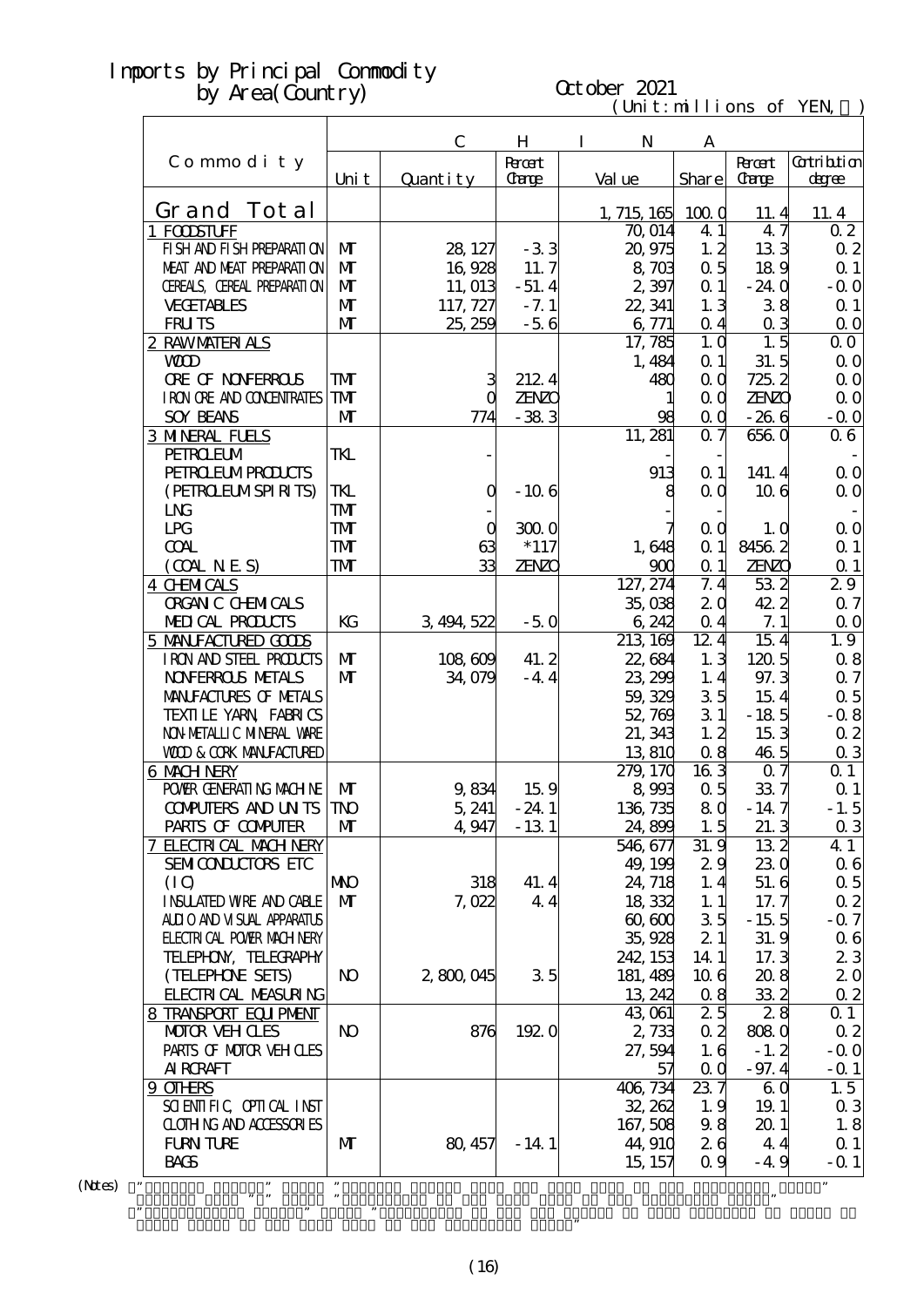#### $(\text{Uni t}: \text{mi} \text{lli} \text{ons of } \text{YEN})$ October 2021

|                                   |                | $\mathbf C$ | H            | $\mathbf I$<br>$\mathbf N$ | A                 |                |                       |
|-----------------------------------|----------------|-------------|--------------|----------------------------|-------------------|----------------|-----------------------|
| Commodity                         |                |             | <b>Roott</b> |                            |                   | <b>Root</b>    | <b>Cotribtion</b>     |
|                                   | Uni t          | Quantity    | <b>Carge</b> | Val ue                     | Share             | <b>Carge</b>   | degree                |
| Grand Tot al                      |                |             |              | 1, 715, 165                | 1000              | 11.4           | 11.4                  |
| 1 FOOSTUFF                        |                |             |              | 70,014                     | 4 1               | 47             | 0 <sub>2</sub>        |
| FI SH AND FI SH PREPARATI ON      | $\mathbf{M}$   | 28, 127     | $-33$        | 20,975                     | 1, 2              | 133            | 02                    |
| MEAT AND MEAT PREPARATION         | $\mathbf{M}$   | 16,928      | 11.7         | 8,703                      | 0.5               | 189            | $\alpha$ 1            |
| CEREALS, CEREAL PREPARATION       | $\mathbf{M}$   | 11, 013     | $-51.4$      | 2 397                      | $\alpha$ 1        | $-24.0$        | $-0.0$                |
| <b>VECETABLES</b>                 | $\mathbf{M}$   | 117, 727    | $-7.1$       | 22, 341                    | 1.3               | 38             | $\Omega$ 1            |
| <b>FRUTS</b>                      | $\mathbf{M}$   | 25, 259     | $-56$        | 6,771                      | $\alpha$ 4        | 0 <sub>3</sub> | 0 <sub>0</sub>        |
| 2 RAWMATERIALS                    |                |             |              | 17, 785                    | 1, 0              | 1.5            | $\Omega$ O            |
| <b>WD</b>                         |                |             |              | 1,484                      | $\alpha$ 1        | 31.5           | 0 <sub>0</sub>        |
| <b>ORE OF NONFERROLS</b>          | TMT            | З           | 2124         | 480                        | QQ                | 725.2          | $\Omega$ O            |
| I RON ORE AND CONDENIRATES        | <b>TM</b>      |             | <b>ZENZO</b> |                            | QQ                | <b>ZENZO</b>   | $\alpha$ o            |
| <b>SOY BEANS</b>                  | $\mathbf{M}$   | 774         | $-383$       | 98                         | $\alpha$          | $-266$         | $-0.0$                |
| <b>3 MNERAL FUELS</b>             |                |             |              | 11, 281                    | 0.7               | 6560           | 06                    |
| <b>PEIROEUM</b>                   | TKL            |             |              |                            |                   |                |                       |
| <b>PEIRO ELMPROLCTS</b>           |                |             |              | 913                        | $\Omega$ 1        | 141.4          | $\Omega$ O            |
| (PEIRCELMSPIRITS)                 | TKL            | Q           | $-106$       | 8                          | QQ                | 106            | 0 <sub>0</sub>        |
| <b>LNG</b>                        | <b>TMT</b>     |             |              |                            |                   |                |                       |
| LPG                               | <b>TMT</b>     | O           | 3000         |                            | 0 <sub>0</sub>    | 1.0            | $\Omega$ O            |
| <b>COAL</b>                       | <b>TMT</b>     | 63          | $*117$       | 1,648                      | $\alpha$ 1        | 84562          | $\Omega$ 1            |
| (OMINES)                          | TMT            | 33          | <b>ZENZO</b> | 900                        | $\Omega$ 1        | <b>ZENZO</b>   | $\alpha$ 1            |
| <b>4 CHMICALS</b>                 |                |             |              | 127, 274                   | 7.4               | 532            | 29                    |
| <b>ORGAN C CHEMICALS</b>          |                |             |              | 35,038                     | 2 <sub>0</sub>    | 42.2           | 0.7                   |
| MEDICAL PRODUCTS                  | KG             | 3, 494, 522 | $-50$        | 6,242                      | $\Omega$ 4        | 7.1            | 0 <sub>0</sub>        |
| 5 MANIFACTURED GODS               |                |             |              | 213 169                    | 12.4              | 15.4           | 1.9                   |
| IRON AND STEEL PRODUCTS           | $\mathbf{M}$   | 108,609     | 41.2         | 22,684                     | 1.3               | 120.5          | 0.8                   |
| <b>NOVERROLS METALS</b>           | $\mathbf{M}$   | 34,079      | $-4.4$       | 23, 299                    | 1.4               | 97.3           | 0.7                   |
| MANIFACTURES OF METALS            |                |             |              | 59, 329                    | 35                | 15.4           | $\alpha$ 5            |
| TEXILE YARN FABRICS               |                |             |              | 52,769                     | 31                | $-185$         | $-0.8$                |
| NON METALLIC MINERAL VARE         |                |             |              |                            | 1, 2              | 153            |                       |
| <b>WOD &amp; CORK MANEACTURED</b> |                |             |              | 21, 343                    |                   |                | $\alpha$ 2            |
| <b>6 MACH NERY</b>                |                |             |              | 13,810<br>279, 170         | 0.8<br>163        | 46.5<br>07     | $\alpha$ 3<br>$Q_1$   |
|                                   |                |             | 159          |                            |                   |                |                       |
| POWER GENERATING MACHINE          | M              | 9,834       |              | 8,993                      | 0.5               | 337            | $\Omega$ 1            |
| <b>COMPUTERS AND UN TS TNO</b>    |                | 5,241       | $-24.1$      | 136, 735                   | 8 <sup>Q</sup>    | $-14.7$        | $-1.5$                |
| PARIS OF COMPUTER                 | M              | 4,947       | $-131$       | 24,899                     | 1.5               | 21.3           | $\alpha$ 3            |
| 7 ELECTRICAL MACH NERY            |                |             |              | 546, 677                   | 31.9              | 132            | 41                    |
| SEMICONDUCTORS ETC                |                |             |              | 49, 199                    | 29                | 230            | 06                    |
| (10)                              | <b>NNO</b>     | 318         | 41.4         | 24, 718                    | 1.4               | 51.6           | $\alpha$ 5            |
| <b>INSUATED WRE AND CABLE</b>     | $\mathbf{M}$   | 7,022       | 44           | 18,332                     | 1.1               | 17.7           | $\alpha$ 2            |
| ALII O AND VI SUAL APPARATUS      |                |             |              | 60,600                     | 35                | $-15.5$        | $-0.7$                |
| <b>FLECTRICAL POWIR MACH NERY</b> |                |             |              | 35,928                     | 21                | 31.9           | 06                    |
| TELEPHON, TELECRAPHY              |                |             |              | 242, 153                   | $14 \; 1$         | 17.3           | 23                    |
| (TELEPHONE SEIS)                  | N <sub>O</sub> | 2,800,045   | 35           | 181, 489                   | 106               | 208            | 20                    |
| FLECTRICAL MEASURING              |                |             |              | 13, 242                    | 0.8               | 33 2           | $\alpha$ 2            |
| 8 TRANSPORT EQUIPMENT             |                |             |              | 43,061                     | 25                | 28             | $\Omega$ 1            |
| MOTOR VEH CLES                    | <b>N</b>       | 876         | 1920         | 2,733                      | 0 <sub>2</sub>    | 8080           | $\alpha$ 2            |
| PARIS OF MOTOR VEH OLES           |                |             |              | 27, 594                    | 1.6               | $-1.2$         | $-0.0$                |
| AI RORAFT                         |                |             |              | 57                         | $\alpha$ $\alpha$ | $-97.4$        | $ \Omega$ 1           |
| 9 OTHRS                           |                |             |              | 406, 734                   | 237               | 60             | 1.5                   |
| SCIENTIFIC CPIICAL INST           |                |             |              | 32, 262                    | 1.9               | 19.1           | 03                    |
| <b>CLOTHING AND ACCESSORIES</b>   |                |             |              | 167, 508                   | 98                | 201            | 1.8                   |
|                                   |                |             |              |                            |                   |                |                       |
| <b>FURN TURE</b><br><b>BACS</b>   | M              | 80, 457     | $-14.1$      | 44, 910<br>15, 157         | 26<br>0.9         | 4.4<br>$-4.9$  | $\alpha$ 1<br>$-$ 0 1 |

 $(N$ tes) "

Grand Total of the same term in the preceding year."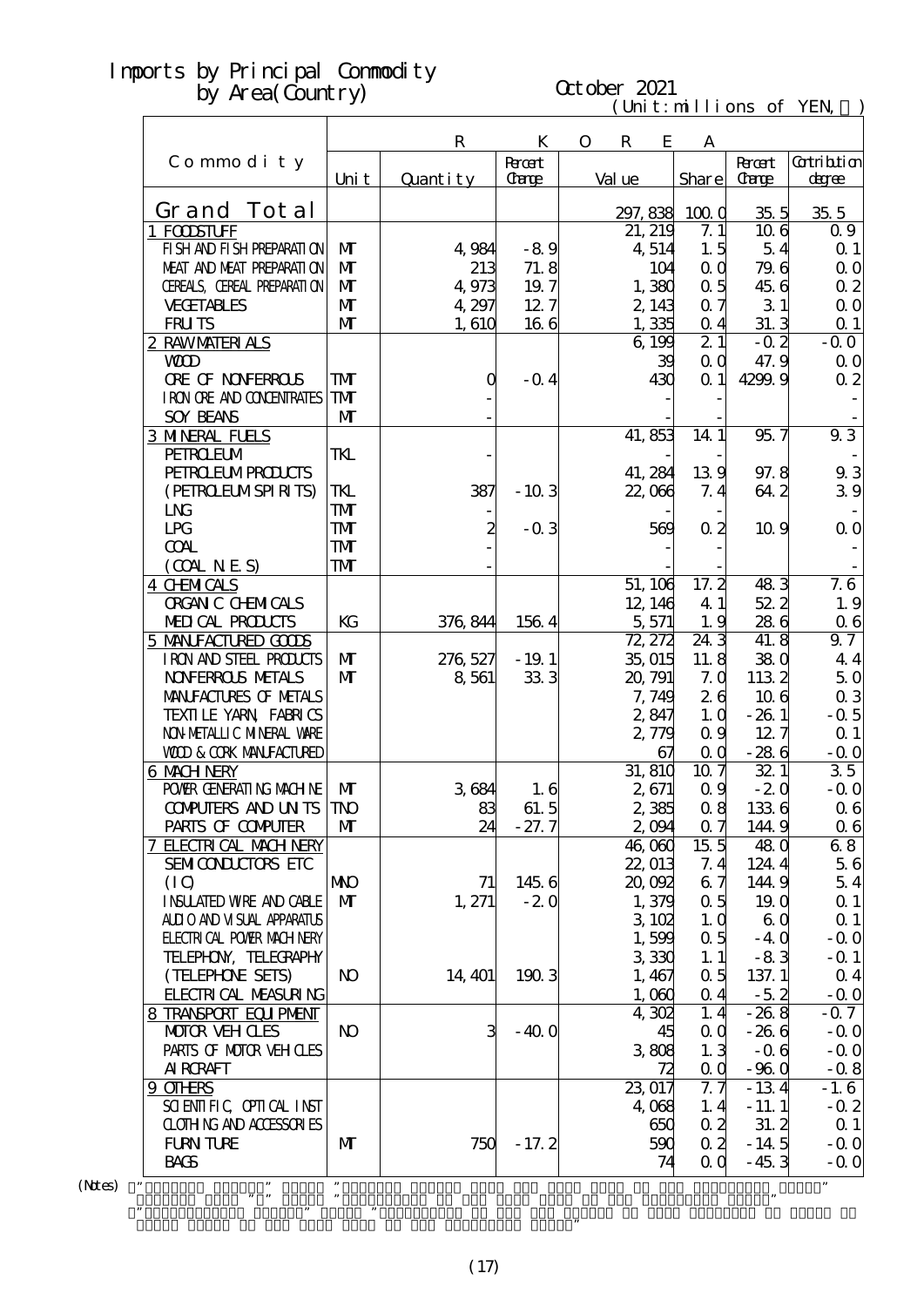| October 2021<br>by Area (Country) |                |             |               |             |             |                     |                   |                         |                 |
|-----------------------------------|----------------|-------------|---------------|-------------|-------------|---------------------|-------------------|-------------------------|-----------------|
|                                   |                |             |               |             |             |                     |                   | (Unit: millions of YEN, |                 |
|                                   |                | $\mathbf R$ | K             | $\mathbf O$ | $\mathbf R$ | E                   | A                 |                         |                 |
| Commodity                         |                |             | <b>Rocert</b> |             |             |                     |                   | <b>Roott</b>            | Gatribtion      |
|                                   | Uni t          | Quantity    | <b>Carge</b>  |             | Val ue      |                     | Share             | <b>Carge</b>            | degree          |
| Tot al<br>Grand                   |                |             |               |             | 297, 838    |                     | 1000              | 35 <sub>5</sub>         | 35 <sub>5</sub> |
| <b>FODSTUFF</b>                   |                |             |               |             | 21, 219     |                     | 7.1               | 106                     | 0.9             |
| FI SH AND FI SH PREPARATI ON      | $\mathbf{M}$   | 4,984       | $-89$         |             |             | 4,514               | 1.5               | 54                      | $\Omega$ 1      |
| MEAT AND MEAT PREPARAII ON        | $\mathbf{M}$   | 213         | 71.8          |             |             | 104                 | $\alpha$ $\alpha$ | 79.6                    | $\Omega$ O      |
| CEREALS, CEREAL PREPARATION       | $\mathbf{M}$   | 4,973       | 19.7          |             |             | 1,380               | $\alpha$ 5        | 45.6                    | 0 <sub>2</sub>  |
| <b>VECETABLES</b>                 | $\mathbf{M}$   | 4,297       | 12.7          |             |             | 2, 143              | $\alpha$ 7        | 31                      | $\Omega$ O      |
| <b>FRUTS</b>                      | M              | 1,610       | 166           |             |             | 1,335               | $Q_4$             | 31.3                    | $\Omega$ 1      |
| <u>2 RAWMATERIALS</u>             |                |             |               |             |             | 6,199               | 21                | $-0.2$                  | $-0.0$          |
| <b>WD</b>                         |                |             |               |             |             | 39                  | 0 <sub>0</sub>    | 47.9                    | 0 <sub>0</sub>  |
| <b>ORE OF NONFERROLS</b>          | ${\bf T}$      | $\left($    | $-$ Q 4       |             |             | 430                 | $\Omega$ 1        | 4299.9                  | 0 <sub>2</sub>  |
| I RON ORE AND CONENTRATES         | <b>TM</b>      |             |               |             |             |                     |                   |                         |                 |
| <b>SOY BEANS</b>                  | $\mathbf{M}$   |             |               |             |             |                     |                   |                         |                 |
| <b>3 MNERAL FUELS</b>             |                |             |               |             | 41,853      |                     | 14 1              | 95.7                    | $\overline{93}$ |
| <b>PEIROEUM</b>                   | TKL            |             |               |             |             |                     |                   |                         |                 |
| <b>PEIRO ELMPRODUCIS</b>          |                |             |               |             | 41, 284     |                     | 139               | 97.8                    | 93              |
| (PEIROELMSPIRITS)                 | TKL            | 387         | $-103$        |             | 22,066      |                     | 7.4               | 64.2                    | 39              |
| <b>LNG</b>                        | <b>TM</b>      |             |               |             |             |                     |                   |                         |                 |
| <b>LPG</b>                        | TMT            | 2           | $-0.3$        |             |             | 569                 | $\alpha$ 2        | 10.9                    | 0 <sub>0</sub>  |
| <b>COAL</b>                       | <b>TM</b>      |             |               |             |             |                     |                   |                         |                 |
| (OMINES)                          | ${\bf T}$      |             |               |             |             |                     |                   |                         |                 |
| 4 CHNICALS                        |                |             |               |             | 51, 106     |                     | 17.2              | 483                     | 7.6             |
| <b>ORGAN C CHEMICALS</b>          |                |             |               |             |             | 12, 146             | 41                | 52 2                    | 1.9             |
| MEDICAL PRODUCTS                  | KG             | 376, 844    | 1564          |             |             | 5,571               | 1.9               | 286                     | 06              |
| 5 MANIFACTURED GOODS              |                |             |               |             | 72, 272     |                     | 24 3              | 41.8                    | 9.7             |
| I RON AND STEEL PRODUCTS          | M              | 276, 527    | $-19.1$       |             | 35,015      |                     | 11.8              | 380                     | 44              |
| <b>NOVERROLS METALS</b>           | $\mathbf{M}$   | 8,561       | 333           |             | 20, 791     |                     | 7.0               | 1132                    | 50              |
| MANIFACTURES OF METALS            |                |             |               |             |             | 7,749               | 26                | 106                     | $\alpha$ 3      |
| TEXILE YARN FABRICS               |                |             |               |             |             | 2,847               | 1.0               | $-261$                  | $-$ 0.5         |
| NON METALLI C MINERAL WARE        |                |             |               |             |             | 2,779               | 0.9               | 12.7                    | Q <sub>1</sub>  |
| <b>VOD &amp; CORK MANEACTURED</b> |                |             |               |             |             | 67                  | 0 <sub>0</sub>    | $-286$                  | $-0.0$          |
| 6 MACH NERY                       |                |             |               |             |             | $\overline{3}1,810$ | 10.7              | 321                     | 35              |
| POWIR GENERATING MACHINE          | M              | 3684        | 1.6           |             |             | 2,671               | 0.9               | $-20$                   | $-$ Q O         |
| <b>COMPUTERS AND UNTS</b>         | TNO            | 83          | 61.5          |             |             | 2,385               | 08                | 1336                    | $\alpha$ 6      |
| PARIS OF COMPUTER                 | M              | 24          | $-27.7$       |             |             | 2,094               | 0.7               | 144.9                   | $\alpha$ 6      |
| <b>7 ELECTRICAL MACH NERY</b>     |                |             |               |             | 46,060      |                     | 15 <sub>5</sub>   | 48 <sub>0</sub>         | 68              |
| SEMICONDUCTORS ETC                |                |             |               |             | 22, 013     |                     | 7.4               | 124.4                   | 56              |
| (10)                              | <b>NNO</b>     | 71          | 145 6         |             | 20,092      |                     | 6.7               | 144.9                   | 54              |
| <b>INSUATED WRE AND CABLE</b>     | $\mathbf{M}$   | 1, 271      | $-20$         |             |             | 1,379               | 0.5               | 19. Q                   | $\Omega$ 1      |
| ALLIO AND VISUAL APPARATUS        |                |             |               |             |             | 3102                | 1.0               | 60                      | $\Omega$ 1      |
| <b>ELECTRICAL POWER MACHINERY</b> |                |             |               |             |             | 1,599               | 0.5               | $-40$                   | $-$ Q O         |
| TELEPHON, TELECRAPHY              |                |             |               |             |             | 330                 | 1.1               | $-83$                   | $-Q$ 1          |
| (TELEPHONE SETS)                  | N <sub>O</sub> | 14, 401     | 1903          |             |             | 1, 467              | 0.5               | 137.1                   | 0 <sub>4</sub>  |
| <b>FLECTRICAL MEASURING</b>       |                |             |               |             |             | 1,000               | 0 <sub>4</sub>    | $-5.2$                  | $-$ Q O         |
| 8 TRANSPORT EQUIPMENT             |                |             |               |             |             | 4,302               | 1, 4              | $-268$                  | $-0.7$          |
| MOTOR VEH CLES                    | N <sub>O</sub> | 3           | $-400$        |             |             | 45                  | Q Q               | $-266$                  | $-0.0$          |
| PARIS OF MOTOR VEH CLES           |                |             |               |             |             | 3808                | 1.3               | $-06$                   | $-$ Q O         |
| <b>AI RCRAFT</b>                  |                |             |               |             |             | 72                  | 0 <sub>0</sub>    | $-960$                  | $-0.8$          |

 $(N$ tes $)$ 

・"Percent Change" means "Percent Change from the same term in the preceding year."  $\mathbf{m}$  means "Multiplier to the same term in the preceding year. The preceding year. The preceding year. The preceding year.

Grand Total of the same term in the preceding year."

 $\mathcal{C}$  means  $\mathcal{C}$  means  $\mathcal{C}$  that category of the Yen Change of the Yen Change of that category of goods to good structure of the Yen Change of the Yen Change of goods to good structure of the Yen Change of the

 $9 \text{ OIEES}$  1.6

SCIENTIFIC, OPTICAL INST<br>
CLOTHING AND ACCESSORIES<br>
FURN TURE MORTINE MORTINE MORTINE MORTINE MORTINE MORTINE MORTINE MORTING MORTING MORTING MORTING MORTING MORTING MORTING MORTING MORTING MORTING MORTING MORTING MORTING  $C\subset C\subset C\subset C\subset C$  and  $C\subset C$  and  $C\subset C$  and  $C\subset C$  and  $C\subset C$  and  $C\subset C$  and  $C\subset C$  and  $C\subset C$  and  $C\subset C$  and  $C\subset C$  and  $C\subset C$  and  $C\subset C$  and  $C\subset C$  and  $C\subset C$  and  $C\subset C$  and  $C\subset C$  and  $C\subset C$  and  $C\subset C$  and  $C\subset C$  and  $C\$ FURNITURE  $\vert M \vert$  750 - 17.2 590 0.2 - 14.5 - 0.0 BAGS  $-45.3 -0.0$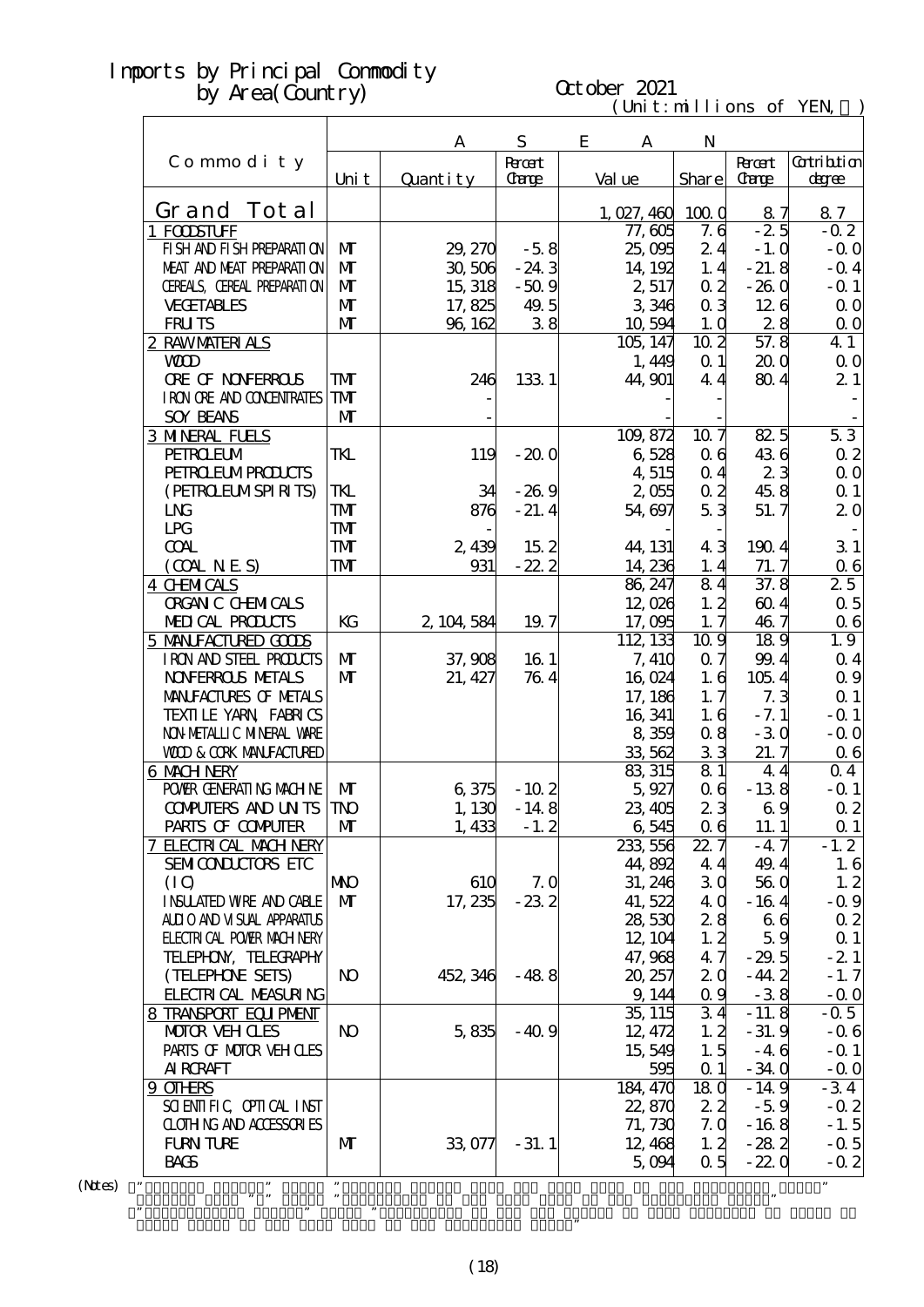r

# October 2021

| $(Uni t: mil li$ ons of YEN |  |  |  |
|-----------------------------|--|--|--|
|-----------------------------|--|--|--|

|                                   |                | A           | S               | E<br>A              | N               |                 |                    |
|-----------------------------------|----------------|-------------|-----------------|---------------------|-----------------|-----------------|--------------------|
| Commodity                         |                |             | <b>Root</b>     |                     |                 | <b>Recent</b>   | <b>Cotribition</b> |
|                                   | Uni t          | Quantity    | Carge           | Val ue              | Share           | <b>Carge</b>    | degree             |
| Grand Tot al                      |                |             |                 |                     |                 |                 |                    |
| 1 FOOSTUFF                        |                |             |                 | 1,027,460<br>77,605 | 1000<br>7.6     | 87<br>$-2.5$    | 87<br>$-0.2$       |
| FI SH AND FI SH PREPARATI ON      | M              | 29, 270     | $-58$           | 25,095              | 24              | $-1.0$          | $-0.0$             |
| MEAT AND MEAT PREPARATION         | $\mathbf{M}$   | 30,506      | $-24.3$         | 14, 192             | 1.4             | $-21.8$         | $-$ Q 4            |
| CEREALS, CEREAL PREPARATION       | $\mathbf{M}$   | 15, 318     | $-50.9$         | 2,517               | $\alpha$ 2      | $-260$          | $-$ Q 1            |
| <b>VECETABLES</b>                 | $\mathbf{M}$   | 17,825      | 49.5            | 3,346               | 0 <sub>3</sub>  | 126             | 0 <sub>0</sub>     |
| <b>FRUTS</b>                      | $\mathbf{M}$   | 96, 162     | 38              | 10,594              | 1.0             | 28              | $\Omega$ O         |
| 2 RAWMATERIALS                    |                |             |                 | 105, 147            | 10 <sub>2</sub> | 57.8            | 4 1                |
| <b>WD</b>                         |                |             |                 | 1,449               | $\Omega$ 1      | 20 <sub>0</sub> | 0 <sub>0</sub>     |
| <b>ORE OF NONFERROLS</b>          | <b>TM</b>      | 246         | 133 1           | 44, 901             | 44              | 804             | 21                 |
| I RON ORE AND CONENTRATES         | ${\bf T\!M}$   |             |                 |                     |                 |                 |                    |
| <b>SOY BEANS</b>                  | $\mathbf{M}$   |             |                 |                     |                 |                 |                    |
| <b>3 MNERAL FUELS</b>             |                |             |                 | 109, 872            | 10.7            | 825             | 53                 |
| <b>PEIROEUM</b>                   | TKL            | 119         | $-200$          | 6528                | 06              | 436             | $\alpha$ 2         |
| <b>PEIRO ELMPROLCTS</b>           |                |             |                 | 4 515               | 0.4             | 23              | $\Omega$ O         |
| (PEIRCELMSPIRITS)                 | TKL            | 34          | $-269$          | 2,055               | $\alpha$ 2      | 45.8            | $\Omega$ 1         |
| $L_{\text{N}}$                    | <b>TMT</b>     | 876         | $-21.4$         | 54,697              | 53              | 51.7            | 20                 |
| LPG                               | <b>TM</b>      |             |                 |                     |                 |                 |                    |
| <b>COAL</b>                       | <b>TMT</b>     | 2,439       | 15 <sub>2</sub> | 44, 131             | 43              | 1904            | 31                 |
| (COALNES)                         | <b>TM</b>      | 931         | $-22.2$         | 14, 236             | 1.4             | 71.7            | 06                 |
| <b>4 CHMICALS</b>                 |                |             |                 | 86, 247             | 84              | 37.8            | 25                 |
| <b>ORGAN C CHEMICALS</b>          |                |             |                 | 12,026              | 1, 2            | 604             | $\alpha$ 5         |
| MEDICAL PRODUCTS                  | KG             | 2, 104, 584 | 19.7            | 17,095              | 1.7             | 46.7            | $\alpha$ 6         |
| 5 MANIFACTURED GODS               |                |             |                 | 112, 133            | 10.9            | 189             | 1.9                |
| IRON AND STEEL PRODUCTS           | $\mathbf{M}$   | 37,908      | 16 1            | 7, 410              | 0.7             | 99.4            | $Q_4$              |
| <b>NOVERROLS METALS</b>           | $\mathbf{M}$   | 21, 427     | 764             | 16,024              | 1.6             | 105.4           | $\Omega$ 9         |
| MANIFACTURES OF METALS            |                |             |                 | 17, 186             | 1, 7            | 7.3             | $\Omega$ 1         |
| TEXILLE YARN FABRICS              |                |             |                 | 16, 341             | 1.6             | $-7.1$          | $-Q_1$             |
| NON METALLI C MINERAL VARE        |                |             |                 | 8 359               | 0.8             | $-30$           | $-0.0$             |
| <b>WOD &amp; CORK MANEACTURED</b> |                |             |                 | 33 562              | 33              | 21.7            | $\alpha$ 6         |
| 6 MACH NERY                       |                |             |                 | 83, 315             | 81              | 4.4             | 04                 |
| POWIR GENERATING MACHINE          | M              | 6,375       | $-102$          | 5,927               | 06              | $-138$          | $-Q_1$             |
| <b>CONPUTERS AND UNTS</b>         | <b>TNO</b>     | 1,130       | $-14.8$         | 23, 405             | 23              | 69              | $\alpha$ 2         |
| PARIS OF COMPUTER                 | $\mathbf{M}$   | 1,433       | $-1.2$          | 6,545               | 06              | 11.1            | $\alpha$ 1         |
| <b>7 ELECTRICAL MACH NERY</b>     |                |             |                 | 233, 556            | 22.7            | $-47$           | $-1.2$             |
| SEMICONDUCTORS ETC                |                |             |                 | 44,892              | 4.4             | 49.4            | 1.6                |
| (IO)                              | МЮ             | 610         | 7.0             | 31, 246             | 30              | 560             | 1.2                |
| <b>INSUATED WRE AND CABLE</b>     | $\mathbf{M}$   | 17, 235     | $-232$          | 41,522              | 4 Q             | $-164$          | $-0.9$             |
| ALLIO AND VISUAL APPARATUS        |                |             |                 | 28,530              | 28              | 66              | $\alpha$ 2         |
| <b>FLECTRICAL POWER MACH NERY</b> |                |             |                 | 12, 104             | 1, 2            | 59              | $\alpha$ 1         |
| TELEPHON, TELECRAPHY              |                |             |                 | 47, 968             | 47              | $-29.5$         | $-21$              |
| (TELEPHONE SETS)                  | N <sub>O</sub> | 452, 346    | $-488$          | 20, 257             | 20              | $-44.2$         | $-1.7$             |
| <b>FLECTRICAL MEASURING</b>       |                |             |                 | 9, 144              | 0.9             | $-38$           | $-$ Q O            |
| 8 TRANSPORT EQUIPMENT             |                |             |                 | 35, 115             | 34              | $-11.8$         | $-0.5$             |
| <b>MOTOR VEH CLES</b>             | <b>N</b>       | 5,835       | $-40.9$         | 12, 472             | 1.2             | $-31.9$         | $-0.6$             |
| PARIS OF MOTOR VEH OLES           |                |             |                 | 15,549              | 1.5             | $-46$           | $-$ Q 1            |
| <b>AI RCRAFT</b>                  |                |             |                 | 595                 | $\alpha$ 1      | $-340$          | $-$ Q O            |
| 9 OTHRS                           |                |             |                 | 184, 470            | 18 <sub>0</sub> | $-14.9$         | $-34$              |
| SCIENTIFIC CPITCAL INST           |                |             |                 | 22,870              | 22              | $-5.9$          | $-0.2$             |
| <b>CLOTHING AND ACCESSORIES</b>   |                |             |                 | 71, 730             | 7.0             | $-168$          | $-1.5$             |
| <b>FURN TURE</b><br><b>BACS</b>   | M              | 33,077      | $-31.1$         | 12, 468             | 1, 2<br>0.5     | $-282$          | $-0.5$             |
|                                   |                |             |                 | 5,094               |                 | $-22.0$         | $-0.2$             |
| ,,                                | 99             |             |                 |                     |                 |                 | ,,                 |

 $(N$ tes $)$ 

Grand Total of the same term in the preceding year."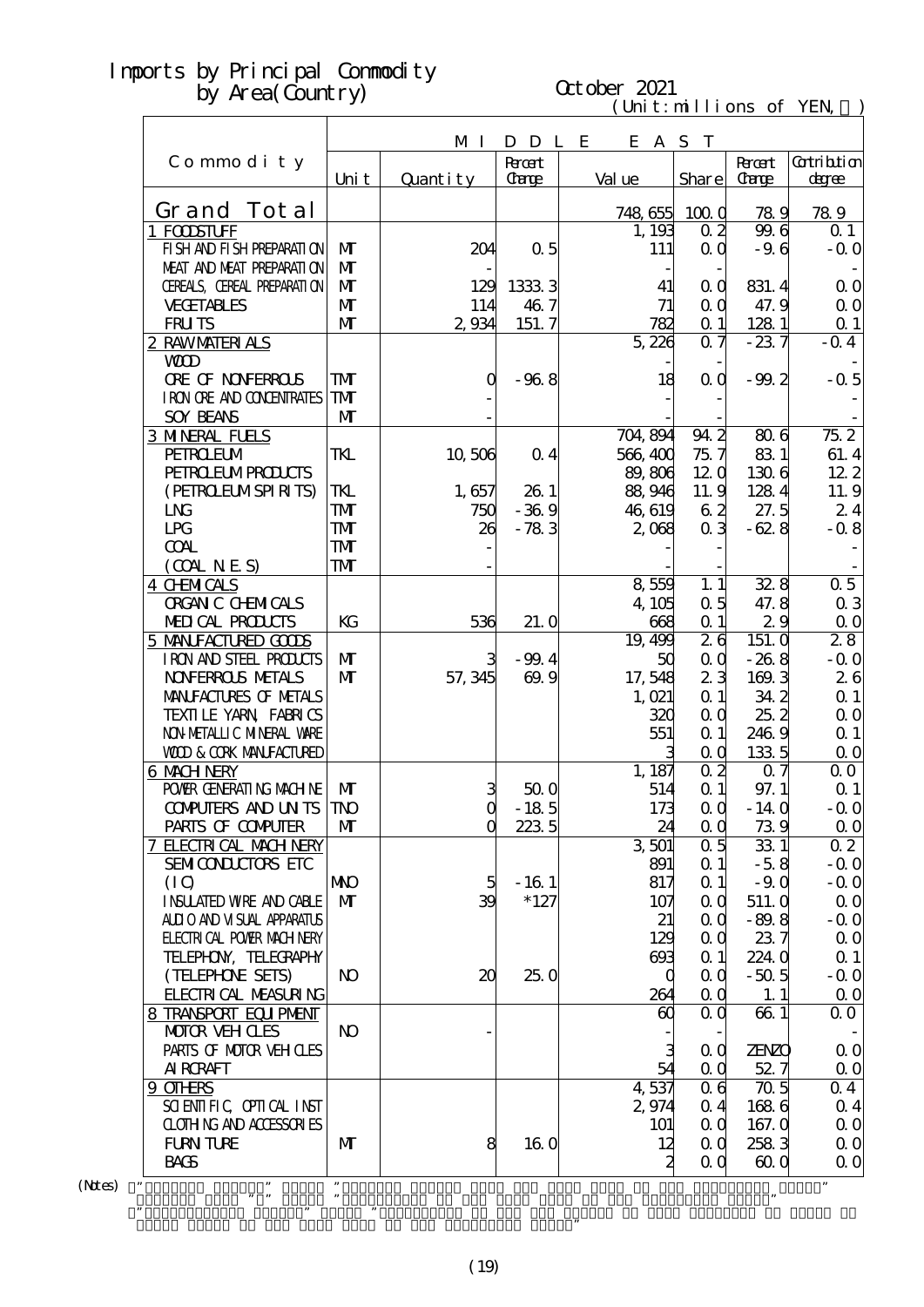# October 2021

 $(\text{Uni t}: \text{mi} \text{lli} \text{ons of } \text{YEN})$ 

|                                   |                         |              |                |         |                     | CITTILITIONS OF   | 1 L L N              |
|-----------------------------------|-------------------------|--------------|----------------|---------|---------------------|-------------------|----------------------|
|                                   |                         | M I          | D D L E        |         | E A S T             |                   |                      |
| Commodity                         |                         |              | <b>Roott</b>   |         |                     | <b>R</b> rat      | <b>Cotribtion</b>    |
|                                   | Uni t                   | Quantity     | Carge          | Val ue  | Share               | <b>Carge</b>      | degree               |
|                                   |                         |              |                |         |                     |                   |                      |
| Grand Tot al                      |                         |              |                |         | 748,655 100.0       | 789               | 789                  |
| 1 FODSTUFF                        |                         |              |                | 1, 193  | 0 <sub>2</sub>      | 99.6              | $\Omega$ 1           |
| FI SH AND FI SH PREPARATI ON      | M                       | 204          | 0.5            | 111     | $\alpha$ $\alpha$   | $-9.6$            | $-0.0$               |
| MEAT AND MEAT PREPARATION         | $\mathbf{M}$            |              |                |         |                     |                   |                      |
| CEREALS, CEREAL PREPARATION       | $\mathbf{M}$            | 129          | 1333 3         | 41      | 0 <sub>0</sub>      | 831.4             | 0 <sub>0</sub>       |
| <b>VECETABLES</b>                 | $\mathbf{M}$            | 114          | 46.7           | 71      | $\alpha$            | 47.9              | $\Omega$ O           |
| <b>FRUTS</b>                      | $\mathbf{M}$            | 2,934        | 151.7          | 782     | $\alpha$ 1          | 128 1             | $\Omega$ 1           |
| 2 RAWMATERIALS                    |                         |              |                | 5,226   | $Q \eta$            | $-237$            | $-0.4$               |
| <b>WD</b>                         |                         |              |                |         |                     |                   |                      |
| <b>ORE OF NONFERROLS</b>          | TMT                     | O            | $-968$         | 18      | 0 <sub>0</sub>      | $-99.2$           | $-0.5$               |
| I RON ORE AND CONDENIRATES        | TMT                     |              |                |         |                     |                   |                      |
| <b>SOY BEANS</b>                  | $\mathbf{M}$            |              |                |         |                     |                   |                      |
| <b>3 MNERAL FUELS</b>             |                         |              |                | 704,894 | 94.2                | 806               | $75\overline{2}$     |
| <b>PEIROEUM</b>                   | TKL                     | 10,506       | 0 <sub>4</sub> | 566,400 | 75.7                | 831               | 61.4                 |
| <b>PEIRO ELMPRODUCIS</b>          |                         |              |                | 89,806  | 120                 | 1306              | 122                  |
| (PEIRCELMSPIRITS)                 | TKL                     | 1,657        | 26.1           | 88,946  | 11.9                | 1284              | 11.9                 |
| L <sub>N</sub>                    | TMT                     | 750          | $-369$         | 46,619  | 62                  | 27.5              | 24                   |
| LPG                               | TMT                     | 26           | $-783$         | 2,068   | 0 <sub>3</sub>      | $-628$            | $-0.8$               |
| <b>COAL</b>                       | TMT                     |              |                |         |                     |                   |                      |
| (OMNES)                           | $\mathbf{T} \mathbf{M}$ |              |                |         |                     |                   |                      |
| <b>4 CHMICALS</b>                 |                         |              |                | 8559    | 1.1                 | 328               | 0.5                  |
| <b>ORGAN C CHEMICALS</b>          |                         |              |                | 4,105   | 0.5                 | 47.8              | 0 <sub>3</sub>       |
| MEDICAL PRODUCTS                  | KG                      | 536          | 21.0           | 668     | $\alpha$ 1          | 29                | $\Omega$ O           |
| 5 MANIFACTURED GODS               |                         |              |                | 19,499  | $2\overline{6}$     | 151. Q            | 28                   |
| IRON AND STEEL PRODUCTS           | $\mathbf{M}$            | 3            | $-99.4$        | 50      | QQ                  | $-268$            | $-0.0$               |
| <b>NOVERROLS METALS</b>           | $\mathbf{M}$            | 57, 345      | 69.9           | 17,548  | 23                  | 169.3             | 26                   |
| MANIFACTURES OF METALS            |                         |              |                | 1,021   | Q <sub>1</sub>      | 34.2              | $\Omega$ 1           |
| TEXILLE YARN FABRICS              |                         |              |                | 320     | QQ                  | 252               | $\Omega$ O           |
| NON METALLIC MINERAL WARE         |                         |              |                | 551     | Q <sub>1</sub>      | 246.9             | $\Omega$ 1           |
| <b>WOD &amp; CORK MANEACTURED</b> |                         |              |                |         | $\alpha$            | 1335              | $\Omega$ O           |
| <b>6 MACH NERY</b>                |                         |              |                | 1, 187  | $\overline{0}$ 2    | $\overline{07}$   | 00                   |
| POWER GENERATING MACHINE          | $\mathbf{M}$            | 3            | 500            | 514     | $\Omega$ 1          | 97.1              | Q <sub>1</sub>       |
| <b>CONPUTERS AND UN TS TNO</b>    |                         | $\mathbf{Q}$ | $-185$         | 173     | $\alpha$            | $-140$            | $-00$                |
| PARIS OF COMPUTER                 | $\mathbf{M}$            | $\Omega$     | 2235           | 24      | $\alpha$ $\alpha$   | 739               | $\Omega$ O           |
| 7 ELECTRICAL MACH NERY            |                         |              |                | 3501    | 0.5                 | 331               | $\overline{0\,2}$    |
| SEMICONDUCTORS ETC                |                         |              |                | 891     | $\alpha$ 1          | $-5.8$            | $-0.0$               |
| (IO)                              | <b>NNO</b>              | 5            | $-161$         | 817     | $\alpha$ 1          | $-90$             | $-0.0$               |
| <b>INSUATED WRE AND CABLE</b>     | $\mathbf{M}$            | 39           | $*127$         | 107     | QQ                  | 511.0             | $\Omega$ O           |
| ALLIO AND VISUAL APPARATUS        |                         |              |                | 21      | $\alpha$ $\alpha$   | $-89.8$           | $-0.0$               |
| <b>ELECTRICAL POWIR MACH NERY</b> |                         |              |                | 129     | $\alpha$            | 237               | $\Omega$ O           |
| TELEPHON, TELECRAPHY              |                         |              |                | 603     | $\alpha$ 1          | 224.0             | $\Omega$ 1           |
| (TELEPHONE SEIS)                  | N <sub>O</sub>          | 20           | 250            |         | QQ<br>O             | $-50.5$           | $-0.0$               |
| FLECTRICAL MEASURING              |                         |              |                | 264     | $\alpha$ $\alpha$   | 1.1               | $\Omega$ O           |
| 8 TRANSPORT EQUIPMENT             |                         |              |                | 60      | 0 <sub>0</sub>      | 661               | 0 <sub>0</sub>       |
| <b>MOTOR VEH CLES</b>             | $\bf{N}$                |              |                |         |                     |                   |                      |
| PARIS OF MOTOR VEH OLES           |                         |              |                |         | З<br>0 <sub>0</sub> | <b>ZENZO</b>      | 0 <sub>0</sub>       |
| <b>AI RCRAFT</b>                  |                         |              |                | 54      | QQ                  | 527               | $\Omega$ O           |
| 9 OTHRS                           |                         |              |                | 4537    | 0 <sub>6</sub>      | $\overline{70.5}$ | 04                   |
| SCIENTIFIC CPIICAL INST           |                         |              |                | 2,974   | 0.4                 | 1686              | $\alpha$ 4           |
| <b>CLOTHING AND ACCESSORIES</b>   |                         |              |                | 101     | $\alpha$ $\alpha$   | 167.0             | $\Omega$ O           |
| <b>FURN TURE</b>                  | $\mathbf{M}$            | 8            | <b>16 O</b>    | 12      | $\alpha$ $\alpha$   | 2583              | $\Omega$ O           |
| <b>BACS</b>                       |                         |              |                |         | 2<br>QQ             | 600               | $\Omega$ O           |
| $\pmb{\cdot}$                     | $, \,$                  |              |                |         |                     |                   | $\pmb{\mathfrak{y}}$ |

 $(Mtes)$  "

Grand Total of the same term in the preceding year."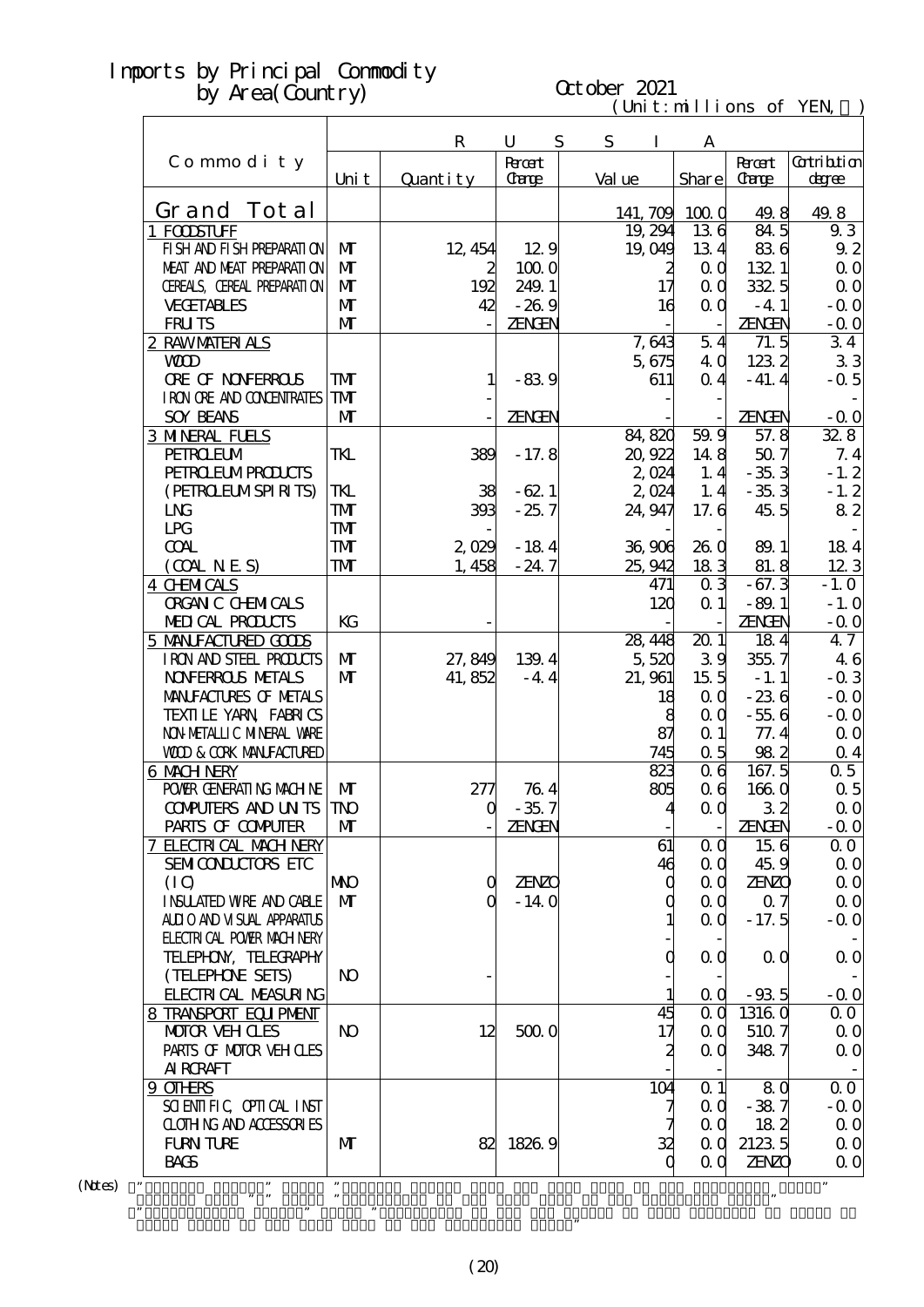# October 2021

| (Uni t : nillions of YEN) |  |
|---------------------------|--|
|---------------------------|--|

|                                   |                |             |              |   |          |                     | $\mathbf{u}$ $\mathbf{v}$ . The state of $\mathbf{v}$ |               |                |
|-----------------------------------|----------------|-------------|--------------|---|----------|---------------------|-------------------------------------------------------|---------------|----------------|
|                                   |                | $\mathbf R$ | U            | S | S        | I                   | A                                                     |               |                |
| Commodity                         |                |             | <b>Root</b>  |   |          |                     |                                                       | <b>Recent</b> | Gatribition    |
|                                   | Uni t          | Quantity    | Carge        |   | Val ue   |                     | <b>Share</b>                                          | <b>Carge</b>  | degree         |
| Grand Tot al                      |                |             |              |   | 141, 709 |                     | 1000                                                  | 49.8          | 49.8           |
| 1 FODSTUFF                        |                |             |              |   |          | 19, 294             | 136                                                   | 845           | 9.3            |
| FI SH AND FI SH PREPARATI ON      | $\mathbf{M}$   | 12, 454     | 12.9         |   |          | 19,049              | 134                                                   | 836           | 92             |
| MEAT AND MEAT PREPARAII ON        | $\mathbf{M}$   | 2           | 1000         |   |          | 2                   | $\alpha$                                              | 1321          | 0 <sub>0</sub> |
| CEREALS, CEREAL PREPARATION       | $\mathbf{M}$   | 192         | 249.1        |   |          | $17 \,$             | QQ                                                    | 332.5         | 0 <sub>0</sub> |
| <b>VECETABLES</b>                 | $\mathbf{M}$   | 42          | $-269$       |   |          |                     | $\alpha$ $\alpha$                                     | $-4.1$        |                |
|                                   | $\mathbf{M}$   |             |              |   |          | 16                  |                                                       |               | $-0.0$         |
| <b>FRUTS</b>                      |                |             | ZENGEN       |   |          |                     |                                                       | <b>ZENGEN</b> | $-0.0$         |
| 2 RAWMATERIALS                    |                |             |              |   |          | 7,643               | 54                                                    | 71.5          | 34             |
| <b>WOD</b>                        |                |             |              |   |          | 5,675               | 4 Q                                                   | 1232          | 33             |
| <b>ORE OF NONFERROLS</b>          | TMT            | 1           | $-839$       |   |          | 611                 | 0 <sub>4</sub>                                        | $-41.4$       | $-0.5$         |
| I RON ORE AND CONDENTRATES        | TMT            |             |              |   |          |                     |                                                       |               |                |
| <b>SOY BEANS</b>                  | $\mathbf{M}$   |             | ZENGEN       |   |          |                     |                                                       | <b>ZENGEN</b> | $-0.0$         |
| <b>3 MNERAL FUELS</b>             |                |             |              |   | 84,820   |                     | 59.9                                                  | 57.8          | 328            |
| <b>PEIROEUM</b>                   | TKL            | 389         | $-17.8$      |   |          | 20,922              | 148                                                   | 507           | 7.4            |
| <b>PEIRO EUMPRODUCIS</b>          |                |             |              |   |          | 2,024               | 1.4                                                   | $-353$        | $-1.2$         |
| (PEIRCELMSPIRITS)                 | TKL            | 38          | $-62.1$      |   |          | $2$ O <sub>24</sub> | 1, 4                                                  | $-353$        | $-1.2$         |
| L <sub>N</sub>                    | TMT            | 393         | $-25.7$      |   |          | 24.947              | 17.6                                                  | 45.5          | 82             |
| LPG                               | TMT            |             |              |   |          |                     |                                                       |               |                |
| <b>COAL</b>                       | TMT            | 2,029       | $-184$       |   | 36,906   |                     | <b>26 Q</b>                                           | 89.1          | 184            |
| (OMINES)                          | TMT            | 1,458       | $-24.7$      |   | 25, 942  |                     | 183                                                   | 81.8          | 123            |
| <b>4 CHMICALS</b>                 |                |             |              |   |          | 471                 | 0 <sub>3</sub>                                        | $-67.3$       | $-1.0$         |
| <b>ORGAN C CHEMICALS</b>          |                |             |              |   |          | 120                 | $\alpha$ 1                                            | $-89.1$       | $-1.0$         |
| MEDICAL PRODUCTS                  | KG             |             |              |   |          |                     |                                                       | <b>ZENGEN</b> | $-0.0$         |
| 5 MANIFACTURED GOODS              |                |             |              |   | 28, 448  |                     | 201                                                   | 184           | 47             |
| IRON AND STEEL PRODUCTS           | $\mathbf{M}$   | 27,849      | 139.4        |   |          | 5,520               | 39                                                    | 355.7         | 46             |
| <b>NOVERROLS NETALS</b>           | $\mathbf{M}$   | 41, 852     | $-44$        |   |          | 21, 961             | 15 <sub>5</sub>                                       | $-1.1$        | $-0.3$         |
| MANIFACTURES OF METALS            |                |             |              |   |          | 18                  | QQ                                                    | $-236$        | $-0.0$         |
| TEXILLE YARN FABRICS              |                |             |              |   |          | 8                   | $\alpha$ $\alpha$                                     | $-556$        | $-0.0$         |
| NON METALLIC MINERAL WARE         |                |             |              |   |          | 87                  | $\alpha$ 1                                            | 77.4          | 0 <sub>0</sub> |
| <b>WOD &amp; CORK MANEACTURED</b> |                |             |              |   |          | 745                 | 0.5                                                   | 982           | $\alpha$ 4     |
| 6 MACH NERY                       |                |             |              |   |          | 823                 | 0 <sub>6</sub>                                        | 167.5         | 0.5            |
| POWER GENERATING MACHINE          | $\mathbf{M}$   | 277         | 764          |   |          | 805                 | 0 <sub>6</sub>                                        | 1660          | $\alpha$ 5     |
| <b>CONPUTERS AND UN TS TNO</b>    |                | $\mathbf 0$ | $-35.7$      |   |          |                     | $\alpha$ $\alpha$                                     | 32            | $\Omega$ O     |
|                                   |                |             |              |   |          |                     |                                                       |               |                |
| PARIS OF COMPUTER                 | M              |             | ZENGEN       |   |          |                     |                                                       | <b>ZENGEN</b> | $-0.0$         |
| 7 ELECTRICAL MACH NERY            |                |             |              |   |          | 61                  | $\alpha$ $\alpha$                                     | 156           | $\Omega$ O     |
| SEMICONDUCTORS ETC                |                |             |              |   |          | 46                  | 0 <sub>0</sub>                                        | 45.9          | $\Omega$ O     |
| (IO)                              | <b>NNO</b>     | $\mathbf Q$ | <b>ZENZO</b> |   |          | 0                   | 0 <sub>0</sub>                                        | <b>ZENZO</b>  | $\Omega$ O     |
| <b>INSUATED WRE AND CABLE</b>     | $\mathbf{M}$   | O           | $-140$       |   |          | 0                   | 0 <sub>0</sub>                                        | 07            | $\Omega$ O     |
| ALLIO AND VISUAL APPARATUS        |                |             |              |   |          |                     | 0 <sub>0</sub>                                        | $-17.5$       | $-0.0$         |
| <b>ELECTRICAL POWIR MACH NERY</b> |                |             |              |   |          |                     |                                                       |               |                |
| TELEPHON, TELECRAPHY              |                |             |              |   |          | 0                   | 0 <sub>0</sub>                                        | $\alpha$ O    | $\Omega$ O     |
| (TELEPHONE SETS)                  | N <sub>O</sub> |             |              |   |          |                     |                                                       |               |                |
| <b>FLECTRICAL MEASURING</b>       |                |             |              |   |          |                     | 0 <sub>0</sub>                                        | $-935$        | $-0.0$         |
| 8 TRANSPORT EQUIPMENT             |                |             |              |   |          | 45                  | 0 <sub>0</sub>                                        | 13160         | $\Omega$ O     |
| <b>MOTOR VEH CLES</b>             | N <sub>O</sub> | 12          | 5000         |   |          | $17\,$              | 0 <sub>0</sub>                                        | 510 7         | $\Omega$ O     |
| PARIS OF MOTOR VEH OLES           |                |             |              |   |          | 2                   | QQ                                                    | 3487          | 0 <sub>0</sub> |
| <b>AI RCRAFT</b>                  |                |             |              |   |          |                     |                                                       |               |                |
| 9 OTHRS                           |                |             |              |   |          | 104                 | $\alpha$ 1                                            | 80            | 0 <sub>0</sub> |
| SCIENTIFIC CPIICAL INST           |                |             |              |   |          |                     | 0 <sub>0</sub>                                        | $-387$        | $-0.0$         |
| CLOTHING AND ACCESSORIES          |                |             |              |   |          |                     | 0 <sub>0</sub>                                        | 182           | $\Omega$ O     |
| <b>FURN TURE</b>                  | M              | 82          | 1826.9       |   |          | 32                  | QQ                                                    | 2123 5        | $\Omega$ O     |
| <b>BACS</b>                       |                |             |              |   |          | O                   | 0 <sub>0</sub>                                        | <b>ZENZO</b>  | $\Omega$ O     |
| ,,                                | ,,             |             |              |   |          |                     |                                                       |               |                |

 $(N$ tes) "

Grand Total of the same term in the preceding year."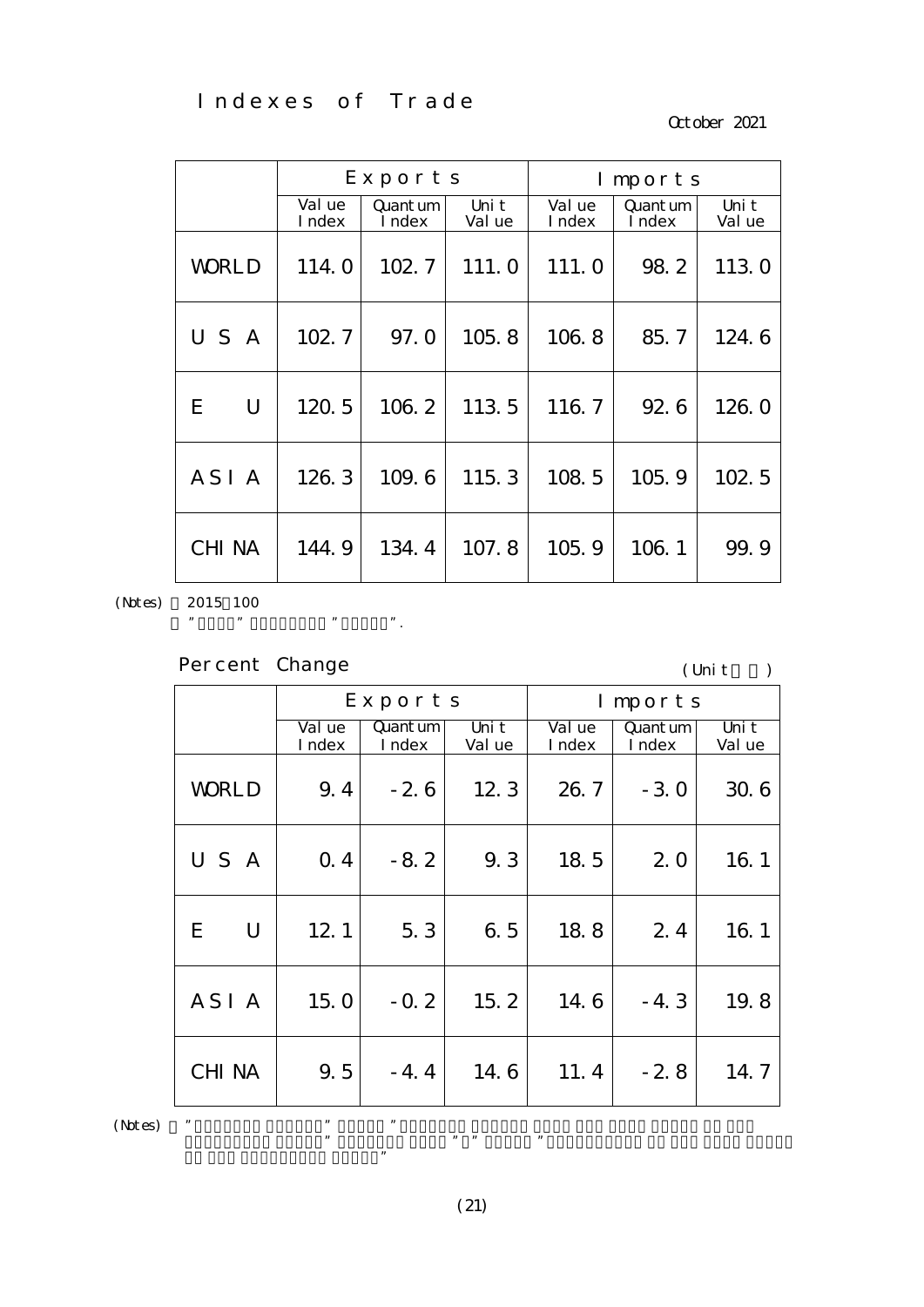Indexes of Trade

October 2021

|                  |                  | Exports            |                 |                  | Imports            |                 |  |
|------------------|------------------|--------------------|-----------------|------------------|--------------------|-----------------|--|
|                  | Val ue<br>I ndex | Quant um<br>I ndex | Uni t<br>Val ue | Val ue<br>I ndex | Quant um<br>I ndex | Uni t<br>Val ue |  |
| <b>WORLD</b>     | 114.0            | 102.7              | 111.0           | 111.0            | 98.2               | 113.0           |  |
| USA              | 102.7            | 97.0               | 105.8           | 106.8            | 85.7               | 124.6           |  |
| U<br>E           | 120.5            | 106.2              | 113.5           | 116.7            | 92.6               | 126.0           |  |
| ASI <sub>A</sub> | 126.3            | 109.6              | 115.3           | 108.5            | 105.9              | 102.5           |  |
| <b>CHI NA</b>    | 144.9            | 134.4              | 107.8           | 105.9            | 106.1              | 99.9            |  |

(Notes)

2015 100

| Percent Change |  |
|----------------|--|
|                |  |

", "CHINA" includes "CHINA".

 $\mathbf{r}$ 

 $($  Unit $)$ 

|         |                  |                  | Exports                       |                 |                  | Imports                                 |                 |
|---------|------------------|------------------|-------------------------------|-----------------|------------------|-----------------------------------------|-----------------|
|         |                  | Val ue<br>I ndex | $\mathbf{Q}$ ant um<br>I ndex | Uni t<br>Val ue | Val ue<br>I ndex | $\mathsf{Quant}\,\mathsf{um}$<br>I ndex | Uni t<br>Val ue |
|         | <b>WORLD</b>     | 9.4              | $-2.6$                        | 12.3            | 26.7             | $-3.0$                                  | 30.6            |
|         | USA              | 0.4              | $-8.2$                        | 9.3             | 18.5             | 2.0                                     | 16.1            |
|         | E<br>U           | 12.1             | 5.3                           | 6.5             | 18.8             | 2.4                                     | 16.1            |
|         | ASI <sub>A</sub> | 15. $Ol$         | $-0.2$                        | 15.2            | 14.6             | $-4.3$                                  | 19.8            |
|         | <b>CHI NA</b>    | 9.5              | $-4.4$                        | 14.6            | 11.4             | $-2.8$                                  | 14.7            |
| (Notes) | ,,               | ,,               | $\pmb{\mathfrak{y}}$          |                 |                  |                                         |                 |

(21)

preceding year. The same month  $\mathbf{m}$  means  $\mathbf{m}$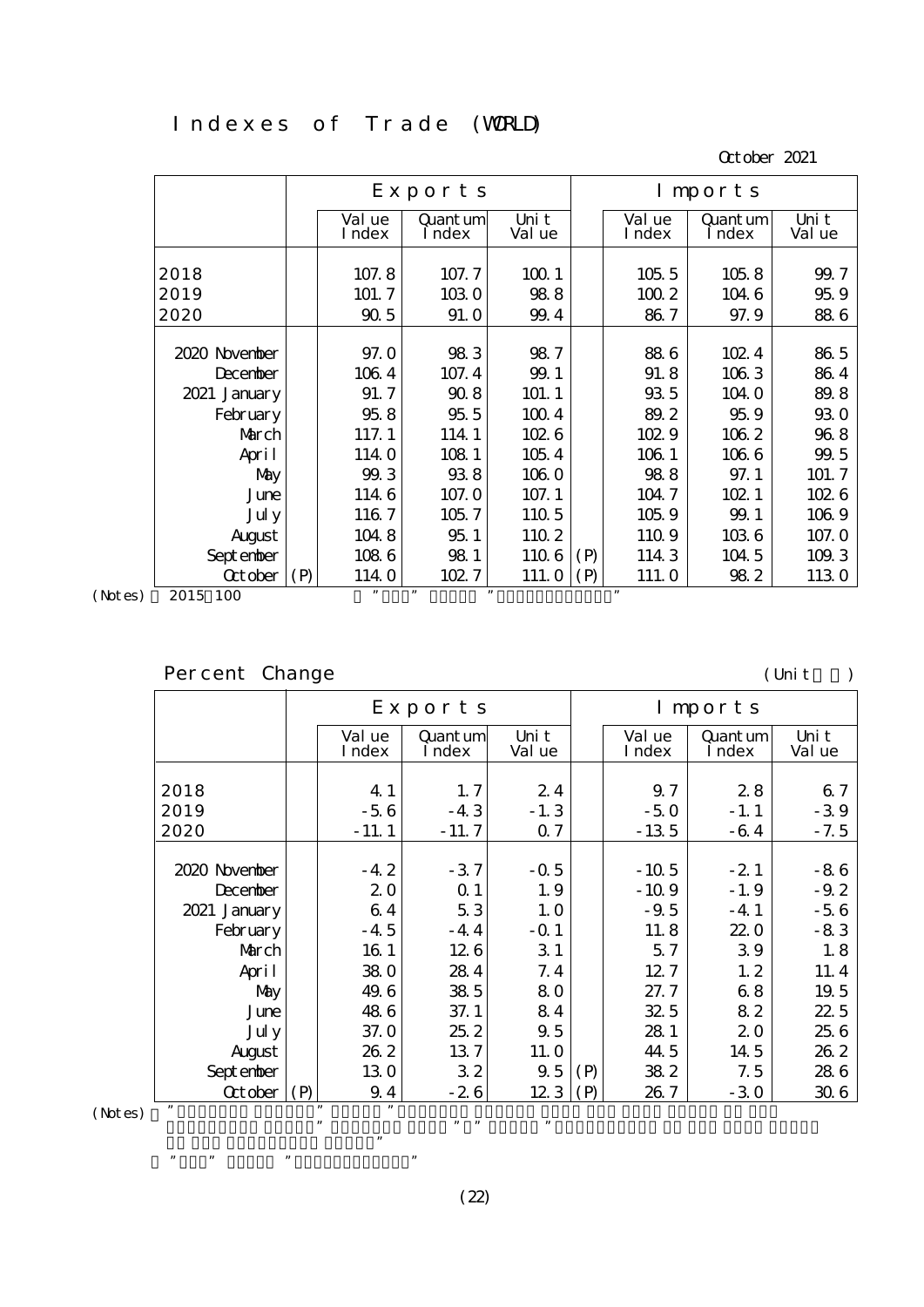#### Indexes of Trade (WRLD)

October 2021

|                |     |                  | Exports            |                 |     |                  | Imports            |                 |
|----------------|-----|------------------|--------------------|-----------------|-----|------------------|--------------------|-----------------|
|                |     | Val ue<br>I ndex | Quant um<br>I ndex | Uni t<br>Val ue |     | Val ue<br>I ndex | Quant um<br>I ndex | Uni t<br>Val ue |
| 2018           |     | 107.8            | 107.7              | 1001            |     | 1055             | 1058               | 99.7            |
| 2019           |     | 101.7            | 1030               | 988             |     | 1002             | 104 6              | 959             |
| 2020           |     | 905              | 91.0               | 99.4            |     | 867              | 97.9               | 886             |
|                |     |                  |                    |                 |     |                  |                    |                 |
| 2020 November  |     | 97.0             | 983                | 987             |     | 886              | 102.4              | 86 5            |
| December       |     | 1064             | 107.4              | 99.1            |     | 91.8             | 1063               | 864             |
| 2021 January   |     | 91.7             | 908                | 101.1           |     | 935              | 104.0              | 89.8            |
| February       |     | 958              | 955                | 1004            |     | 89.2             | 959                | <b>930</b>      |
| March          |     | 117.1            | 114 1              | 1026            |     | 102.9            | 1062               | 968             |
| April          |     | 1140             | 108 1              | 105.4           |     | 106 1            | 1066               | 99.5            |
| May            |     | 99.3             | 938                | 1060            |     | 988              | 97.1               | 101.7           |
| June           |     | 1146             | 107.0              | 107.1           |     | 104 7            | 102.1              | 1026            |
| Jul y          |     | 1167             | 105.7              | 110 5           |     | 1059             | 99.1               | 1069            |
| August         |     | 1048             | 951                | 110 2           |     | 1109             | 1036               | 107.0           |
| September      |     | 1086             | 981                | 1106            | (P) | 114 3            | 104 5              | 109.3           |
| <b>Q</b> tober | (P) | 114.0            | 102.7              | 111.0           | (P) | 111.0            | 982                | 1130            |
| 2015 100       |     | ,                | , 1<br>, ,         |                 |     | , 2, 3           |                    |                 |

(Notes) 2015 100

# Percent Change (Unit: )

|               |                  | $Export$ s         |                 | Imports |                  |                    |                 |
|---------------|------------------|--------------------|-----------------|---------|------------------|--------------------|-----------------|
|               | Val ue<br>I ndex | Quant um<br>I ndex | Uni t<br>Val ue |         | Val ue<br>I ndex | Quant um<br>I ndex | Uni t<br>Val ue |
|               |                  |                    |                 |         |                  |                    |                 |
| 2018          | 4 1              | 1, 7               | 24              |         | 9.7              | 28                 | 67              |
| 2019          | $-56$            | $-43$              | $-1.3$          |         | $-50$            | $-1.1$             | $-39$           |
| 2020          | $-11.1$          | $-11.7$            | 0.7             |         | $-13.5$          | $-64$              | $-7.5$          |
|               |                  |                    |                 |         |                  |                    |                 |
| 2020 November | $-42$            | $-37$              | $-0.5$          |         | $-10.5$          | $-21$              | $-86$           |
| December      | 20               | $\Omega$ 1         | 1.9             |         | $-10.9$          | $-1.9$             | $-9.2$          |
| 2021 January  | 64               | 53                 | 1.0             |         | $-9.5$           | $-4.1$             | $-56$           |
| February      | $-4.5$           | $-44$              | $-Q$ 1          |         | 11.8             | 220                | $-83$           |
| March         | 16 1             | 126                | 31              |         | 5.7              | 39                 | 1.8             |
| April         | 380              | 284                | 7.4             |         | 12.7             | 1, 2               | 11.4            |
| May           | 49.6             | 385                | 80              |         | 27.7             | 68                 | 19.5            |
| June          | 486              | 37.1               | 84              |         | 32.5             | 82                 | 22.5            |
| Jul y         | 37.0             | 252                | 9.5             |         | 28 1             | 20                 | 25 6            |
| August        | 262              | 137                | 11. O           |         | 44.5             | 14.5               | 262             |
| Sept enber    | 130              | 32                 | 9.5             | (P)     | 382              | 7.5                | 286             |
| Qctober       | (P)<br>9.4       | $-26$              | 123             | (P)     | 26.7             | $-30$              | 306             |

in the preceding year."  $\mathbb{R}$  means  $\mathbb{R}$  means  $\mathbb{R}$  means  $\mathbb{R}$  means  $\mathbb{R}$  means  $\mathbb{R}$  means  $\mathbb{R}$  means  $\mathbb{R}$  means  $\mathbb{R}$  means  $\mathbb{R}$  means  $\mathbb{R}$  means  $\mathbb{R}$  means  $\mathbb{R}$  means  $\mathbb{R}$  means  $\mathbb{R}$  me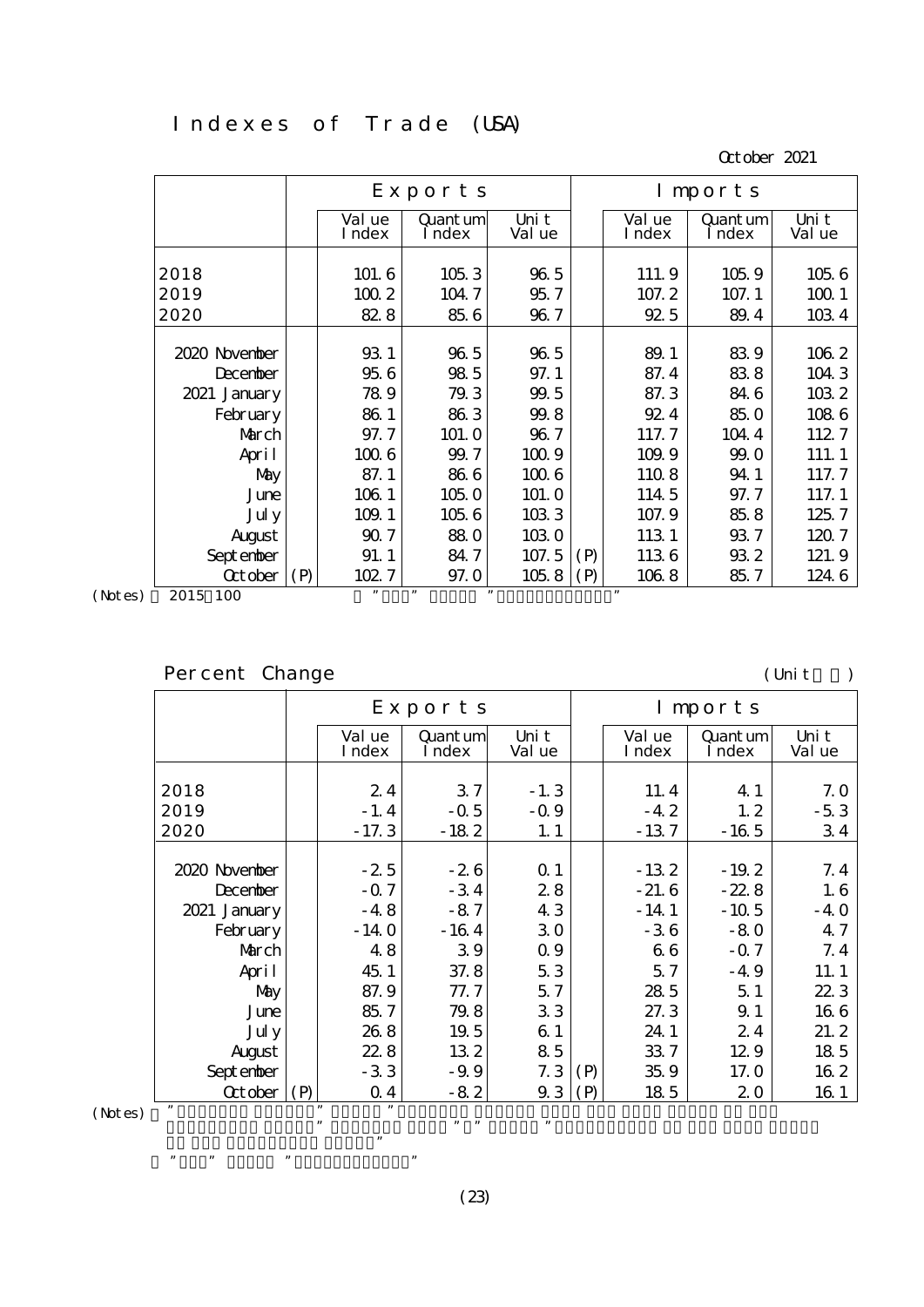### Indexes of Trade (USA)

October 2021

|                |     |                  | Exports            |                 |     | Imports          |                    |                 |  |  |
|----------------|-----|------------------|--------------------|-----------------|-----|------------------|--------------------|-----------------|--|--|
|                |     | Val ue<br>I ndex | Quant um<br>I ndex | Uni t<br>Val ue |     | Val ue<br>I ndex | Quant um<br>I ndex | Uni t<br>Val ue |  |  |
| 2018           |     | 101.6            | 1053               | 965             |     | 111.9            | 1059               | 1056            |  |  |
| 2019           |     | 1002             | 104.7              | 95.7            |     | 107.2            | 107.1              | 1001            |  |  |
| 2020           |     | 82.8             | 856                | 96.7            |     | 925              | 89.4               | 1034            |  |  |
|                |     |                  |                    |                 |     |                  |                    |                 |  |  |
| 2020 November  |     | 931              | 965                | 965             |     | 89.1             | 839                | 1062            |  |  |
| December       |     | 956              | 98 5               | 97.1            |     | 87.4             | 838                | 104 3           |  |  |
| 2021 January   |     | 789              | 79.3               | 99.5            |     | 87.3             | 846                | 1032            |  |  |
| February       |     | 861              | 863                | 99.8            |     | 924              | 85.0               | 1086            |  |  |
| March          |     | 97.7             | 101.0              | 96.7            |     | 117.7            | 104 4              | 1127            |  |  |
| April          |     | 1006             | 99.7               | 1009            |     | 109.9            | 99.0               | 111.1           |  |  |
| May            |     | 87.1             | 866                | 1006            |     | 1108             | 941                | 117.7           |  |  |
| June           |     | 106 1            | 105.0              | 101.0           |     | 114 5            | 97.7               | 117.1           |  |  |
| Jul y          |     | 109.1            | 1056               | 1083            |     | 107.9            | 85.8               | 125.7           |  |  |
| August         |     | 907              | 880                | 1030            |     | 113 1            | 937                | 1207            |  |  |
| Sept enber     |     | 91.1             | 84.7               | 107.5           | (P) | 1136             | 932                | 121.9           |  |  |
| <b>Q</b> tober | (P) | 102.7            | 97.0               | 1058            | (P) | 1068             | 85.7               | 124 6           |  |  |
| 2015 100       |     | , 1              | , 2, 3<br>,        |                 |     | ,                |                    |                 |  |  |

(Notes) 2015 100

# Percent Change (Unit: )

|                               |                  | Exports            |                 | Imports |                  |                    |                 |  |
|-------------------------------|------------------|--------------------|-----------------|---------|------------------|--------------------|-----------------|--|
|                               | Val ue<br>I ndex | Quant um<br>I ndex | Uni t<br>Val ue |         | Val ue<br>I ndex | Quant um<br>I ndex | Uni t<br>Val ue |  |
|                               |                  |                    |                 |         |                  |                    |                 |  |
| 2018                          | 24               | 37                 | $-1.3$          |         | 11.4             | 4 1                | 7.0             |  |
| 2019                          | $-1.4$           | $-0.5$             | $-0.9$          |         | $-4.2$           | 1, 2               | $-53$           |  |
| 2020                          | $-17.3$          | $-182$             | 1.1             |         | $-137$           | $-165$             | 34              |  |
|                               |                  |                    |                 |         |                  |                    |                 |  |
| 2020 November                 | $-2.5$           | $-26$              | $\Omega$ 1      |         | $-132$           | $-19.2$            | 7.4             |  |
| December                      | $-0.7$           | $-34$              | 28              |         | $-21.6$          | $-228$             | 1.6             |  |
| 2021 January                  | $-48$            | $-87$              | 43              |         | $-14.1$          | $-10.5$            | $-40$           |  |
| February                      | $-14.0$          | $-164$             | 30              |         | $-36$            | $-80$              | 4.7             |  |
| March                         | 48               | 39                 | 0.9             |         | 66               | $-0.7$             | 7.4             |  |
| April                         | 45.1             | 37.8               | 53              |         | 5.7              | $-49$              | 11.1            |  |
| May                           | 87.9             | 77.7               | 5.7             |         | 28 5             | 51                 | 22 3            |  |
| June                          | 85.7             | 79.8               | 33              |         | 27.3             | 9.1                | 166             |  |
| Jul y                         | 268              | 19.5               | 61              |         | 24.1             | 24                 | 21.2            |  |
| August                        | 228              | 132                | 85              |         | 337              | 129                | 18 5            |  |
| Sept enber                    | $-33$            | $-9.9$             | 7.3             | (P)     | 35.9             | 17. Q              | 16 2            |  |
| $\text{October}   (\text{P})$ | 0 <sub>4</sub>   | $-82$              | 9.3             | (P)     | 18 5             | 20                 | 16 1            |  |

in the preceding year."  $\mathbb{R}$  means  $\mathbb{R}$  means  $\mathbb{R}$  means  $\mathbb{R}$  means  $\mathbb{R}$  means  $\mathbb{R}$  means  $\mathbb{R}$  means  $\mathbb{R}$  means  $\mathbb{R}$  means  $\mathbb{R}$  means  $\mathbb{R}$  means  $\mathbb{R}$  means  $\mathbb{R}$  means  $\mathbb{R}$  means  $\mathbb{R}$  me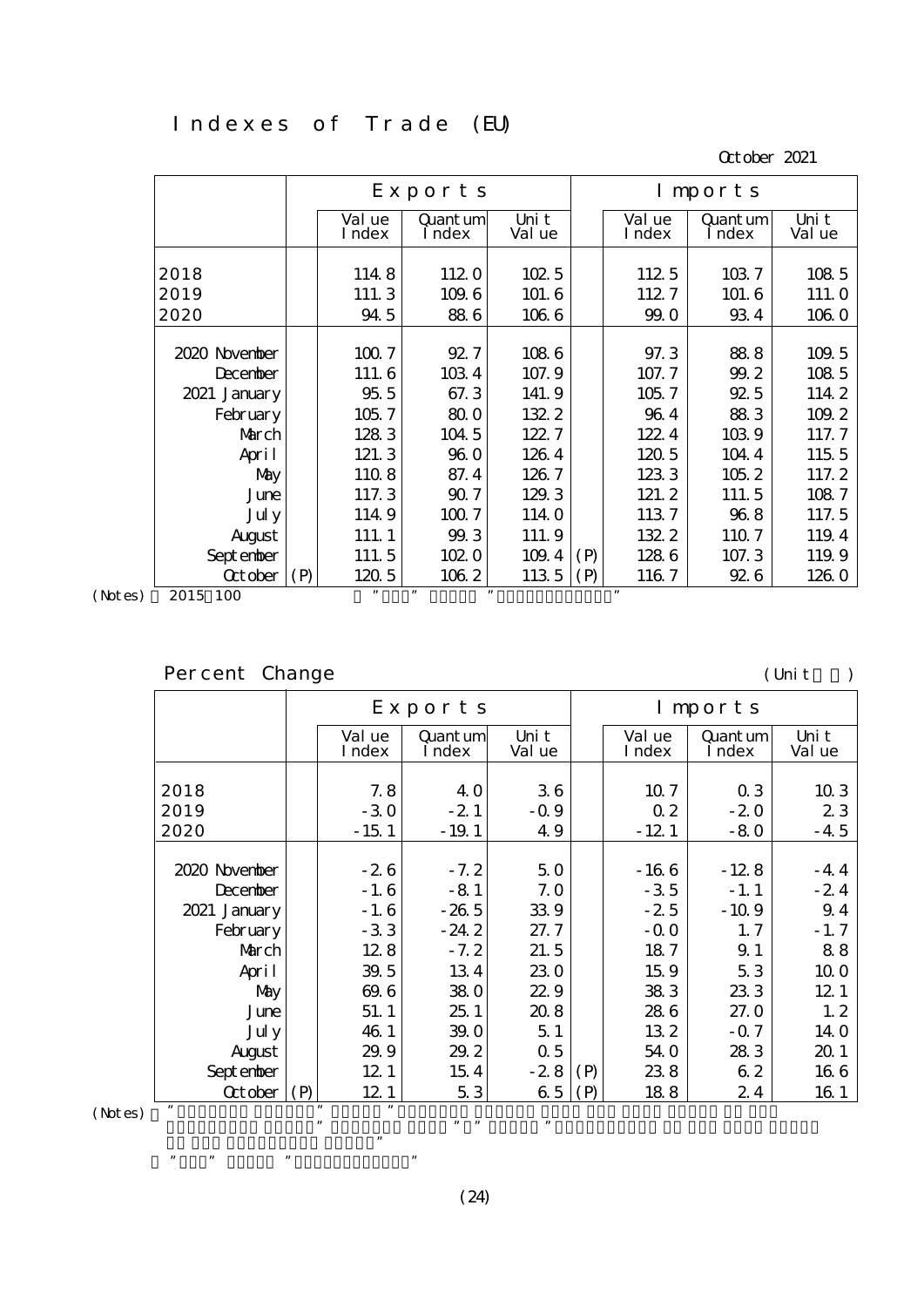## Indexes of Trade (EU)

October 2021

|                |     |                  | Exports            |                 | Imports |                  |                    |                 |
|----------------|-----|------------------|--------------------|-----------------|---------|------------------|--------------------|-----------------|
|                |     | Val ue<br>I ndex | Quant um<br>I ndex | Uni t<br>Val ue |         | Val ue<br>I ndex | Quant um<br>I ndex | Uni t<br>Val ue |
| 2018           |     | 1148             | 1120               | 1025            |         | 112 5            | 1037               | 108 5           |
| 2019           |     | 111.3            | 109.6              | 101.6           |         | 1127             | 101.6              | 111.0           |
| 2020           |     | 94 5             | 886                | 1066            |         | 99.0             | 934                | 1060            |
|                |     |                  |                    |                 |         |                  |                    |                 |
| 2020 November  |     | 1007             | 92.7               | 1086            |         | 97.3             | 888                | 109.5           |
| December       |     | 111.6            | 1034               | 107.9           |         | 107.7            | 99.2               | 108 5           |
| 2021 January   |     | 955              | 67.3               | 141.9           |         | 105.7            | 92.5               | 114 2           |
| February       |     | 105.7            | 800                | 132.2           |         | 964              | 883                | 109.2           |
| March          |     | 1283             | 104 5              | 122.7           |         | 122.4            | 1039               | 117.7           |
| April          |     | 121.3            | 960                | 1264            |         | 1205             | 104 4              | 115 5           |
| May            |     | 1108             | 87.4               | 1267            |         | 1233             | 105.2              | 117.2           |
| June           |     | 117.3            | 907                | 129.3           |         | 121.2            | 111.5              | 1087            |
| Jul y          |     | 114.9            | 1007               | 114.0           |         | 1137             | 968                | 117.5           |
| August         |     | 111.1            | 99.3               | 111.9           |         | 1322             | 1107               | 119.4           |
| Sept enber     |     | 111.5            | 102.0              | 109.4           | (P)     | 1286             | 107.3              | 119.9           |
| <b>Q</b> tober | (P) | 1205             | 1062               | 1135            | (P)     | 1167             | <b>926</b>         | 126.0           |
| 2015 100       |     | , 1              | , 2, 3<br>,        |                 |         | ,                |                    |                 |

(Notes) 2015 100

# Percent Change (Unit: )

|               | Exports          |                    | Imports         |     |                  |                    |                 |
|---------------|------------------|--------------------|-----------------|-----|------------------|--------------------|-----------------|
|               | Val ue<br>I ndex | Quant um<br>I ndex | Uni t<br>Val ue |     | Val ue<br>I ndex | Quant um<br>I ndex | Uni t<br>Val ue |
|               |                  |                    |                 |     |                  |                    |                 |
| 2018          | 7.8              | 4 O                | 36              |     | 10.7             | $\alpha$ 3         | 103             |
| 2019          | $-30$            | $-21$              | $-0.9$          |     | 0 <sub>2</sub>   | $-20$              | 23              |
| 2020          | $-151$           | $-19.1$            | 49              |     | $-121$           | $-80$              | $-4.5$          |
|               |                  |                    |                 |     |                  |                    |                 |
| 2020 November | $-26$            | $-7.2$             | 50              |     | $-166$           | $-128$             | $-44$           |
| December      | $-1.6$           | $-81$              | 7.0             |     | $-35$            | $-1.1$             | $-24$           |
| 2021 January  | $-1.6$           | $-265$             | 339             |     | $-2.5$           | $-10.9$            | 9.4             |
| February      | $-33$            | $-24.2$            | 27.7            |     | $-0.0$           | 1, 7               | $-1.7$          |
| March         | 128              | $-7.2$             | 21.5            |     | 187              | 9.1                | 88              |
| April         | 39.5             | 134                | 230             |     | 15.9             | 53                 | 10 0            |
| May           | 69.6             | 380                | 229             |     | 383              | 233                | 12 <sub>1</sub> |
| June          | 51.1             | 251                | 208             |     | 286              | 27.0               | 1, 2            |
| Jul y         | 46 1             | 39.0               | 51              |     | 132              | $-0.7$             | 14 <sub>0</sub> |
| August        | 29.9             | 29.2               | 0.5             |     | 54.0             | 283                | 20 1            |
| Sept enber    | 12 <sub>1</sub>  | 154                | $-28$           | (P) | 238              | 62                 | 166             |
| Qctober       | (P)<br>12 1      | 53                 | 65              | (P) | 188              | 24                 | 16 1            |

in the preceding year."  $\mathbb{R}$  means  $\mathbb{R}$  means  $\mathbb{R}$  means  $\mathbb{R}$  means  $\mathbb{R}$  means  $\mathbb{R}$  means  $\mathbb{R}$  means  $\mathbb{R}$  means  $\mathbb{R}$  means  $\mathbb{R}$  means  $\mathbb{R}$  means  $\mathbb{R}$  means  $\mathbb{R}$  means  $\mathbb{R}$  means  $\mathbb{R}$  me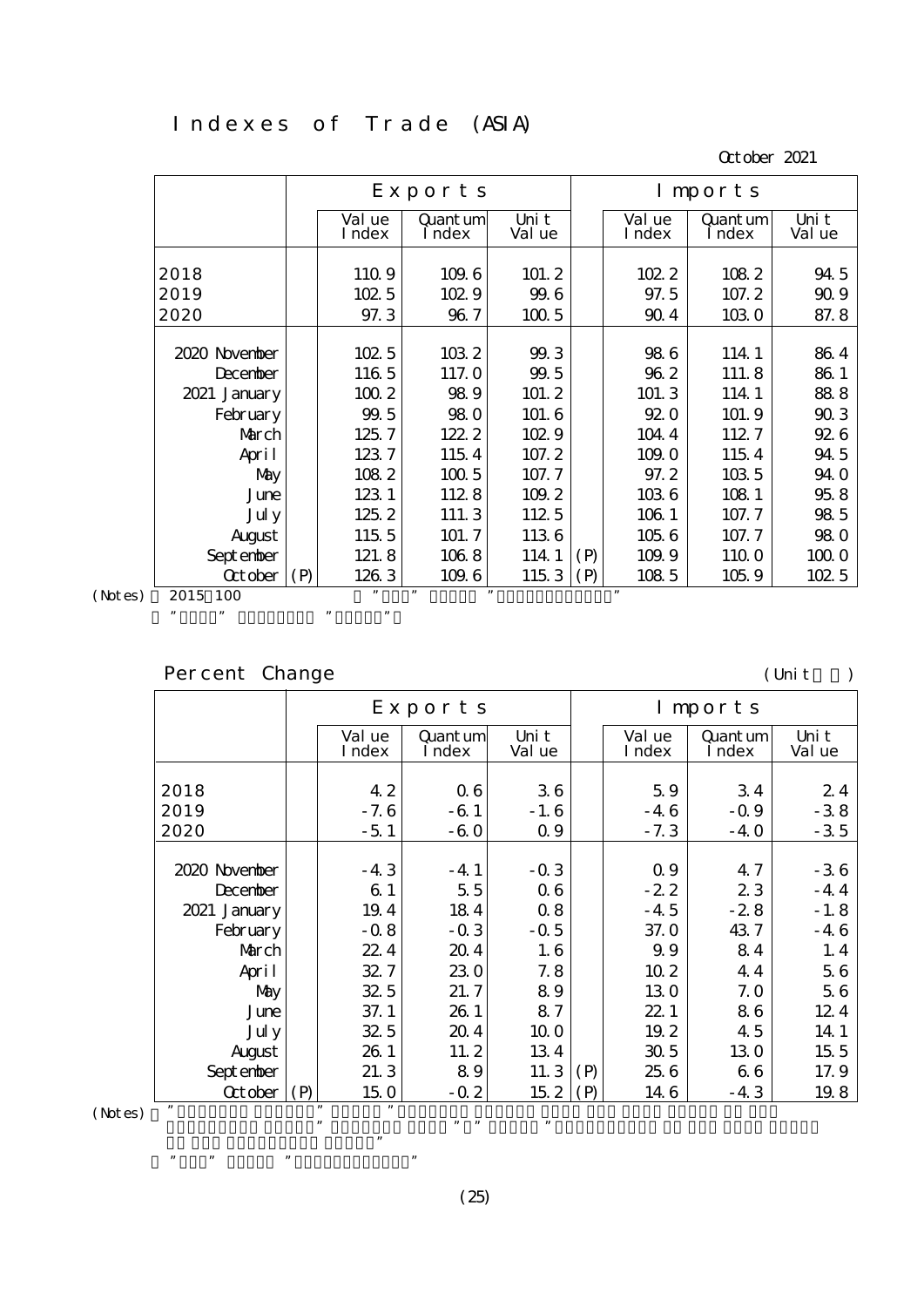### Indexes of Trade (ASIA)

October 2021

|         |                               |                  | Exports            |                 |     |                  | Imports            |                 |
|---------|-------------------------------|------------------|--------------------|-----------------|-----|------------------|--------------------|-----------------|
|         |                               | Val ue<br>I ndex | Quant um<br>I ndex | Uni t<br>Val ue |     | Val ue<br>I ndex | Quant um<br>I ndex | Uni t<br>Val ue |
|         |                               |                  |                    |                 |     |                  |                    |                 |
|         | 2018                          | 1109             | 109.6              | 101.2           |     | 102.2            | 1082               | 94 5            |
|         | 2019                          | 102 5            | 1029               | 99.6            |     | 97.5             | 107.2              | 909             |
|         | 2020                          | 97.3             | 96.7               | 1005            |     | 904              | 1030               | 87.8            |
|         |                               |                  |                    |                 |     |                  |                    |                 |
|         | 2020 November                 | 1025             | 1032               | 99.3            |     | 986              | 114.1              | 864             |
|         | December                      | 116 5            | 117.0              | 99.5            |     | 962              | 111.8              | 861             |
|         | 2021 January                  | 1002             | 989                | 101.2           |     | 101.3            | 114.1              | 888             |
|         | February                      | 99.5             | 980                | 101.6           |     | 92 <sub>0</sub>  | 101.9              | 903             |
|         | March                         | 125.7            | 122.2              | 102.9           |     | 104 4            | 1127               | 926             |
|         | April                         | 1237             | 1154               | 107.2           |     | 109.0            | 1154               | 94 5            |
|         | May                           | 1082             | 1005               | 107.7           |     | 97.2             | 103 5              | 94 O            |
|         | June                          | 123 1            | 1128               | 109.2           |     | 1036             | 108 1              | 958             |
|         | Jul y                         | 125.2            | 111.3              | 112 5           |     | 106 1            | 107.7              | 98 5            |
|         | August                        | 115 5            | 101.7              | 1136            |     | 1056             | 107.7              | 980             |
|         | Sept enber                    | 121.8            | 1068               | 114.1           | (P) | 109.9            | 11Q O              | 1000            |
|         | $\text{October}   (\text{P})$ | 1263             | 1096               | 115 3           | (P) | 108 5            | 1059               | 1025            |
| (Notes) | 2015 100                      | ,                | ,<br>, 2, 3        |                 |     | , 2, 3           |                    |                 |
|         | ,,                            | ,,<br>,,         |                    |                 |     |                  |                    |                 |

# Percent Change (Unit)

|         |                | Exports |                  |                    |                 |     | Imports          |                    |                 |  |
|---------|----------------|---------|------------------|--------------------|-----------------|-----|------------------|--------------------|-----------------|--|
|         |                |         | Val ue<br>I ndex | Quant um<br>I ndex | Uni t<br>Val ue |     | Val ue<br>I ndex | Quant um<br>I ndex | Uni t<br>Val ue |  |
|         |                |         |                  |                    |                 |     |                  |                    |                 |  |
|         | 2018           |         | 42               | 06                 | 36              |     | 59               | 34                 | 24              |  |
|         | 2019           |         | $-7.6$           | $-61$              | $-1.6$          |     | $-46$            | $-0.9$             | $-38$           |  |
|         | 2020           |         | $-51$            | $-60$              | $\Omega$ 9      |     | $-7.3$           | $-40$              | $-35$           |  |
|         |                |         |                  |                    |                 |     |                  |                    |                 |  |
|         | 2020 November  |         | $-43$            | $-4.1$             | $-0.3$          |     | 0.9              | 47                 | $-36$           |  |
|         | December       |         | 61               | 55                 | 06              |     | $-22$            | 23                 | $-44$           |  |
|         | 2021 January   |         | 19.4             | 184                | 08              |     | $-4.5$           | $-28$              | $-1.8$          |  |
|         | February       |         | $-0.8$           | $-0.3$             | $-0.5$          |     | 37. O            | 437                | $-46$           |  |
|         | March          |         | 22.4             | 204                | 1, 6            |     | 9.9              | 84                 | 1.4             |  |
|         | April          |         | 32.7             | 230                | 7.8             |     | 10 <sub>2</sub>  | 44                 | 56              |  |
|         | May            |         | 32.5             | 21.7               | 89              |     | 130              | 7.0                | 56              |  |
|         | June           |         | 37.1             | 26.1               | 87              |     | 22.1             | 86                 | 124             |  |
|         | Jul y          |         | 32.5             | 204                | 10 O            |     | 19.2             | 45                 | 14 1            |  |
|         | August         |         | 26.1             | 11.2               | 134             |     | 30 <sub>5</sub>  | 130                | 15 <sub>5</sub> |  |
|         | Sept enber     |         | 21.3             | 89                 | 11.3            | (P) | 25 6             | 66                 | 17.9            |  |
|         | <b>Q</b> tober | (P)     | 150              | $-0.2$             | 15 <sub>2</sub> | (P) | 14 6             | $-43$              | 19.8            |  |
| (Notes) | ,,             |         | ,,<br>,,         |                    |                 |     |                  |                    |                 |  |

in the preceding year."  $\qquad \qquad \cdots$